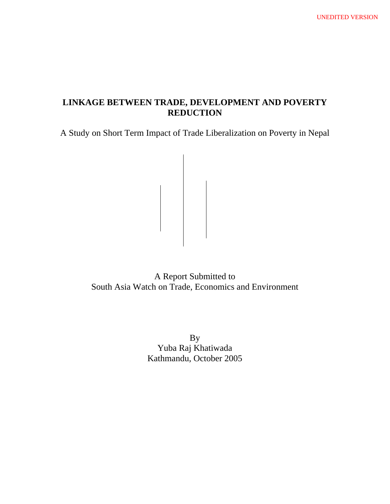# **LINKAGE BETWEEN TRADE, DEVELOPMENT AND POVERTY REDUCTION**

A Study on Short Term Impact of Trade Liberalization on Poverty in Nepal

A Report Submitted to South Asia Watch on Trade, Economics and Environment

> By Yuba Raj Khatiwada Kathmandu, October 2005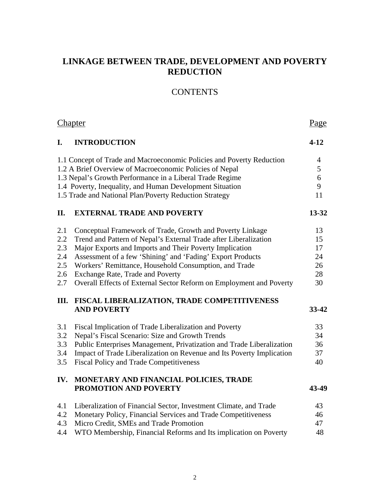# **LINKAGE BETWEEN TRADE, DEVELOPMENT AND POVERTY REDUCTION**

# **CONTENTS**

|                                               | <b>Chapter</b>                                                                                                                                                                                                                                                                                                                                                                                                                    | Page                                   |
|-----------------------------------------------|-----------------------------------------------------------------------------------------------------------------------------------------------------------------------------------------------------------------------------------------------------------------------------------------------------------------------------------------------------------------------------------------------------------------------------------|----------------------------------------|
| I.                                            | <b>INTRODUCTION</b>                                                                                                                                                                                                                                                                                                                                                                                                               | $4 - 12$                               |
|                                               | 1.1 Concept of Trade and Macroeconomic Policies and Poverty Reduction<br>1.2 A Brief Overview of Macroeconomic Policies of Nepal<br>1.3 Nepal's Growth Performance in a Liberal Trade Regime                                                                                                                                                                                                                                      | $\overline{4}$<br>5<br>6               |
|                                               | 1.4 Poverty, Inequality, and Human Development Situation<br>1.5 Trade and National Plan/Poverty Reduction Strategy                                                                                                                                                                                                                                                                                                                | 9<br>11                                |
| II.                                           | <b>EXTERNAL TRADE AND POVERTY</b>                                                                                                                                                                                                                                                                                                                                                                                                 | $13 - 32$                              |
| 2.1<br>2.2<br>2.3<br>2.4<br>2.5<br>2.6<br>2.7 | Conceptual Framework of Trade, Growth and Poverty Linkage<br>Trend and Pattern of Nepal's External Trade after Liberalization<br>Major Exports and Imports and Their Poverty Implication<br>Assessment of a few 'Shining' and 'Fading' Export Products<br>Workers' Remittance, Household Consumption, and Trade<br><b>Exchange Rate, Trade and Poverty</b><br>Overall Effects of External Sector Reform on Employment and Poverty | 13<br>15<br>17<br>24<br>26<br>28<br>30 |
| Ш.                                            | FISCAL LIBERALIZATION, TRADE COMPETITIVENESS<br><b>AND POVERTY</b>                                                                                                                                                                                                                                                                                                                                                                | $33-42$                                |
| 3.1<br>3.2<br>3.3<br>3.4<br>3.5               | Fiscal Implication of Trade Liberalization and Poverty<br>Nepal's Fiscal Scenario: Size and Growth Trends<br>Public Enterprises Management, Privatization and Trade Liberalization<br>Impact of Trade Liberalization on Revenue and Its Poverty Implication<br><b>Fiscal Policy and Trade Competitiveness</b>                                                                                                                     | 33<br>34<br>36<br>37<br>40             |
| IV.                                           | MONETARY AND FINANCIAL POLICIES, TRADE<br><b>PROMOTION AND POVERTY</b>                                                                                                                                                                                                                                                                                                                                                            | 43-49                                  |
| 4.1<br>4.2<br>4.3<br>4.4                      | Liberalization of Financial Sector, Investment Climate, and Trade<br>Monetary Policy, Financial Services and Trade Competitiveness<br>Micro Credit, SMEs and Trade Promotion<br>WTO Membership, Financial Reforms and Its implication on Poverty                                                                                                                                                                                  | 43<br>46<br>47<br>48                   |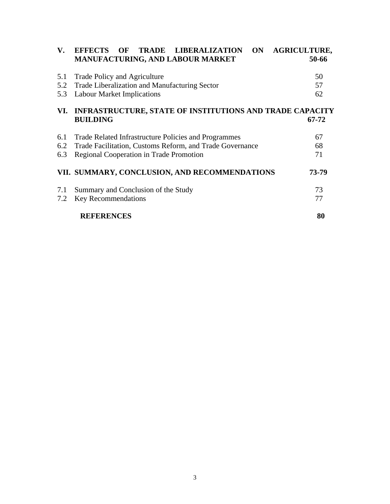| $V_{\bullet}$ | <b>TRADE LIBERALIZATION</b><br><b>EFFECTS</b><br><b>ON</b><br>OF<br><b>MANUFACTURING, AND LABOUR MARKET</b>      | <b>AGRICULTURE,</b><br>50-66 |  |  |  |  |  |  |  |
|---------------|------------------------------------------------------------------------------------------------------------------|------------------------------|--|--|--|--|--|--|--|
| 5.1           | Trade Policy and Agriculture                                                                                     | 50                           |  |  |  |  |  |  |  |
| 5.2<br>5.3    | Trade Liberalization and Manufacturing Sector<br><b>Labour Market Implications</b>                               | 57<br>62                     |  |  |  |  |  |  |  |
| VI.           | <b>INFRASTRUCTURE, STATE OF INSTITUTIONS AND TRADE CAPACITY</b><br><b>BUILDING</b><br>67-72                      |                              |  |  |  |  |  |  |  |
| 6.1<br>6.2    | Trade Related Infrastructure Policies and Programmes<br>Trade Facilitation, Customs Reform, and Trade Governance |                              |  |  |  |  |  |  |  |
| 6.3           | Regional Cooperation in Trade Promotion                                                                          | 68<br>71                     |  |  |  |  |  |  |  |
|               | VII. SUMMARY, CONCLUSION, AND RECOMMENDATIONS                                                                    | 73-79                        |  |  |  |  |  |  |  |
| 7.1           | Summary and Conclusion of the Study                                                                              | 73                           |  |  |  |  |  |  |  |
| 7.2           | Key Recommendations<br>77                                                                                        |                              |  |  |  |  |  |  |  |
|               | <b>REFERENCES</b>                                                                                                | 80                           |  |  |  |  |  |  |  |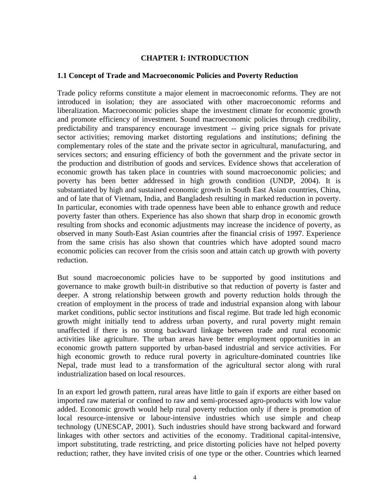#### **CHAPTER I: INTRODUCTION**

#### **1.1 Concept of Trade and Macroeconomic Policies and Poverty Reduction**

Trade policy reforms constitute a major element in macroeconomic reforms. They are not introduced in isolation; they are associated with other macroeconomic reforms and liberalization. Macroeconomic policies shape the investment climate for economic growth and promote efficiency of investment. Sound macroeconomic policies through credibility, predictability and transparency encourage investment -- giving price signals for private sector activities; removing market distorting regulations and institutions; defining the complementary roles of the state and the private sector in agricultural, manufacturing, and services sectors; and ensuring efficiency of both the government and the private sector in the production and distribution of goods and services. Evidence shows that acceleration of economic growth has taken place in countries with sound macroeconomic policies; and poverty has been better addressed in high growth condition (UNDP, 2004). It is substantiated by high and sustained economic growth in South East Asian countries, China, and of late that of Vietnam, India, and Bangladesh resulting in marked reduction in poverty. In particular, economies with trade openness have been able to enhance growth and reduce poverty faster than others. Experience has also shown that sharp drop in economic growth resulting from shocks and economic adjustments may increase the incidence of poverty, as observed in many South-East Asian countries after the financial crisis of 1997. Experience from the same crisis has also shown that countries which have adopted sound macro economic policies can recover from the crisis soon and attain catch up growth with poverty reduction.

But sound macroeconomic policies have to be supported by good institutions and governance to make growth built-in distributive so that reduction of poverty is faster and deeper. A strong relationship between growth and poverty reduction holds through the creation of employment in the process of trade and industrial expansion along with labour market conditions, public sector institutions and fiscal regime. But trade led high economic growth might initially tend to address urban poverty, and rural poverty might remain unaffected if there is no strong backward linkage between trade and rural economic activities like agriculture. The urban areas have better employment opportunities in an economic growth pattern supported by urban-based industrial and service activities. For high economic growth to reduce rural poverty in agriculture-dominated countries like Nepal, trade must lead to a transformation of the agricultural sector along with rural industrialization based on local resources.

In an export led growth pattern, rural areas have little to gain if exports are either based on imported raw material or confined to raw and semi-processed agro-products with low value added. Economic growth would help rural poverty reduction only if there is promotion of local resource-intensive or labour-intensive industries which use simple and cheap technology (UNESCAP, 2001). Such industries should have strong backward and forward linkages with other sectors and activities of the economy. Traditional capital-intensive, import substituting, trade restricting, and price distorting policies have not helped poverty reduction; rather, they have invited crisis of one type or the other. Countries which learned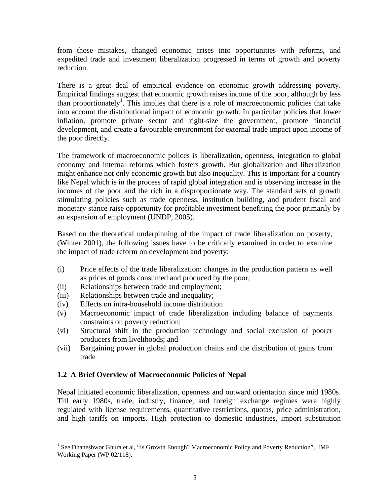from those mistakes, changed economic crises into opportunities with reforms, and expedited trade and investment liberalization progressed in terms of growth and poverty reduction.

There is a great deal of empirical evidence on economic growth addressing poverty. Empirical findings suggest that economic growth raises income of the poor, although by less than proportionately<sup>1</sup>. This implies that there is a role of macroeconomic policies that take into account the distributional impact of economic growth. In particular policies that lower inflation, promote private sector and right-size the government, promote financial development, and create a favourable environment for external trade impact upon income of the poor directly.

The framework of macroeconomic polices is liberalization, openness, integration to global economy and internal reforms which fosters growth. But globalization and liberalization might enhance not only economic growth but also inequality. This is important for a country like Nepal which is in the process of rapid global integration and is observing increase in the incomes of the poor and the rich in a disproportionate way. The standard sets of growth stimulating policies such as trade openness, institution building, and prudent fiscal and monetary stance raise opportunity for profitable investment benefiting the poor primarily by an expansion of employment (UNDP, 2005).

Based on the theoretical underpinning of the impact of trade liberalization on poverty, (Winter 2001), the following issues have to be critically examined in order to examine the impact of trade reform on development and poverty:

- (i) Price effects of the trade liberalization: changes in the production pattern as well as prices of goods consumed and produced by the poor;
- (ii) Relationships between trade and employment;
- (iii) Relationships between trade and inequality;

 $\overline{a}$ 

- (iv) Effects on intra-household income distribution
- (v) Macroeconomic impact of trade liberalization including balance of payments constraints on poverty reduction;
- (vi) Structural shift in the production technology and social exclusion of poorer producers from livelihoods; and
- (vii) Bargaining power in global production chains and the distribution of gains from trade

## **1.2 A Brief Overview of Macroeconomic Policies of Nepal**

Nepal initiated economic liberalization, openness and outward orientation since mid 1980s. Till early 1980s, trade, industry, finance, and foreign exchange regimes were highly regulated with license requirements, quantitative restrictions, quotas, price administration, and high tariffs on imports. High protection to domestic industries, import substitution

<sup>&</sup>lt;sup>1</sup> See Dhaneshwor Ghura et al, "Is Growth Enough? Macroeconomic Policy and Poverty Reduction", IMF Working Paper (WP 02/118).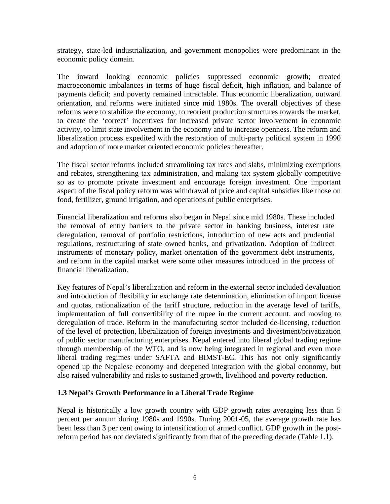strategy, state-led industrialization, and government monopolies were predominant in the economic policy domain.

The inward looking economic policies suppressed economic growth; created macroeconomic imbalances in terms of huge fiscal deficit, high inflation, and balance of payments deficit; and poverty remained intractable. Thus economic liberalization, outward orientation, and reforms were initiated since mid 1980s. The overall objectives of these reforms were to stabilize the economy, to reorient production structures towards the market, to create the 'correct' incentives for increased private sector involvement in economic activity, to limit state involvement in the economy and to increase openness. The reform and liberalization process expedited with the restoration of multi-party political system in 1990 and adoption of more market oriented economic policies thereafter.

The fiscal sector reforms included streamlining tax rates and slabs, minimizing exemptions and rebates, strengthening tax administration, and making tax system globally competitive so as to promote private investment and encourage foreign investment. One important aspect of the fiscal policy reform was withdrawal of price and capital subsidies like those on food, fertilizer, ground irrigation, and operations of public enterprises.

Financial liberalization and reforms also began in Nepal since mid 1980s. These included the removal of entry barriers to the private sector in banking business, interest rate deregulation, removal of portfolio restrictions, introduction of new acts and prudential regulations, restructuring of state owned banks, and privatization. Adoption of indirect instruments of monetary policy, market orientation of the government debt instruments, and reform in the capital market were some other measures introduced in the process of financial liberalization.

Key features of Nepal's liberalization and reform in the external sector included devaluation and introduction of flexibility in exchange rate determination, elimination of import license and quotas, rationalization of the tariff structure, reduction in the average level of tariffs, implementation of full convertibility of the rupee in the current account, and moving to deregulation of trade. Reform in the manufacturing sector included de-licensing, reduction of the level of protection, liberalization of foreign investments and divestment/privatization of public sector manufacturing enterprises. Nepal entered into liberal global trading regime through membership of the WTO, and is now being integrated in regional and even more liberal trading regimes under SAFTA and BIMST-EC. This has not only significantly opened up the Nepalese economy and deepened integration with the global economy, but also raised vulnerability and risks to sustained growth, livelihood and poverty reduction.

#### **1.3 Nepal's Growth Performance in a Liberal Trade Regime**

Nepal is historically a low growth country with GDP growth rates averaging less than 5 percent per annum during 1980s and 1990s. During 2001-05, the average growth rate has been less than 3 per cent owing to intensification of armed conflict. GDP growth in the postreform period has not deviated significantly from that of the preceding decade (Table 1.1).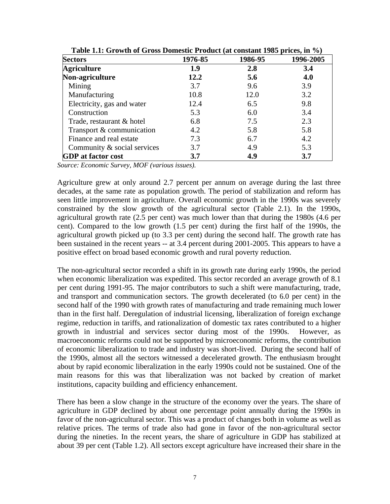| <b>Sectors</b>              | 1976-85 | 1986-95 | 1996-2005 |
|-----------------------------|---------|---------|-----------|
| <b>Agriculture</b>          | 1.9     | 2.8     | 3.4       |
| Non-agriculture             | 12.2    | 5.6     | 4.0       |
| Mining                      | 3.7     | 9.6     | 3.9       |
| Manufacturing               | 10.8    | 12.0    | 3.2       |
| Electricity, gas and water  | 12.4    | 6.5     | 9.8       |
| Construction                | 5.3     | 6.0     | 3.4       |
| Trade, restaurant & hotel   | 6.8     | 7.5     | 2.3       |
| Transport & communication   | 4.2     | 5.8     | 5.8       |
| Finance and real estate     | 7.3     | 6.7     | 4.2       |
| Community & social services | 3.7     | 4.9     | 5.3       |
| <b>GDP</b> at factor cost   | 3.7     | 4.9     | 3.7       |

**Table 1.1: Growth of Gross Domestic Product (at constant 1985 prices, in %)** 

*Source: Economic Survey, MOF (various issues).* 

Agriculture grew at only around 2.7 percent per annum on average during the last three decades, at the same rate as population growth. The period of stabilization and reform has seen little improvement in agriculture. Overall economic growth in the 1990s was severely constrained by the slow growth of the agricultural sector (Table 2.1). In the 1990s, agricultural growth rate (2.5 per cent) was much lower than that during the 1980s (4.6 per cent). Compared to the low growth (1.5 per cent) during the first half of the 1990s, the agricultural growth picked up (to 3.3 per cent) during the second half. The growth rate has been sustained in the recent years -- at 3.4 percent during 2001-2005. This appears to have a positive effect on broad based economic growth and rural poverty reduction.

The non-agricultural sector recorded a shift in its growth rate during early 1990s, the period when economic liberalization was expedited. This sector recorded an average growth of 8.1 per cent during 1991-95. The major contributors to such a shift were manufacturing, trade, and transport and communication sectors. The growth decelerated (to 6.0 per cent) in the second half of the 1990 with growth rates of manufacturing and trade remaining much lower than in the first half. Deregulation of industrial licensing, liberalization of foreign exchange regime, reduction in tariffs, and rationalization of domestic tax rates contributed to a higher growth in industrial and services sector during most of the 1990s. However, as macroeconomic reforms could not be supported by microeconomic reforms, the contribution of economic liberalization to trade and industry was short-lived. During the second half of the 1990s, almost all the sectors witnessed a decelerated growth. The enthusiasm brought about by rapid economic liberalization in the early 1990s could not be sustained. One of the main reasons for this was that liberalization was not backed by creation of market institutions, capacity building and efficiency enhancement.

There has been a slow change in the structure of the economy over the years. The share of agriculture in GDP declined by about one percentage point annually during the 1990s in favor of the non-agricultural sector. This was a product of changes both in volume as well as relative prices. The terms of trade also had gone in favor of the non-agricultural sector during the nineties. In the recent years, the share of agriculture in GDP has stabilized at about 39 per cent (Table 1.2). All sectors except agriculture have increased their share in the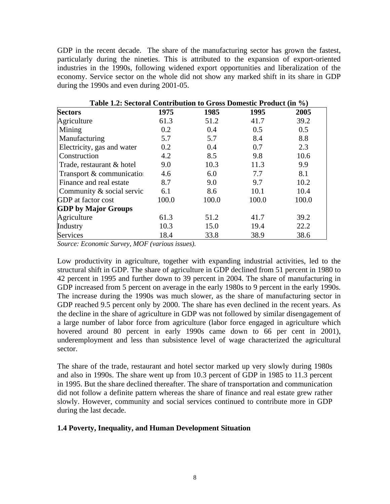GDP in the recent decade. The share of the manufacturing sector has grown the fastest, particularly during the nineties. This is attributed to the expansion of export-oriented industries in the 1990s, following widened export opportunities and liberalization of the economy. Service sector on the whole did not show any marked shift in its share in GDP during the 1990s and even during 2001-05.

| Table 1.2: Sectoral Contribution to Gross Domestic Product (in %) |       |       |       |       |  |  |  |  |  |
|-------------------------------------------------------------------|-------|-------|-------|-------|--|--|--|--|--|
| <b>Sectors</b>                                                    | 1975  | 1985  | 1995  | 2005  |  |  |  |  |  |
| Agriculture                                                       | 61.3  | 51.2  | 41.7  | 39.2  |  |  |  |  |  |
| Mining                                                            | 0.2   | 0.4   | 0.5   | 0.5   |  |  |  |  |  |
| Manufacturing                                                     | 5.7   | 5.7   | 8.4   | 8.8   |  |  |  |  |  |
| Electricity, gas and water                                        | 0.2   | 0.4   | 0.7   | 2.3   |  |  |  |  |  |
| Construction                                                      | 4.2   | 8.5   | 9.8   | 10.6  |  |  |  |  |  |
| Trade, restaurant & hotel                                         | 9.0   | 10.3  | 11.3  | 9.9   |  |  |  |  |  |
| Transport & communication                                         | 4.6   | 6.0   | 7.7   | 8.1   |  |  |  |  |  |
| Finance and real estate                                           | 8.7   | 9.0   | 9.7   | 10.2  |  |  |  |  |  |
| Community & social servic                                         | 6.1   | 8.6   | 10.1  | 10.4  |  |  |  |  |  |
| <b>GDP</b> at factor cost                                         | 100.0 | 100.0 | 100.0 | 100.0 |  |  |  |  |  |
| <b>GDP</b> by Major Groups                                        |       |       |       |       |  |  |  |  |  |
| Agriculture                                                       | 61.3  | 51.2  | 41.7  | 39.2  |  |  |  |  |  |
| Industry                                                          | 10.3  | 15.0  | 19.4  | 22.2  |  |  |  |  |  |
| Services                                                          | 18.4  | 33.8  | 38.9  | 38.6  |  |  |  |  |  |

*Source: Economic Survey, MOF (various issues).* 

Low productivity in agriculture, together with expanding industrial activities, led to the structural shift in GDP. The share of agriculture in GDP declined from 51 percent in 1980 to 42 percent in 1995 and further down to 39 percent in 2004. The share of manufacturing in GDP increased from 5 percent on average in the early 1980s to 9 percent in the early 1990s. The increase during the 1990s was much slower, as the share of manufacturing sector in GDP reached 9.5 percent only by 2000. The share has even declined in the recent years. As the decline in the share of agriculture in GDP was not followed by similar disengagement of a large number of labor force from agriculture (labor force engaged in agriculture which hovered around 80 percent in early 1990s came down to 66 per cent in 2001), underemployment and less than subsistence level of wage characterized the agricultural sector.

The share of the trade, restaurant and hotel sector marked up very slowly during 1980s and also in 1990s. The share went up from 10.3 percent of GDP in 1985 to 11.3 percent in 1995. But the share declined thereafter. The share of transportation and communication did not follow a definite pattern whereas the share of finance and real estate grew rather slowly. However, community and social services continued to contribute more in GDP during the last decade.

#### **1.4 Poverty, Inequality, and Human Development Situation**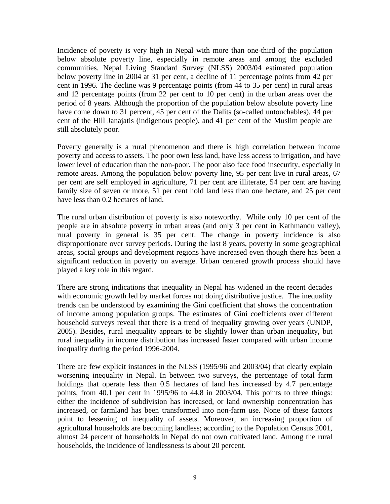Incidence of poverty is very high in Nepal with more than one-third of the population below absolute poverty line, especially in remote areas and among the excluded communities. Nepal Living Standard Survey (NLSS) 2003/04 estimated population below poverty line in 2004 at 31 per cent, a decline of 11 percentage points from 42 per cent in 1996. The decline was 9 percentage points (from 44 to 35 per cent) in rural areas and 12 percentage points (from 22 per cent to 10 per cent) in the urban areas over the period of 8 years. Although the proportion of the population below absolute poverty line have come down to 31 percent, 45 per cent of the Dalits (so-called untouchables), 44 per cent of the Hill Janajatis (indigenous people), and 41 per cent of the Muslim people are still absolutely poor.

Poverty generally is a rural phenomenon and there is high correlation between income poverty and access to assets. The poor own less land, have less access to irrigation, and have lower level of education than the non-poor. The poor also face food insecurity, especially in remote areas. Among the population below poverty line, 95 per cent live in rural areas, 67 per cent are self employed in agriculture, 71 per cent are illiterate, 54 per cent are having family size of seven or more, 51 per cent hold land less than one hectare, and 25 per cent have less than 0.2 hectares of land.

The rural urban distribution of poverty is also noteworthy. While only 10 per cent of the people are in absolute poverty in urban areas (and only 3 per cent in Kathmandu valley), rural poverty in general is 35 per cent. The change in poverty incidence is also disproportionate over survey periods. During the last 8 years, poverty in some geographical areas, social groups and development regions have increased even though there has been a significant reduction in poverty on average. Urban centered growth process should have played a key role in this regard.

There are strong indications that inequality in Nepal has widened in the recent decades with economic growth led by market forces not doing distributive justice. The inequality trends can be understood by examining the Gini coefficient that shows the concentration of income among population groups. The estimates of Gini coefficients over different household surveys reveal that there is a trend of inequality growing over years (UNDP, 2005). Besides, rural inequality appears to be slightly lower than urban inequality, but rural inequality in income distribution has increased faster compared with urban income inequality during the period 1996-2004.

There are few explicit instances in the NLSS (1995/96 and 2003/04) that clearly explain worsening inequality in Nepal. In between two surveys, the percentage of total farm holdings that operate less than 0.5 hectares of land has increased by 4.7 percentage points, from 40.1 per cent in 1995/96 to 44.8 in 2003/04. This points to three things: either the incidence of subdivision has increased, or land ownership concentration has increased, or farmland has been transformed into non-farm use. None of these factors point to lessening of inequality of assets. Moreover, an increasing proportion of agricultural households are becoming landless; according to the Population Census 2001, almost 24 percent of households in Nepal do not own cultivated land. Among the rural households, the incidence of landlessness is about 20 percent.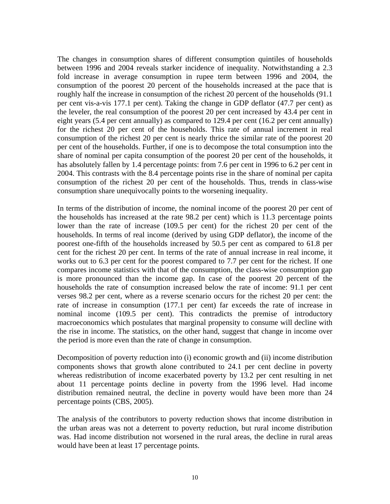The changes in consumption shares of different consumption quintiles of households between 1996 and 2004 reveals starker incidence of inequality. Notwithstanding a 2.3 fold increase in average consumption in rupee term between 1996 and 2004, the consumption of the poorest 20 percent of the households increased at the pace that is roughly half the increase in consumption of the richest 20 percent of the households (91.1 per cent vis-a-vis 177.1 per cent). Taking the change in GDP deflator (47.7 per cent) as the leveler, the real consumption of the poorest 20 per cent increased by 43.4 per cent in eight years (5.4 per cent annually) as compared to 129.4 per cent (16.2 per cent annually) for the richest 20 per cent of the households. This rate of annual increment in real consumption of the richest 20 per cent is nearly thrice the similar rate of the poorest 20 per cent of the households. Further, if one is to decompose the total consumption into the share of nominal per capita consumption of the poorest 20 per cent of the households, it has absolutely fallen by 1.4 percentage points: from 7.6 per cent in 1996 to 6.2 per cent in 2004. This contrasts with the 8.4 percentage points rise in the share of nominal per capita consumption of the richest 20 per cent of the households. Thus, trends in class-wise consumption share unequivocally points to the worsening inequality.

In terms of the distribution of income, the nominal income of the poorest 20 per cent of the households has increased at the rate 98.2 per cent) which is 11.3 percentage points lower than the rate of increase (109.5 per cent) for the richest 20 per cent of the households. In terms of real income (derived by using GDP deflator), the income of the poorest one-fifth of the households increased by 50.5 per cent as compared to 61.8 per cent for the richest 20 per cent. In terms of the rate of annual increase in real income, it works out to 6.3 per cent for the poorest compared to 7.7 per cent for the richest. If one compares income statistics with that of the consumption, the class-wise consumption gap is more pronounced than the income gap. In case of the poorest 20 percent of the households the rate of consumption increased below the rate of income: 91.1 per cent verses 98.2 per cent, where as a reverse scenario occurs for the richest 20 per cent: the rate of increase in consumption (177.1 per cent) far exceeds the rate of increase in nominal income (109.5 per cent). This contradicts the premise of introductory macroeconomics which postulates that marginal propensity to consume will decline with the rise in income. The statistics, on the other hand, suggest that change in income over the period is more even than the rate of change in consumption.

Decomposition of poverty reduction into (i) economic growth and (ii) income distribution components shows that growth alone contributed to 24.1 per cent decline in poverty whereas redistribution of income exacerbated poverty by 13.2 per cent resulting in net about 11 percentage points decline in poverty from the 1996 level. Had income distribution remained neutral, the decline in poverty would have been more than 24 percentage points (CBS, 2005).

The analysis of the contributors to poverty reduction shows that income distribution in the urban areas was not a deterrent to poverty reduction, but rural income distribution was. Had income distribution not worsened in the rural areas, the decline in rural areas would have been at least 17 percentage points.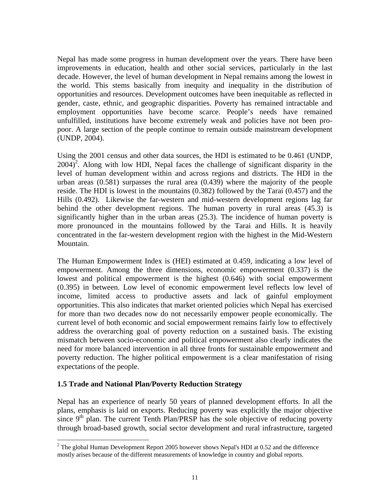Nepal has made some progress in human development over the years. There have been improvements in education, health and other social services, particularly in the last decade. However, the level of human development in Nepal remains among the lowest in the world. This stems basically from inequity and inequality in the distribution of opportunities and resources. Development outcomes have been inequitable as reflected in gender, caste, ethnic, and geographic disparities. Poverty has remained intractable and employment opportunities have become scarce. People's needs have remained unfulfilled, institutions have become extremely weak and policies have not been propoor. A large section of the people continue to remain outside mainstream development (UNDP, 2004).

Using the 2001 census and other data sources, the HDI is estimated to be 0.461 (UNDP,  $2004)^2$ . Along with low HDI, Nepal faces the challenge of significant disparity in the level of human development within and across regions and districts. The HDI in the urban areas (0.581) surpasses the rural area (0.439) where the majority of the people reside. The HDI is lowest in the mountains (0.382) followed by the Tarai (0.457) and the Hills (0.492). Likewise the far-western and mid-western development regions lag far behind the other development regions. The human poverty in rural areas (45.3) is significantly higher than in the urban areas (25.3). The incidence of human poverty is more pronounced in the mountains followed by the Tarai and Hills. It is heavily concentrated in the far-western development region with the highest in the Mid-Western Mountain.

The Human Empowerment Index is (HEI) estimated at 0.459, indicating a low level of empowerment. Among the three dimensions, economic empowerment (0.337) is the lowest and political empowerment is the highest (0.646) with social empowerment (0.395) in between. Low level of economic empowerment level reflects low level of income, limited access to productive assets and lack of gainful employment opportunities. This also indicates that market oriented policies which Nepal has exercised for more than two decades now do not necessarily empower people economically. The current level of both economic and social empowerment remains fairly low to effectively address the overarching goal of poverty reduction on a sustained basis. The existing mismatch between socio-economic and political empowerment also clearly indicates the need for more balanced intervention in all three fronts for sustainable empowerment and poverty reduction. The higher political empowerment is a clear manifestation of rising expectations of the people.

## **1.5 Trade and National Plan/Poverty Reduction Strategy**

1

Nepal has an experience of nearly 50 years of planned development efforts. In all the plans, emphasis is laid on exports. Reducing poverty was explicitly the major objective since  $9<sup>th</sup>$  plan. The current Tenth Plan/PRSP has the sole objective of reducing poverty through broad-based growth, social sector development and rural infrastructure, targeted

 $2$  The global Human Development Report 2005 however shows Nepal's HDI at 0.52 and the difference mostly arises because of the different measurements of knowledge in country and global reports.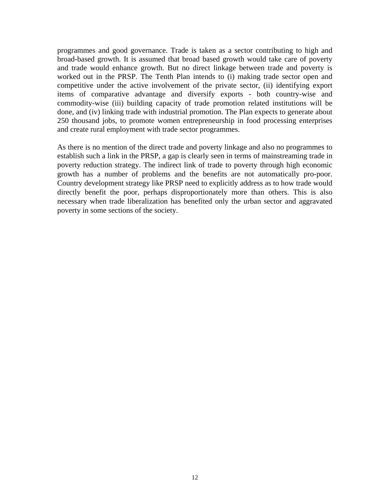programmes and good governance. Trade is taken as a sector contributing to high and broad-based growth. It is assumed that broad based growth would take care of poverty and trade would enhance growth. But no direct linkage between trade and poverty is worked out in the PRSP. The Tenth Plan intends to (i) making trade sector open and competitive under the active involvement of the private sector, (ii) identifying export items of comparative advantage and diversify exports - both country-wise and commodity-wise (iii) building capacity of trade promotion related institutions will be done, and (iv) linking trade with industrial promotion. The Plan expects to generate about 250 thousand jobs, to promote women entrepreneurship in food processing enterprises and create rural employment with trade sector programmes.

As there is no mention of the direct trade and poverty linkage and also no programmes to establish such a link in the PRSP, a gap is clearly seen in terms of mainstreaming trade in poverty reduction strategy. The indirect link of trade to poverty through high economic growth has a number of problems and the benefits are not automatically pro-poor. Country development strategy like PRSP need to explicitly address as to how trade would directly benefit the poor, perhaps disproportionately more than others. This is also necessary when trade liberalization has benefited only the urban sector and aggravated poverty in some sections of the society.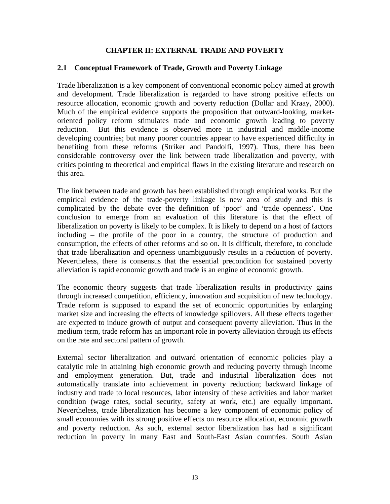#### **CHAPTER II: EXTERNAL TRADE AND POVERTY**

#### **2.1 Conceptual Framework of Trade, Growth and Poverty Linkage**

Trade liberalization is a key component of conventional economic policy aimed at growth and development. Trade liberalization is regarded to have strong positive effects on resource allocation, economic growth and poverty reduction (Dollar and Kraay, 2000). Much of the empirical evidence supports the proposition that outward-looking, marketoriented policy reform stimulates trade and economic growth leading to poverty reduction. But this evidence is observed more in industrial and middle-income developing countries; but many poorer countries appear to have experienced difficulty in benefiting from these reforms (Striker and Pandolfi, 1997). Thus, there has been considerable controversy over the link between trade liberalization and poverty, with critics pointing to theoretical and empirical flaws in the existing literature and research on this area.

The link between trade and growth has been established through empirical works. But the empirical evidence of the trade-poverty linkage is new area of study and this is complicated by the debate over the definition of 'poor' and 'trade openness'. One conclusion to emerge from an evaluation of this literature is that the effect of liberalization on poverty is likely to be complex. It is likely to depend on a host of factors including – the profile of the poor in a country, the structure of production and consumption, the effects of other reforms and so on. It is difficult, therefore, to conclude that trade liberalization and openness unambiguously results in a reduction of poverty. Nevertheless, there is consensus that the essential precondition for sustained poverty alleviation is rapid economic growth and trade is an engine of economic growth.

The economic theory suggests that trade liberalization results in productivity gains through increased competition, efficiency, innovation and acquisition of new technology. Trade reform is supposed to expand the set of economic opportunities by enlarging market size and increasing the effects of knowledge spillovers. All these effects together are expected to induce growth of output and consequent poverty alleviation. Thus in the medium term, trade reform has an important role in poverty alleviation through its effects on the rate and sectoral pattern of growth.

External sector liberalization and outward orientation of economic policies play a catalytic role in attaining high economic growth and reducing poverty through income and employment generation. But, trade and industrial liberalization does not automatically translate into achievement in poverty reduction; backward linkage of industry and trade to local resources, labor intensity of these activities and labor market condition (wage rates, social security, safety at work, etc.) are equally important. Nevertheless, trade liberalization has become a key component of economic policy of small economies with its strong positive effects on resource allocation, economic growth and poverty reduction. As such, external sector liberalization has had a significant reduction in poverty in many East and South-East Asian countries. South Asian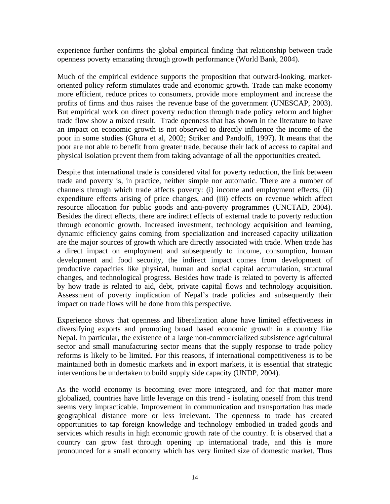experience further confirms the global empirical finding that relationship between trade openness poverty emanating through growth performance (World Bank, 2004).

Much of the empirical evidence supports the proposition that outward-looking, marketoriented policy reform stimulates trade and economic growth. Trade can make economy more efficient, reduce prices to consumers, provide more employment and increase the profits of firms and thus raises the revenue base of the government (UNESCAP, 2003). But empirical work on direct poverty reduction through trade policy reform and higher trade flow show a mixed result. Trade openness that has shown in the literature to have an impact on economic growth is not observed to directly influence the income of the poor in some studies (Ghura et al, 2002; Striker and Pandolfi, 1997). It means that the poor are not able to benefit from greater trade, because their lack of access to capital and physical isolation prevent them from taking advantage of all the opportunities created.

Despite that international trade is considered vital for poverty reduction, the link between trade and poverty is, in practice, neither simple nor automatic. There are a number of channels through which trade affects poverty: (i) income and employment effects, (ii) expenditure effects arising of price changes, and (iii) effects on revenue which affect resource allocation for public goods and anti-poverty programmes (UNCTAD, 2004). Besides the direct effects, there are indirect effects of external trade to poverty reduction through economic growth. Increased investment, technology acquisition and learning, dynamic efficiency gains coming from specialization and increased capacity utilization are the major sources of growth which are directly associated with trade. When trade has a direct impact on employment and subsequently to income, consumption, human development and food security, the indirect impact comes from development of productive capacities like physical, human and social capital accumulation, structural changes, and technological progress. Besides how trade is related to poverty is affected by how trade is related to aid, debt, private capital flows and technology acquisition. Assessment of poverty implication of Nepal's trade policies and subsequently their impact on trade flows will be done from this perspective.

Experience shows that openness and liberalization alone have limited effectiveness in diversifying exports and promoting broad based economic growth in a country like Nepal. In particular, the existence of a large non-commercialized subsistence agricultural sector and small manufacturing sector means that the supply response to trade policy reforms is likely to be limited. For this reasons, if international competitiveness is to be maintained both in domestic markets and in export markets, it is essential that strategic interventions be undertaken to build supply side capacity (UNDP, 2004).

As the world economy is becoming ever more integrated, and for that matter more globalized, countries have little leverage on this trend - isolating oneself from this trend seems very impracticable. Improvement in communication and transportation has made geographical distance more or less irrelevant. The openness to trade has created opportunities to tap foreign knowledge and technology embodied in traded goods and services which results in high economic growth rate of the country. It is observed that a country can grow fast through opening up international trade, and this is more pronounced for a small economy which has very limited size of domestic market. Thus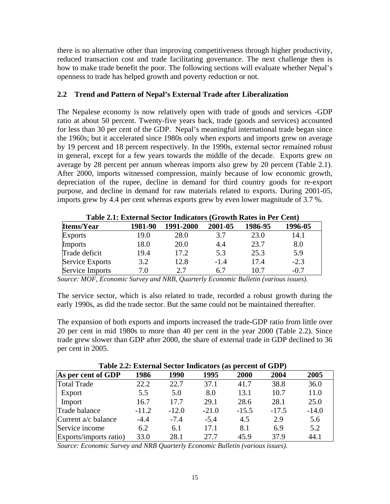there is no alternative other than improving competitiveness through higher productivity, reduced transaction cost and trade facilitating governance. The next challenge then is how to make trade benefit the poor. The following sections will evaluate whether Nepal's openness to trade has helped growth and poverty reduction or not.

# **2.2 Trend and Pattern of Nepal's External Trade after Liberalization**

The Nepalese economy is now relatively open with trade of goods and services -GDP ratio at about 50 percent. Twenty-five years back, trade (goods and services) accounted for less than 30 per cent of the GDP. Nepal's meaningful international trade began since the 1960s; but it accelerated since 1980s only when exports and imports grew on average by 19 percent and 18 percent respectively. In the 1990s, external sector remained robust in general, except for a few years towards the middle of the decade. Exports grew on average by 28 percent per annum whereas imports also grew by 20 percent (Table 2.1). After 2000, imports witnessed compression, mainly because of low economic growth, depreciation of the rupee, decline in demand for third country goods for re-export purpose, and decline in demand for raw materials related to exports. During 2001-05, imports grew by 4.4 per cent whereas exports grew by even lower magnitude of 3.7 %.

|                 | Table 211, External Sector Indicators (Orowin Rates in Fer Cent) |           |         |         |         |  |  |  |  |  |
|-----------------|------------------------------------------------------------------|-----------|---------|---------|---------|--|--|--|--|--|
| Items/Year      | 1981-90                                                          | 1991-2000 | 2001-05 | 1986-95 | 1996-05 |  |  |  |  |  |
| <b>Exports</b>  | 19.0                                                             | 28.0      | 3.7     | 23.0    | 14.1    |  |  |  |  |  |
| Imports         | 18.0                                                             | 20.0      | 4.4     | 23.7    | 8.0     |  |  |  |  |  |
| Trade deficit   | 19.4                                                             | 17.2      | 5.3     | 25.3    | 5.9     |  |  |  |  |  |
| Service Exports | 3.2                                                              | 12.8      | $-1.4$  | 17.4    | $-2.3$  |  |  |  |  |  |
| Service Imports | 7.0                                                              | 2.7       | 6.7     | 10.7    | $-0.7$  |  |  |  |  |  |

**Table 2.1: External Sector Indicators (Growth Rates in Per Cent)** 

*Source: MOF, Economic Survey and NRB, Quarterly Economic Bulletin (various issues).* 

The service sector, which is also related to trade, recorded a robust growth during the early 1990s, as did the trade sector. But the same could not be maintained thereafter.

The expansion of both exports and imports increased the trade-GDP ratio from little over 20 per cent in mid 1980s to more than 40 per cent in the year 2000 (Table 2.2). Since trade grew slower than GDP after 2000, the share of external trade in GDP declined to 36 per cent in 2005.

| <b>Table 2.2: External Sector Indicators (as percent of GDP)</b> |         |         |         |         |         |         |  |  |  |
|------------------------------------------------------------------|---------|---------|---------|---------|---------|---------|--|--|--|
| As per cent of GDP                                               | 1986    | 1990    | 1995    | 2000    | 2004    | 2005    |  |  |  |
| <b>Total Trade</b>                                               | 22.2    | 22.7    | 37.1    | 41.7    | 38.8    | 36.0    |  |  |  |
| Export                                                           | 5.5     | 5.0     | 8.0     | 13.1    | 10.7    | 11.0    |  |  |  |
| Import                                                           | 16.7    | 17.7    | 29.1    | 28.6    | 28.1    | 25.0    |  |  |  |
| Trade balance                                                    | $-11.2$ | $-12.0$ | $-21.0$ | $-15.5$ | $-17.5$ | $-14.0$ |  |  |  |
| Current a/c balance                                              | $-4.4$  | $-7.4$  | $-5.4$  | 4.5     | 2.9     | 5.6     |  |  |  |
| Service income                                                   | 6.2     | 6.1     | 17.1    | 8.1     | 6.9     | 5.2     |  |  |  |
| Exports/imports ratio)                                           | 33.0    | 28.1    | 27.7    | 45.9    | 37.9    | 44.1    |  |  |  |

**Table 2.2: External Sector Indicators (as percent of GDP)** 

*Source: Economic Survey and NRB Quarterly Economic Bulletin (various issues).*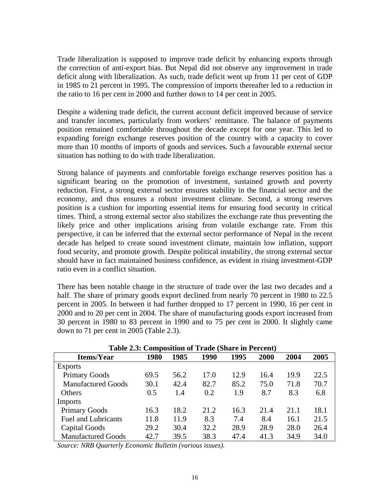Trade liberalization is supposed to improve trade deficit by enhancing exports through the correction of anti-export bias. But Nepal did not observe any improvement in trade deficit along with liberalization. As such, trade deficit went up from 11 per cent of GDP in 1985 to 21 percent in 1995. The compression of imports thereafter led to a reduction in the ratio to 16 per cent in 2000 and further down to 14 per cent in 2005.

Despite a widening trade deficit, the current account deficit improved because of service and transfer incomes, particularly from workers' remittance. The balance of payments position remained comfortable throughout the decade except for one year. This led to expanding foreign exchange reserves position of the country with a capacity to cover more than 10 months of imports of goods and services. Such a favourable external sector situation has nothing to do with trade liberalization.

Strong balance of payments and comfortable foreign exchange reserves position has a significant bearing on the promotion of investment, sustained growth and poverty reduction. First, a strong external sector ensures stability in the financial sector and the economy, and thus ensures a robust investment climate. Second, a strong reserves position is a cushion for importing essential items for ensuring food security in critical times. Third, a strong external sector also stabilizes the exchange rate thus preventing the likely price and other implications arising from volatile exchange rate. From this perspective, it can be inferred that the external sector performance of Nepal in the recent decade has helped to create sound investment climate, maintain low inflation, support food security, and promote growth. Despite political instability, the strong external sector should have in fact maintained business confidence, as evident in rising investment-GDP ratio even in a conflict situation.

There has been notable change in the structure of trade over the last two decades and a half. The share of primary goods export declined from nearly 70 percent in 1980 to 22.5 percent in 2005. In between it had further dropped to 17 percent in 1990, 16 per cent in 2000 and to 20 per cent in 2004. The share of manufacturing goods export increased from 30 percent in 1980 to 83 percent in 1990 and to 75 per cent in 2000. It slightly came down to 71 per cent in 2005 (Table 2.3).

| <b>Table 2.3: Composition of Trade (Share in Percent)</b> |      |      |      |      |      |      |      |  |  |
|-----------------------------------------------------------|------|------|------|------|------|------|------|--|--|
| Items/Year                                                | 1980 | 1985 | 1990 | 1995 | 2000 | 2004 | 2005 |  |  |
| <b>Exports</b>                                            |      |      |      |      |      |      |      |  |  |
| <b>Primary Goods</b>                                      | 69.5 | 56.2 | 17.0 | 12.9 | 16.4 | 19.9 | 22.5 |  |  |
| <b>Manufactured Goods</b>                                 | 30.1 | 42.4 | 82.7 | 85.2 | 75.0 | 71.8 | 70.7 |  |  |
| Others                                                    | 0.5  | 1.4  | 0.2  | 1.9  | 8.7  | 8.3  | 6.8  |  |  |
| Imports                                                   |      |      |      |      |      |      |      |  |  |
| <b>Primary Goods</b>                                      | 16.3 | 18.2 | 21.2 | 16.3 | 21.4 | 21.1 | 18.1 |  |  |
| <b>Fuel and Lubricants</b>                                | 11.8 | 11.9 | 8.3  | 7.4  | 8.4  | 16.1 | 21.5 |  |  |
| Capital Goods                                             | 29.2 | 30.4 | 32.2 | 28.9 | 28.9 | 28.0 | 26.4 |  |  |
| <b>Manufactured Goods</b>                                 | 42.7 | 39.5 | 38.3 | 47.4 | 41.3 | 34.9 | 34.0 |  |  |
|                                                           |      |      |      |      |      |      |      |  |  |

**Table 2.3: Composition of Trade (Share in Percent)** 

*Source: NRB Quarterly Economic Bulletin (various issues).*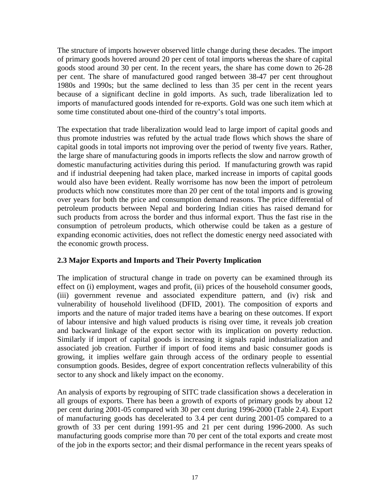The structure of imports however observed little change during these decades. The import of primary goods hovered around 20 per cent of total imports whereas the share of capital goods stood around 30 per cent. In the recent years, the share has come down to 26-28 per cent. The share of manufactured good ranged between 38-47 per cent throughout 1980s and 1990s; but the same declined to less than 35 per cent in the recent years because of a significant decline in gold imports. As such, trade liberalization led to imports of manufactured goods intended for re-exports. Gold was one such item which at some time constituted about one-third of the country's total imports.

The expectation that trade liberalization would lead to large import of capital goods and thus promote industries was refuted by the actual trade flows which shows the share of capital goods in total imports not improving over the period of twenty five years. Rather, the large share of manufacturing goods in imports reflects the slow and narrow growth of domestic manufacturing activities during this period. If manufacturing growth was rapid and if industrial deepening had taken place, marked increase in imports of capital goods would also have been evident. Really worrisome has now been the import of petroleum products which now constitutes more than 20 per cent of the total imports and is growing over years for both the price and consumption demand reasons. The price differential of petroleum products between Nepal and bordering Indian cities has raised demand for such products from across the border and thus informal export. Thus the fast rise in the consumption of petroleum products, which otherwise could be taken as a gesture of expanding economic activities, does not reflect the domestic energy need associated with the economic growth process.

## **2.3 Major Exports and Imports and Their Poverty Implication**

The implication of structural change in trade on poverty can be examined through its effect on (i) employment, wages and profit, (ii) prices of the household consumer goods, (iii) government revenue and associated expenditure pattern, and (iv) risk and vulnerability of household livelihood (DFID, 2001). The composition of exports and imports and the nature of major traded items have a bearing on these outcomes. If export of labour intensive and high valued products is rising over time, it reveals job creation and backward linkage of the export sector with its implication on poverty reduction. Similarly if import of capital goods is increasing it signals rapid industrialization and associated job creation. Further if import of food items and basic consumer goods is growing, it implies welfare gain through access of the ordinary people to essential consumption goods. Besides, degree of export concentration reflects vulnerability of this sector to any shock and likely impact on the economy.

An analysis of exports by regrouping of SITC trade classification shows a deceleration in all groups of exports. There has been a growth of exports of primary goods by about 12 per cent during 2001-05 compared with 30 per cent during 1996-2000 (Table 2.4). Export of manufacturing goods has decelerated to 3.4 per cent during 2001-05 compared to a growth of 33 per cent during 1991-95 and 21 per cent during 1996-2000. As such manufacturing goods comprise more than 70 per cent of the total exports and create most of the job in the exports sector; and their dismal performance in the recent years speaks of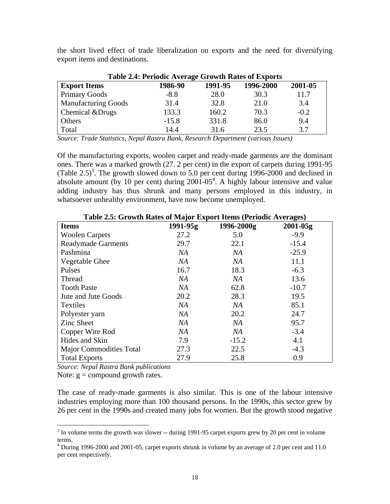the short lived effect of trade liberalization on exports and the need for diversifying export items and destinations.

| <b>Table 2.4: Periodic Average Growth Rates of Exports</b> |         |         |           |         |  |  |  |  |  |
|------------------------------------------------------------|---------|---------|-----------|---------|--|--|--|--|--|
| <b>Export Items</b>                                        | 1986-90 | 1991-95 | 1996-2000 | 2001-05 |  |  |  |  |  |
| <b>Primary Goods</b>                                       | $-8.8$  | 28.0    | 30.3      | 11.7    |  |  |  |  |  |
| <b>Manufacturing Goods</b>                                 | 31.4    | 32.8    | 21.0      | 3.4     |  |  |  |  |  |
| Chemical &Drugs                                            | 133.3   | 160.2   | 70.3      | $-0.2$  |  |  |  |  |  |
| Others                                                     | $-15.8$ | 331.8   | 86.0      | 9.4     |  |  |  |  |  |
| Total                                                      | 14.4    | 31.6    | 23.5      | 3.7     |  |  |  |  |  |

*Source: Trade Statistics, Nepal Rastra Bank, Research Department (various Issues)* 

Of the manufacturing exports, woolen carpet and ready-made garments are the dominant ones. There was a marked growth (27. 2 per cent) in the export of carpets during 1991-95 (Table  $2.5$ )<sup>3</sup>. The growth slowed down to 5.0 per cent during 1996-2000 and declined in absolute amount (by 10 per cent) during  $2001-05<sup>4</sup>$ . A highly labour intensive and value adding industry has thus shrunk and many persons employed in this industry, in whatsoever unhealthy environment, have now become unemployed.

| Table 2.3. Growth Kates of major Export Reins (Ferfour Averages) |              |            |              |  |  |  |  |  |  |
|------------------------------------------------------------------|--------------|------------|--------------|--|--|--|--|--|--|
| <b>Items</b>                                                     | $1991 - 95g$ | 1996-2000g | $2001 - 05g$ |  |  |  |  |  |  |
| <b>Woolen Carpets</b>                                            | 27.2         | 5.0        | $-9.9$       |  |  |  |  |  |  |
| <b>Readymade Garments</b>                                        | 29.7         | 22.1       | $-15.4$      |  |  |  |  |  |  |
| Pashmina                                                         | NA           | NA         | $-25.9$      |  |  |  |  |  |  |
| Vegetable Ghee                                                   | NA           | NA         | 11.1         |  |  |  |  |  |  |
| Pulses                                                           | 16.7         | 18.3       | $-6.3$       |  |  |  |  |  |  |
| Thread                                                           | NA           | NA         | 13.6         |  |  |  |  |  |  |
| <b>Tooth Paste</b>                                               | NA           | 62.8       | $-10.7$      |  |  |  |  |  |  |
| Jute and Jute Goods                                              | 20.2         | 28.3       | 19.5         |  |  |  |  |  |  |
| <b>Textiles</b>                                                  | NA           | NA         | 85.1         |  |  |  |  |  |  |
| Polyester yarn                                                   | NA           | 20.2       | 24.7         |  |  |  |  |  |  |
| Zinc Sheet                                                       | NA           | NA         | 95.7         |  |  |  |  |  |  |
| Copper Wire Rod                                                  | NA           | NA         | $-3.4$       |  |  |  |  |  |  |
| Hides and Skin                                                   | 7.9          | $-15.2$    | 4.1          |  |  |  |  |  |  |
| <b>Major Commodities Total</b>                                   | 27.3         | 22.5       | $-4.3$       |  |  |  |  |  |  |
| <b>Total Exports</b>                                             | 27.9         | 25.8       | 0.9          |  |  |  |  |  |  |

**Table 2.5: Growth Rates of Major Export Items (Periodic Averages)** 

*Source: Nepal Rastra Bank publications* 

Note:  $g =$  compound growth rates.

The case of ready-made garments is also similar. This is one of the labour intensive industries employing more than 100 thousand persons. In the 1990s, this sector grew by 26 per cent in the 1990s and created many jobs for women. But the growth stood negative

<sup>&</sup>lt;sup>3</sup> In volume terms the growth was slower -- during 1991-95 carpet exports grew by 20 per cent in volume terms.

<sup>&</sup>lt;sup>4</sup> During 1996-2000 and 2001-05, carpet exports shrunk in volume by an average of 2.0 per cent and 11.0 per cent respectively.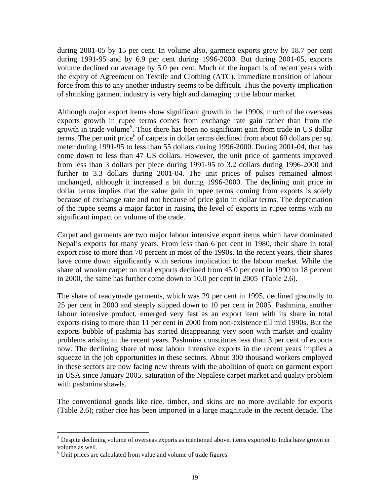during 2001-05 by 15 per cent. In volume also, garment exports grew by 18.7 per cent during 1991-95 and by 6.9 per cent during 1996-2000. But during 2001-05, exports volume declined on average by 5.0 per cent. Much of the impact is of recent years with the expiry of Agreement on Textile and Clothing (ATC). Immediate transition of labour force from this to any another industry seems to be difficult. Thus the poverty implication of shrinking garment industry is very high and damaging to the labour market.

Although major export items show significant growth in the 1990s, much of the overseas exports growth in rupee terms comes from exchange rate gain rather than from the growth in trade volume<sup>5</sup>. Thus there has been no significant gain from trade in US dollar terms. The per unit price<sup>6</sup> of carpets in dollar terms declined from about 60 dollars per sq. meter during 1991-95 to less than 55 dollars during 1996-2000. During 2001-04, that has come down to less than 47 US dollars. However, the unit price of garments improved from less than 3 dollars per piece during 1991-95 to 3.2 dollars during 1996-2000 and further to 3.3 dollars during 2001-04. The unit prices of pulses remained almost unchanged, although it increased a bit during 1996-2000. The declining unit price in dollar terms implies that the value gain in rupee terms coming from exports is solely because of exchange rate and not because of price gain in dollar terms. The depreciation of the rupee seems a major factor in raising the level of exports in rupee terms with no significant impact on volume of the trade.

Carpet and garments are two major labour intensive export items which have dominated Nepal's exports for many years. From less than 6 per cent in 1980, their share in total export rose to more than 70 percent in most of the 1990s. In the recent years, their shares have come down significantly with serious implication to the labour market. While the share of woolen carpet on total exports declined from 45.0 per cent in 1990 to 18 percent in 2000, the same has further come down to 10.0 per cent in 2005 (Table 2.6).

The share of readymade garments, which was 29 per cent in 1995, declined gradually to 25 per cent in 2000 and steeply slipped down to 10 per cent in 2005. Pashmina, another labour intensive product, emerged very fast as an export item with its share in total exports rising to more than 11 per cent in 2000 from non-existence till mid 1990s. But the exports bubble of pashmia has started disappearing very soon with market and quality problems arising in the recent years. Pashmina constitutes less than 3 per cent of exports now. The declining share of most labour intensive exports in the recent years implies a squeeze in the job opportunities in these sectors. About 300 thousand workers employed in these sectors are now facing new threats with the abolition of quota on garment export in USA since January 2005, saturation of the Nepalese carpet market and quality problem with pashmina shawls.

The conventional goods like rice, timber, and skins are no more available for exports (Table 2.6); rather rice has been imported in a large magnitude in the recent decade. The

 $\overline{a}$ 

<sup>&</sup>lt;sup>5</sup> Despite declining volume of overseas exports as mentioned above, items exported to India have grown in volume as well.

 $6$  Unit prices are calculated from value and volume of trade figures.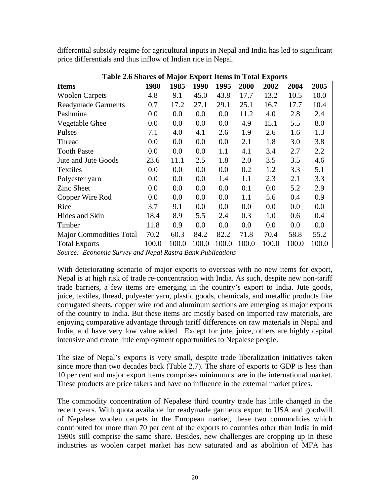differential subsidy regime for agricultural inputs in Nepal and India has led to significant price differentials and thus inflow of Indian rice in Nepal.

| Table 2.6 Shares of Major Export Items in Total Exports |       |       |       |       |       |       |       |       |
|---------------------------------------------------------|-------|-------|-------|-------|-------|-------|-------|-------|
| <b>Items</b>                                            | 1980  | 1985  | 1990  | 1995  | 2000  | 2002  | 2004  | 2005  |
| <b>Woolen Carpets</b>                                   | 4.8   | 9.1   | 45.0  | 43.8  | 17.7  | 13.2  | 10.5  | 10.0  |
| <b>Readymade Garments</b>                               | 0.7   | 17.2  | 27.1  | 29.1  | 25.1  | 16.7  | 17.7  | 10.4  |
| Pashmina                                                | 0.0   | 0.0   | 0.0   | 0.0   | 11.2  | 4.0   | 2.8   | 2.4   |
| <b>Vegetable Ghee</b>                                   | 0.0   | 0.0   | 0.0   | 0.0   | 4.9   | 15.1  | 5.5   | 8.0   |
| Pulses                                                  | 7.1   | 4.0   | 4.1   | 2.6   | 1.9   | 2.6   | 1.6   | 1.3   |
| Thread                                                  | 0.0   | 0.0   | 0.0   | 0.0   | 2.1   | 1.8   | 3.0   | 3.8   |
| <b>Tooth Paste</b>                                      | 0.0   | 0.0   | 0.0   | 1.1   | 4.1   | 3.4   | 2.7   | 2.2   |
| Jute and Jute Goods                                     | 23.6  | 11.1  | 2.5   | 1.8   | 2.0   | 3.5   | 3.5   | 4.6   |
| <b>Textiles</b>                                         | 0.0   | 0.0   | 0.0   | 0.0   | 0.2   | 1.2   | 3.3   | 5.1   |
| Polyester yarn                                          | 0.0   | 0.0   | 0.0   | 1.4   | 1.1   | 2.3   | 2.1   | 3.3   |
| <b>Zinc Sheet</b>                                       | 0.0   | 0.0   | 0.0   | 0.0   | 0.1   | 0.0   | 5.2   | 2.9   |
| Copper Wire Rod                                         | 0.0   | 0.0   | 0.0   | 0.0   | 1.1   | 5.6   | 0.4   | 0.9   |
| Rice                                                    | 3.7   | 9.1   | 0.0   | 0.0   | 0.0   | 0.0   | 0.0   | 0.0   |
| Hides and Skin                                          | 18.4  | 8.9   | 5.5   | 2.4   | 0.3   | 1.0   | 0.6   | 0.4   |
| <b>Timber</b>                                           | 11.8  | 0.9   | 0.0   | 0.0   | 0.0   | 0.0   | 0.0   | 0.0   |
| Major Commodities Total                                 | 70.2  | 60.3  | 84.2  | 82.2  | 71.8  | 70.4  | 58.8  | 55.2  |
| <b>Total Exports</b>                                    | 100.0 | 100.0 | 100.0 | 100.0 | 100.0 | 100.0 | 100.0 | 100.0 |

**Table 2.6 Shares of Major Export Items in Total Exports**

*Source: Economic Survey and Nepal Rastra Bank Publications* 

With deteriorating scenario of major exports to overseas with no new items for export, Nepal is at high risk of trade re-concentration with India. As such, despite new non-tariff trade barriers, a few items are emerging in the country's export to India. Jute goods, juice, textiles, thread, polyester yarn, plastic goods, chemicals, and metallic products like corrugated sheets, copper wire rod and aluminum sections are emerging as major exports of the country to India. But these items are mostly based on imported raw materials, are enjoying comparative advantage through tariff differences on raw materials in Nepal and India, and have very low value added. Except for jute, juice, others are highly capital intensive and create little employment opportunities to Nepalese people.

The size of Nepal's exports is very small, despite trade liberalization initiatives taken since more than two decades back (Table 2.7). The share of exports to GDP is less than 10 per cent and major export items comprises minimum share in the international market. These products are price takers and have no influence in the external market prices.

The commodity concentration of Nepalese third country trade has little changed in the recent years. With quota available for readymade garments export to USA and goodwill of Nepalese woolen carpets in the European market, these two commodities which contributed for more than 70 per cent of the exports to countries other than India in mid 1990s still comprise the same share. Besides, new challenges are cropping up in these industries as woolen carpet market has now saturated and as abolition of MFA has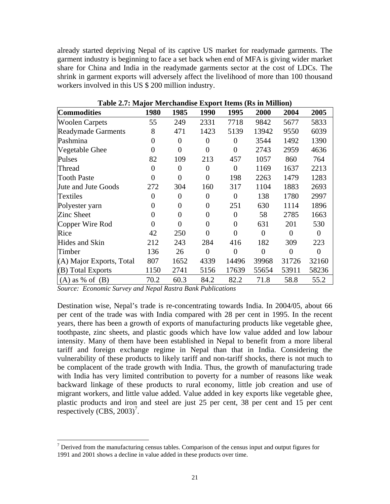already started depriving Nepal of its captive US market for readymade garments. The garment industry is beginning to face a set back when end of MFA is giving wider market share for China and India in the readymade garments sector at the cost of LDCs. The shrink in garment exports will adversely affect the livelihood of more than 100 thousand workers involved in this US \$ 200 million industry.

| <b>Commodities</b>        | 1980 | 1985     | 1990     | 1995           | 2000     | 2004     | 2005     |
|---------------------------|------|----------|----------|----------------|----------|----------|----------|
| <b>Woolen Carpets</b>     | 55   | 249      | 2331     | 7718           | 9842     | 5677     | 5833     |
| <b>Readymade Garments</b> | 8    | 471      | 1423     | 5139           | 13942    | 9550     | 6039     |
| Pashmina                  | 0    | $\Omega$ | 0        | 0              | 3544     | 1492     | 1390     |
| <b>Vegetable Ghee</b>     | 0    | $\Omega$ | 0        | 0              | 2743     | 2959     | 4636     |
| Pulses                    | 82   | 109      | 213      | 457            | 1057     | 860      | 764      |
| Thread                    | 0    | $\Omega$ | 0        | $\overline{0}$ | 1169     | 1637     | 2213     |
| <b>Tooth Paste</b>        | 0    | $\Omega$ | 0        | 198            | 2263     | 1479     | 1283     |
| Jute and Jute Goods       | 272  | 304      | 160      | 317            | 1104     | 1883     | 2693     |
| Textiles                  | 0    | $\Omega$ | 0        | $\overline{0}$ | 138      | 1780     | 2997     |
| Polyester yarn            | 0    | $\Omega$ | 0        | 251            | 630      | 1114     | 1896     |
| Zinc Sheet                | 0    | $\Omega$ | 0        | $\theta$       | 58       | 2785     | 1663     |
| Copper Wire Rod           | 0    | 0        | 0        | $\overline{0}$ | 631      | 201      | 530      |
| Rice                      | 42   | 250      | 0        | $\theta$       | $\Omega$ | $\theta$ | $\Omega$ |
| Hides and Skin            | 212  | 243      | 284      | 416            | 182      | 309      | 223      |
| Timber                    | 136  | 26       | $\Omega$ | $\theta$       | $\Omega$ | $\theta$ | $\Omega$ |
| (A) Major Exports, Total  | 807  | 1652     | 4339     | 14496          | 39968    | 31726    | 32160    |
| (B) Total Exports         | 1150 | 2741     | 5156     | 17639          | 55654    | 53911    | 58236    |
| $(A)$ as % of $(B)$       | 70.2 | 60.3     | 84.2     | 82.2           | 71.8     | 58.8     | 55.2     |

**Table 2.7: Major Merchandise Export Items (Rs in Million)** 

*Source: Economic Survey and Nepal Rastra Bank Publications* 

 $\overline{a}$ 

Destination wise, Nepal's trade is re-concentrating towards India. In 2004/05, about 66 per cent of the trade was with India compared with 28 per cent in 1995. In the recent years, there has been a growth of exports of manufacturing products like vegetable ghee, toothpaste, zinc sheets, and plastic goods which have low value added and low labour intensity. Many of them have been established in Nepal to benefit from a more liberal tariff and foreign exchange regime in Nepal than that in India. Considering the vulnerability of these products to likely tariff and non-tariff shocks, there is not much to be complacent of the trade growth with India. Thus, the growth of manufacturing trade with India has very limited contribution to poverty for a number of reasons like weak backward linkage of these products to rural economy, little job creation and use of migrant workers, and little value added. Value added in key exports like vegetable ghee, plastic products and iron and steel are just 25 per cent, 38 per cent and 15 per cent respectively  $(CBS, 2003)^7$ .

 $<sup>7</sup>$  Derived from the manufacturing census tables. Comparison of the census input and output figures for</sup> 1991 and 2001 shows a decline in value added in these products over time.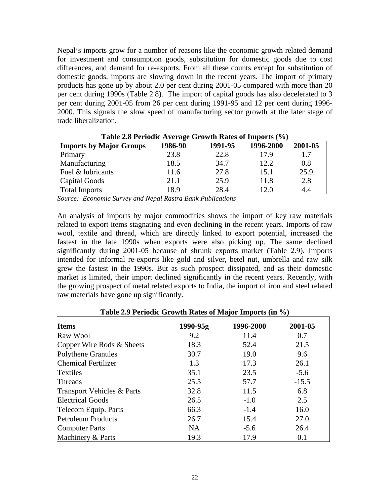Nepal's imports grow for a number of reasons like the economic growth related demand for investment and consumption goods, substitution for domestic goods due to cost differences, and demand for re-exports. From all these counts except for substitution of domestic goods, imports are slowing down in the recent years. The import of primary products has gone up by about 2.0 per cent during 2001-05 compared with more than 20 per cent during 1990s (Table 2.8). The import of capital goods has also decelerated to 3 per cent during 2001-05 from 26 per cent during 1991-95 and 12 per cent during 1996- 2000. This signals the slow speed of manufacturing sector growth at the later stage of trade liberalization.

| Table 2.8 Periodic Average Growth Rates of Imports (%) |         |         |           |         |  |  |  |  |  |
|--------------------------------------------------------|---------|---------|-----------|---------|--|--|--|--|--|
| <b>Imports by Major Groups</b>                         | 1986-90 | 1991-95 | 1996-2000 | 2001-05 |  |  |  |  |  |
| Primary                                                | 23.8    | 22.8    | 17.9      | 1.7     |  |  |  |  |  |
| Manufacturing                                          | 18.5    | 34.7    | 12.2      | 0.8     |  |  |  |  |  |
| Fuel & lubricants                                      | 11.6    | 27.8    | 15.1      | 25.9    |  |  |  |  |  |
| Capital Goods                                          | 21.1    | 25.9    | 11.8      | 2.8     |  |  |  |  |  |
| <b>Total Imports</b>                                   | 18.9    | 28.4    | 12.0      | 4.4     |  |  |  |  |  |

*Source: Economic Survey and Nepal Rastra Bank Publications* 

An analysis of imports by major commodities shows the import of key raw materials related to export items stagnating and even declining in the recent years. Imports of raw wool, textile and thread, which are directly linked to export potential, increased the fastest in the late 1990s when exports were also picking up. The same declined significantly during 2001-05 because of shrunk exports market (Table 2.9). Imports intended for informal re-exports like gold and silver, betel nut, umbrella and raw silk grew the fastest in the 1990s. But as such prospect dissipated, and as their domestic market is limited, their import declined significantly in the recent years. Recently, with the growing prospect of metal related exports to India, the import of iron and steel related raw materials have gone up significantly.

| <b>Lavit 2.7 Let four Growin Kates of Major Thipolity (III</b> 70) |           |           |         |  |  |  |  |
|--------------------------------------------------------------------|-----------|-----------|---------|--|--|--|--|
| <b>Items</b>                                                       | 1990-95g  | 1996-2000 | 2001-05 |  |  |  |  |
| Raw Wool                                                           | 9.2       | 11.4      | 0.7     |  |  |  |  |
| Copper Wire Rods & Sheets                                          | 18.3      | 52.4      | 21.5    |  |  |  |  |
| Polythene Granules                                                 | 30.7      | 19.0      | 9.6     |  |  |  |  |
| <b>Chemical Fertilizer</b>                                         | 1.3       | 17.3      | 26.1    |  |  |  |  |
| <b>Textiles</b>                                                    | 35.1      | 23.5      | $-5.6$  |  |  |  |  |
| <b>Threads</b>                                                     | 25.5      | 57.7      | $-15.5$ |  |  |  |  |
| Transport Vehicles & Parts                                         | 32.8      | 11.5      | 6.8     |  |  |  |  |
| <b>Electrical Goods</b>                                            | 26.5      | $-1.0$    | 2.5     |  |  |  |  |
| Telecom Equip. Parts                                               | 66.3      | $-1.4$    | 16.0    |  |  |  |  |
| <b>Petroleum Products</b>                                          | 26.7      | 15.4      | 27.0    |  |  |  |  |
| <b>Computer Parts</b>                                              | <b>NA</b> | $-5.6$    | 26.4    |  |  |  |  |
| Machinery & Parts                                                  | 19.3      | 17.9      | 0.1     |  |  |  |  |

## **Table 2.9 Periodic Growth Rates of Major Imports (in %)**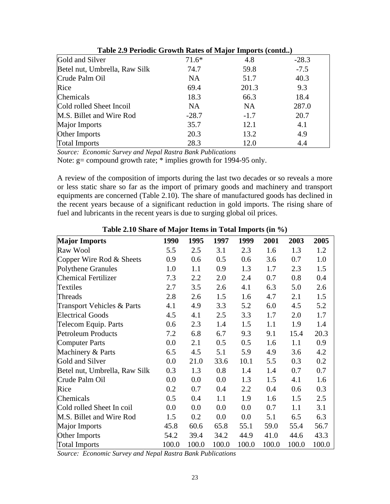| $\sim$ 0.010 and 0.000 $\sim$ 0.1000 $\sim$ 1.1000 $\sim$ 1.1000 $\sim$ 1.11000.000 $\sim$ 0.011.000 |           |           |         |
|------------------------------------------------------------------------------------------------------|-----------|-----------|---------|
| Gold and Silver                                                                                      | $71.6*$   | 4.8       | $-28.3$ |
| Betel nut, Umbrella, Raw Silk                                                                        | 74.7      | 59.8      | $-7.5$  |
| Crude Palm Oil                                                                                       | <b>NA</b> | 51.7      | 40.3    |
| Rice                                                                                                 | 69.4      | 201.3     | 9.3     |
| <b>Chemicals</b>                                                                                     | 18.3      | 66.3      | 18.4    |
| Cold rolled Sheet Incoil                                                                             | <b>NA</b> | <b>NA</b> | 287.0   |
| M.S. Billet and Wire Rod                                                                             | $-28.7$   | $-1.7$    | 20.7    |
| Major Imports                                                                                        | 35.7      | 12.1      | 4.1     |
| Other Imports                                                                                        | 20.3      | 13.2      | 4.9     |
| <b>Total Imports</b>                                                                                 | 28.3      | 12.0      | 4.4     |

| Table 2.9 Periodic Growth Rates of Major Imports (contd) |  |  |  |
|----------------------------------------------------------|--|--|--|
|----------------------------------------------------------|--|--|--|

*Source: Economic Survey and Nepal Rastra Bank Publications* 

Note: g= compound growth rate; \* implies growth for 1994-95 only.

A review of the composition of imports during the last two decades or so reveals a more or less static share so far as the import of primary goods and machinery and transport equipments are concerned (Table 2.10). The share of manufactured goods has declined in the recent years because of a significant reduction in gold imports. The rising share of fuel and lubricants in the recent years is due to surging global oil prices.

| <b>Major Imports</b>          | 1990  | 1995  | 1997  | 1999  | 2001  | 2003  | 2005  |
|-------------------------------|-------|-------|-------|-------|-------|-------|-------|
| Raw Wool                      | 5.5   | 2.5   | 3.1   | 2.3   | 1.6   | 1.3   | 1.2   |
| Copper Wire Rod & Sheets      | 0.9   | 0.6   | 0.5   | 0.6   | 3.6   | 0.7   | 1.0   |
| Polythene Granules            | 1.0   | 1.1   | 0.9   | 1.3   | 1.7   | 2.3   | 1.5   |
| <b>Chemical Fertilizer</b>    | 7.3   | 2.2   | 2.0   | 2.4   | 0.7   | 0.8   | 0.4   |
| <b>Textiles</b>               | 2.7   | 3.5   | 2.6   | 4.1   | 6.3   | 5.0   | 2.6   |
| <b>Threads</b>                | 2.8   | 2.6   | 1.5   | 1.6   | 4.7   | 2.1   | 1.5   |
| Transport Vehicles & Parts    | 4.1   | 4.9   | 3.3   | 5.2   | 6.0   | 4.5   | 5.2   |
| <b>Electrical Goods</b>       | 4.5   | 4.1   | 2.5   | 3.3   | 1.7   | 2.0   | 1.7   |
| Telecom Equip. Parts          | 0.6   | 2.3   | 1.4   | 1.5   | 1.1   | 1.9   | 1.4   |
| <b>Petroleum Products</b>     | 7.2   | 6.8   | 6.7   | 9.3   | 9.1   | 15.4  | 20.3  |
| <b>Computer Parts</b>         | 0.0   | 2.1   | 0.5   | 0.5   | 1.6   | 1.1   | 0.9   |
| Machinery & Parts             | 6.5   | 4.5   | 5.1   | 5.9   | 4.9   | 3.6   | 4.2   |
| Gold and Silver               | 0.0   | 21.0  | 33.6  | 10.1  | 5.5   | 0.3   | 0.2   |
| Betel nut, Umbrella, Raw Silk | 0.3   | 1.3   | 0.8   | 1.4   | 1.4   | 0.7   | 0.7   |
| Crude Palm Oil                | 0.0   | 0.0   | 0.0   | 1.3   | 1.5   | 4.1   | 1.6   |
| Rice                          | 0.2   | 0.7   | 0.4   | 2.2   | 0.4   | 0.6   | 0.3   |
| Chemicals                     | 0.5   | 0.4   | 1.1   | 1.9   | 1.6   | 1.5   | 2.5   |
| Cold rolled Sheet In coil     | 0.0   | 0.0   | 0.0   | 0.0   | 0.7   | 1.1   | 3.1   |
| M.S. Billet and Wire Rod      | 1.5   | 0.2   | 0.0   | 0.0   | 5.1   | 6.5   | 6.3   |
| Major Imports                 | 45.8  | 60.6  | 65.8  | 55.1  | 59.0  | 55.4  | 56.7  |
| Other Imports                 | 54.2  | 39.4  | 34.2  | 44.9  | 41.0  | 44.6  | 43.3  |
| <b>Total Imports</b>          | 100.0 | 100.0 | 100.0 | 100.0 | 100.0 | 100.0 | 100.0 |

**Table 2.10 Share of Major Items in Total Imports (in %)** 

*Source: Economic Survey and Nepal Rastra Bank Publications*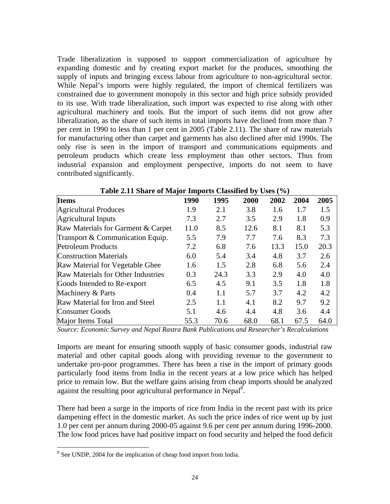Trade liberalization is supposed to support commercialization of agriculture by expanding domestic and by creating export market for the produces, smoothing the supply of inputs and bringing excess labour from agriculture to non-agricultural sector. While Nepal's imports were highly regulated, the import of chemical fertilizers was constrained due to government monopoly in this sector and high price subsidy provided to its use. With trade liberalization, such import was expected to rise along with other agricultural machinery and tools. But the import of such items did not grow after liberalization, as the share of such items in total imports have declined from more than 7 per cent in 1990 to less than 1 per cent in 2005 (Table 2.11). The share of raw materials for manufacturing other than carpet and garments has also declined after mid 1990s. The only rise is seen in the import of transport and communications equipments and petroleum products which create less employment than other sectors. Thus from industrial expansion and employment perspective, imports do not seem to have contributed significantly.

| <b>Items</b>                              | 1990 | 1995 | 2000 | 2002 | 2004 | 2005 |
|-------------------------------------------|------|------|------|------|------|------|
| <b>Agricultural Produces</b>              | 1.9  | 2.1  | 3.8  | 1.6  | 1.7  | 1.5  |
| Agricultural Inputs                       | 7.3  | 2.7  | 3.5  | 2.9  | 1.8  | 0.9  |
| Raw Materials for Garment & Carpet        | 11.0 | 8.5  | 12.6 | 8.1  | 8.1  | 5.3  |
| Transport & Communication Equip.          | 5.5  | 7.9  | 7.7  | 7.6  | 8.3  | 7.3  |
| <b>Petroleum Products</b>                 | 7.2  | 6.8  | 7.6  | 13.3 | 15.0 | 20.3 |
| <b>Construction Materials</b>             | 6.0  | 5.4  | 3.4  | 4.8  | 3.7  | 2.6  |
| Raw Material for Vegetable Ghee           | 1.6  | 1.5  | 2.8  | 6.8  | 5.6  | 2.4  |
| <b>Raw Materials for Other Industries</b> | 0.3  | 24.3 | 3.3  | 2.9  | 4.0  | 4.0  |
| Goods Intended to Re-export               | 6.5  | 4.5  | 9.1  | 3.5  | 1.8  | 1.8  |
| Machinery & Parts                         | 0.4  | 1.1  | 5.7  | 3.7  | 4.2  | 4.2  |
| Raw Material for Iron and Steel           | 2.5  | 1.1  | 4.1  | 8.2  | 9.7  | 9.2  |
| <b>Consumer Goods</b>                     | 5.1  | 4.6  | 4.4  | 4.8  | 3.6  | 4.4  |
| Major Items Total                         | 55.3 | 70.6 | 68.0 | 68.1 | 67.5 | 64.0 |

| Table 2.11 Share of Major Imports Classified by Uses (%) |  |  |  |  |  |  |
|----------------------------------------------------------|--|--|--|--|--|--|
|----------------------------------------------------------|--|--|--|--|--|--|

*Source: Economic Survey and Nepal Rastra Bank Publications and Researcher's Recalculations* 

Imports are meant for ensuring smooth supply of basic consumer goods, industrial raw material and other capital goods along with providing revenue to the government to undertake pro-poor programmes. There has been a rise in the import of primary goods particularly food items from India in the recent years at a low price which has helped price to remain low. But the welfare gains arising from cheap imports should be analyzed against the resulting poor agricultural performance in Nepal<sup>8</sup>.

There had been a surge in the imports of rice from India in the recent past with its price dampening effect in the domestic market. As such the price index of rice went up by just 1.0 per cent per annum during 2000-05 against 9.6 per cent per annum during 1996-2000. The low food prices have had positive impact on food security and helped the food deficit

 $\overline{a}$ 

<sup>&</sup>lt;sup>8</sup> See UNDP, 2004 for the implication of cheap food import from India.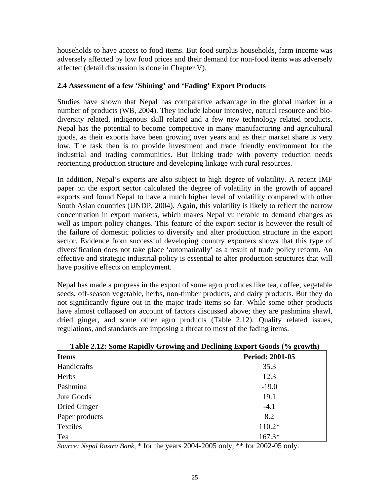households to have access to food items. But food surplus households, farm income was adversely affected by low food prices and their demand for non-food items was adversely affected (detail discussion is done in Chapter V).

## **2.4 Assessment of a few 'Shining' and 'Fading' Export Products**

Studies have shown that Nepal has comparative advantage in the global market in a number of products (WB, 2004). They include labour intensive, natural resource and biodiversity related, indigenous skill related and a few new technology related products. Nepal has the potential to become competitive in many manufacturing and agricultural goods, as their exports have been growing over years and as their market share is very low. The task then is to provide investment and trade friendly environment for the industrial and trading communities. But linking trade with poverty reduction needs reorienting production structure and developing linkage with rural resources.

In addition, Nepal's exports are also subject to high degree of volatility. A recent IMF paper on the export sector calculated the degree of volatility in the growth of apparel exports and found Nepal to have a much higher level of volatility compared with other South Asian countries (UNDP, 2004). Again, this volatility is likely to reflect the narrow concentration in export markets, which makes Nepal vulnerable to demand changes as well as import policy changes. This feature of the export sector is however the result of the failure of domestic policies to diversify and alter production structure in the export sector. Evidence from successful developing country exporters shows that this type of diversification does not take place 'automatically' as a result of trade policy reform. An effective and strategic industrial policy is essential to alter production structures that will have positive effects on employment.

Nepal has made a progress in the export of some agro produces like tea, coffee, vegetable seeds, off-season vegetable, herbs, non-timber products, and dairy products. But they do not significantly figure out in the major trade items so far. While some other products have almost collapsed on account of factors discussed above; they are pashmina shawl, dried ginger, and some other agro products (Table 2.12). Quality related issues, regulations, and standards are imposing a threat to most of the fading items.

| Table 2.12: Some Rapidly Growing and Declining Export Goods (% growth) |                        |  |  |
|------------------------------------------------------------------------|------------------------|--|--|
| <b>Items</b>                                                           | <b>Period: 2001-05</b> |  |  |
| Handicrafts                                                            | 35.3                   |  |  |
| <b>Herbs</b>                                                           | 12.3                   |  |  |
| Pashmina                                                               | $-19.0$                |  |  |
| Jute Goods                                                             | 19.1                   |  |  |
| Dried Ginger                                                           | $-4.1$                 |  |  |
| Paper products                                                         | 8.2                    |  |  |
| <b>Textiles</b>                                                        | 110.2*                 |  |  |
| Tea                                                                    | $167.3*$               |  |  |

*Source: Nepal Rastra Bank,* \* for the years 2004-2005 only, \*\* for 2002-05 only.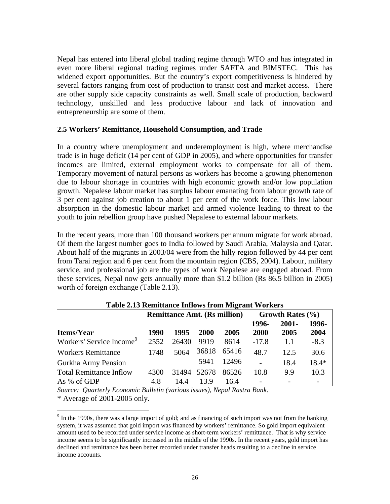Nepal has entered into liberal global trading regime through WTO and has integrated in even more liberal regional trading regimes under SAFTA and BIMSTEC. This has widened export opportunities. But the country's export competitiveness is hindered by several factors ranging from cost of production to transit cost and market access. There are other supply side capacity constraints as well. Small scale of production, backward technology, unskilled and less productive labour and lack of innovation and entrepreneurship are some of them.

#### **2.5 Workers' Remittance, Household Consumption, and Trade**

In a country where unemployment and underemployment is high, where merchandise trade is in huge deficit (14 per cent of GDP in 2005), and where opportunities for transfer incomes are limited, external employment works to compensate for all of them. Temporary movement of natural persons as workers has become a growing phenomenon due to labour shortage in countries with high economic growth and/or low population growth. Nepalese labour market has surplus labour emanating from labour growth rate of 3 per cent against job creation to about 1 per cent of the work force. This low labour absorption in the domestic labour market and armed violence leading to threat to the youth to join rebellion group have pushed Nepalese to external labour markets.

In the recent years, more than 100 thousand workers per annum migrate for work abroad. Of them the largest number goes to India followed by Saudi Arabia, Malaysia and Qatar. About half of the migrants in 2003/04 were from the hilly region followed by 44 per cent from Tarai region and 6 per cent from the mountain region (CBS, 2004). Labour, military service, and professional job are the types of work Nepalese are engaged abroad. From these services, Nepal now gets annually more than \$1.2 billion (Rs 86.5 billion in 2005) worth of foreign exchange (Table 2.13).

| <b>Table 2.13 Remittance Inflows from Migrant Workers</b> |      |                                     |       |                      |         |       |         |  |  |
|-----------------------------------------------------------|------|-------------------------------------|-------|----------------------|---------|-------|---------|--|--|
|                                                           |      | <b>Remittance Amt. (Rs million)</b> |       | Growth Rates $(\% )$ |         |       |         |  |  |
|                                                           |      |                                     |       |                      | 1996-   | 2001- | 1996-   |  |  |
| Items/Year                                                | 1990 | 1995                                | 2000  | 2005                 | 2000    | 2005  | 2004    |  |  |
| Workers' Service Income <sup>9</sup>                      | 2552 | 26430                               | 9919  | 8614                 | $-17.8$ | 1.1   | $-8.3$  |  |  |
| <b>Workers Remittance</b>                                 | 1748 | 5064                                | 36818 | 65416                | 48.7    | 12.5  | 30.6    |  |  |
| Gurkha Army Pension                                       |      |                                     | 5941  | 12496                |         | 18.4  | $18.4*$ |  |  |
| <b>Total Remittance Inflow</b>                            | 4300 | 31494                               | 52678 | 86526                | 10.8    | 9.9   | 10.3    |  |  |
| As % of GDP                                               | 4.8  | 14.4                                | 13.9  | 16.4                 |         |       |         |  |  |

#### **Table 2.13 Remittance Inflows from Migrant Workers**

*Source: Quarterly Economic Bulletin (various issues), Nepal Rastra Bank.* 

\* Average of 2001-2005 only.

 $\overline{a}$ 

 $9<sup>9</sup>$  In the 1990s, there was a large import of gold; and as financing of such import was not from the banking system, it was assumed that gold import was financed by workers' remittance. So gold import equivalent amount used to be recorded under service income as short-term workers' remittance. That is why service income seems to be significantly increased in the middle of the 1990s. In the recent years, gold import has declined and remittance has been better recorded under transfer heads resulting to a decline in service income accounts.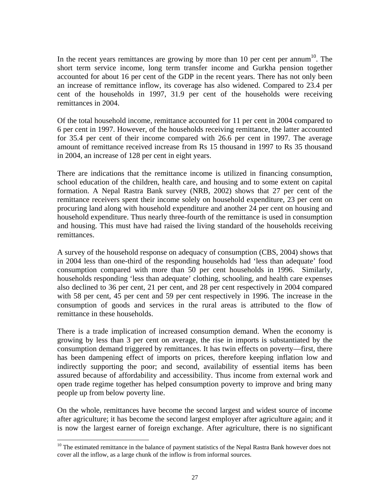In the recent years remittances are growing by more than 10 per cent per annum<sup>10</sup>. The short term service income, long term transfer income and Gurkha pension together accounted for about 16 per cent of the GDP in the recent years. There has not only been an increase of remittance inflow, its coverage has also widened. Compared to 23.4 per cent of the households in 1997, 31.9 per cent of the households were receiving remittances in 2004.

Of the total household income, remittance accounted for 11 per cent in 2004 compared to 6 per cent in 1997. However, of the households receiving remittance, the latter accounted for 35.4 per cent of their income compared with 26.6 per cent in 1997. The average amount of remittance received increase from Rs 15 thousand in 1997 to Rs 35 thousand in 2004, an increase of 128 per cent in eight years.

There are indications that the remittance income is utilized in financing consumption, school education of the children, health care, and housing and to some extent on capital formation. A Nepal Rastra Bank survey (NRB, 2002) shows that 27 per cent of the remittance receivers spent their income solely on household expenditure, 23 per cent on procuring land along with household expenditure and another 24 per cent on housing and household expenditure. Thus nearly three-fourth of the remittance is used in consumption and housing. This must have had raised the living standard of the households receiving remittances.

A survey of the household response on adequacy of consumption (CBS, 2004) shows that in 2004 less than one-third of the responding households had 'less than adequate' food consumption compared with more than 50 per cent households in 1996. Similarly, households responding 'less than adequate' clothing, schooling, and health care expenses also declined to 36 per cent, 21 per cent, and 28 per cent respectively in 2004 compared with 58 per cent, 45 per cent and 59 per cent respectively in 1996. The increase in the consumption of goods and services in the rural areas is attributed to the flow of remittance in these households.

There is a trade implication of increased consumption demand. When the economy is growing by less than 3 per cent on average, the rise in imports is substantiated by the consumption demand triggered by remittances. It has twin effects on poverty—first, there has been dampening effect of imports on prices, therefore keeping inflation low and indirectly supporting the poor; and second, availability of essential items has been assured because of affordability and accessibility. Thus income from external work and open trade regime together has helped consumption poverty to improve and bring many people up from below poverty line.

On the whole, remittances have become the second largest and widest source of income after agriculture; it has become the second largest employer after agriculture again; and it is now the largest earner of foreign exchange. After agriculture, there is no significant

1

 $10$  The estimated remittance in the balance of payment statistics of the Nepal Rastra Bank however does not cover all the inflow, as a large chunk of the inflow is from informal sources.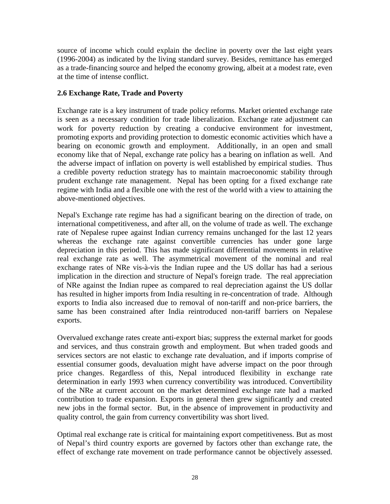source of income which could explain the decline in poverty over the last eight years (1996-2004) as indicated by the living standard survey. Besides, remittance has emerged as a trade-financing source and helped the economy growing, albeit at a modest rate, even at the time of intense conflict.

# **2.6 Exchange Rate, Trade and Poverty**

Exchange rate is a key instrument of trade policy reforms. Market oriented exchange rate is seen as a necessary condition for trade liberalization. Exchange rate adjustment can work for poverty reduction by creating a conducive environment for investment, promoting exports and providing protection to domestic economic activities which have a bearing on economic growth and employment. Additionally, in an open and small economy like that of Nepal, exchange rate policy has a bearing on inflation as well. And the adverse impact of inflation on poverty is well established by empirical studies. Thus a credible poverty reduction strategy has to maintain macroeconomic stability through prudent exchange rate management. Nepal has been opting for a fixed exchange rate regime with India and a flexible one with the rest of the world with a view to attaining the above-mentioned objectives.

Nepal's Exchange rate regime has had a significant bearing on the direction of trade, on international competitiveness, and after all, on the volume of trade as well. The exchange rate of Nepalese rupee against Indian currency remains unchanged for the last 12 years whereas the exchange rate against convertible currencies has under gone large depreciation in this period. This has made significant differential movements in relative real exchange rate as well. The asymmetrical movement of the nominal and real exchange rates of NRe vis-à-vis the Indian rupee and the US dollar has had a serious implication in the direction and structure of Nepal's foreign trade. The real appreciation of NRe against the Indian rupee as compared to real depreciation against the US dollar has resulted in higher imports from India resulting in re-concentration of trade. Although exports to India also increased due to removal of non-tariff and non-price barriers, the same has been constrained after India reintroduced non-tariff barriers on Nepalese exports.

Overvalued exchange rates create anti-export bias; suppress the external market for goods and services, and thus constrain growth and employment. But when traded goods and services sectors are not elastic to exchange rate devaluation, and if imports comprise of essential consumer goods, devaluation might have adverse impact on the poor through price changes. Regardless of this, Nepal introduced flexibility in exchange rate determination in early 1993 when currency convertibility was introduced. Convertibility of the NRe at current account on the market determined exchange rate had a marked contribution to trade expansion. Exports in general then grew significantly and created new jobs in the formal sector. But, in the absence of improvement in productivity and quality control, the gain from currency convertibility was short lived.

Optimal real exchange rate is critical for maintaining export competitiveness. But as most of Nepal's third country exports are governed by factors other than exchange rate, the effect of exchange rate movement on trade performance cannot be objectively assessed.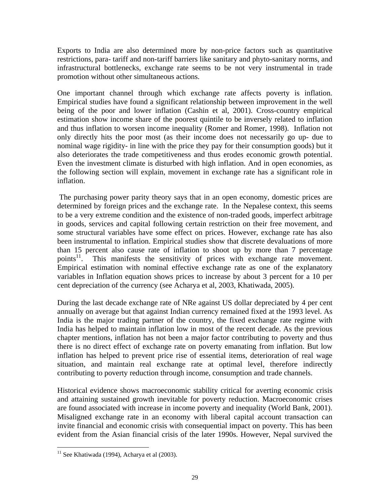Exports to India are also determined more by non-price factors such as quantitative restrictions, para- tariff and non-tariff barriers like sanitary and phyto-sanitary norms, and infrastructural bottlenecks, exchange rate seems to be not very instrumental in trade promotion without other simultaneous actions.

One important channel through which exchange rate affects poverty is inflation. Empirical studies have found a significant relationship between improvement in the well being of the poor and lower inflation (Cashin et al, 2001). Cross-country empirical estimation show income share of the poorest quintile to be inversely related to inflation and thus inflation to worsen income inequality (Romer and Romer, 1998). Inflation not only directly hits the poor most (as their income does not necessarily go up- due to nominal wage rigidity- in line with the price they pay for their consumption goods) but it also deteriorates the trade competitiveness and thus erodes economic growth potential. Even the investment climate is disturbed with high inflation. And in open economies, as the following section will explain, movement in exchange rate has a significant role in inflation.

 The purchasing power parity theory says that in an open economy, domestic prices are determined by foreign prices and the exchange rate. In the Nepalese context, this seems to be a very extreme condition and the existence of non-traded goods, imperfect arbitrage in goods, services and capital following certain restriction on their free movement, and some structural variables have some effect on prices. However, exchange rate has also been instrumental to inflation. Empirical studies show that discrete devaluations of more than 15 percent also cause rate of inflation to shoot up by more than 7 percentage points<sup>11</sup>. This manifests the sensitivity of prices with exchange rate movement. Empirical estimation with nominal effective exchange rate as one of the explanatory variables in Inflation equation shows prices to increase by about 3 percent for a 10 per cent depreciation of the currency (see Acharya et al, 2003, Khatiwada, 2005).

During the last decade exchange rate of NRe against US dollar depreciated by 4 per cent annually on average but that against Indian currency remained fixed at the 1993 level. As India is the major trading partner of the country, the fixed exchange rate regime with India has helped to maintain inflation low in most of the recent decade. As the previous chapter mentions, inflation has not been a major factor contributing to poverty and thus there is no direct effect of exchange rate on poverty emanating from inflation. But low inflation has helped to prevent price rise of essential items, deterioration of real wage situation, and maintain real exchange rate at optimal level, therefore indirectly contributing to poverty reduction through income, consumption and trade channels.

Historical evidence shows macroeconomic stability critical for averting economic crisis and attaining sustained growth inevitable for poverty reduction. Macroeconomic crises are found associated with increase in income poverty and inequality (World Bank, 2001). Misaligned exchange rate in an economy with liberal capital account transaction can invite financial and economic crisis with consequential impact on poverty. This has been evident from the Asian financial crisis of the later 1990s. However, Nepal survived the

 $\overline{a}$ 

 $11$  See Khatiwada (1994), Acharya et al (2003).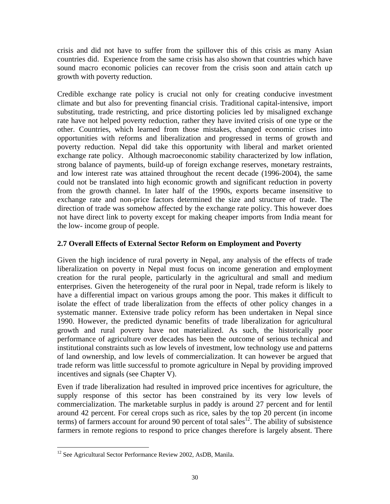crisis and did not have to suffer from the spillover this of this crisis as many Asian countries did. Experience from the same crisis has also shown that countries which have sound macro economic policies can recover from the crisis soon and attain catch up growth with poverty reduction.

Credible exchange rate policy is crucial not only for creating conducive investment climate and but also for preventing financial crisis. Traditional capital-intensive, import substituting, trade restricting, and price distorting policies led by misaligned exchange rate have not helped poverty reduction, rather they have invited crisis of one type or the other. Countries, which learned from those mistakes, changed economic crises into opportunities with reforms and liberalization and progressed in terms of growth and poverty reduction. Nepal did take this opportunity with liberal and market oriented exchange rate policy. Although macroeconomic stability characterized by low inflation, strong balance of payments, build-up of foreign exchange reserves, monetary restraints, and low interest rate was attained throughout the recent decade (1996-2004), the same could not be translated into high economic growth and significant reduction in poverty from the growth channel. In later half of the 1990s, exports became insensitive to exchange rate and non-price factors determined the size and structure of trade. The direction of trade was somehow affected by the exchange rate policy. This however does not have direct link to poverty except for making cheaper imports from India meant for the low- income group of people.

# **2.7 Overall Effects of External Sector Reform on Employment and Poverty**

Given the high incidence of rural poverty in Nepal, any analysis of the effects of trade liberalization on poverty in Nepal must focus on income generation and employment creation for the rural people, particularly in the agricultural and small and medium enterprises. Given the heterogeneity of the rural poor in Nepal, trade reform is likely to have a differential impact on various groups among the poor. This makes it difficult to isolate the effect of trade liberalization from the effects of other policy changes in a systematic manner. Extensive trade policy reform has been undertaken in Nepal since 1990. However, the predicted dynamic benefits of trade liberalization for agricultural growth and rural poverty have not materialized. As such, the historically poor performance of agriculture over decades has been the outcome of serious technical and institutional constraints such as low levels of investment, low technology use and patterns of land ownership, and low levels of commercialization. It can however be argued that trade reform was little successful to promote agriculture in Nepal by providing improved incentives and signals (see Chapter V).

Even if trade liberalization had resulted in improved price incentives for agriculture, the supply response of this sector has been constrained by its very low levels of commercialization. The marketable surplus in paddy is around 27 percent and for lentil around 42 percent. For cereal crops such as rice, sales by the top 20 percent (in income terms) of farmers account for around 90 percent of total sales<sup>12</sup>. The ability of subsistence farmers in remote regions to respond to price changes therefore is largely absent. There

 $\overline{a}$ 

<sup>&</sup>lt;sup>12</sup> See Agricultural Sector Performance Review 2002, AsDB, Manila.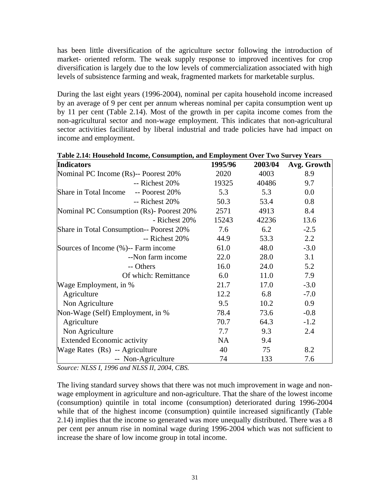has been little diversification of the agriculture sector following the introduction of market- oriented reform. The weak supply response to improved incentives for crop diversification is largely due to the low levels of commercialization associated with high levels of subsistence farming and weak, fragmented markets for marketable surplus.

During the last eight years (1996-2004), nominal per capita household income increased by an average of 9 per cent per annum whereas nominal per capita consumption went up by 11 per cent (Table 2.14). Most of the growth in per capita income comes from the non-agricultural sector and non-wage employment. This indicates that non-agricultural sector activities facilitated by liberal industrial and trade policies have had impact on income and employment.

| Table 2.14: Household Income, Consumption, and Employment Over Two Survey Years |           |         |             |  |  |  |
|---------------------------------------------------------------------------------|-----------|---------|-------------|--|--|--|
| <b>Indicators</b>                                                               | 1995/96   | 2003/04 | Avg. Growth |  |  |  |
| Nominal PC Income (Rs)-- Poorest 20%                                            | 2020      | 4003    | 8.9         |  |  |  |
| -- Richest 20%                                                                  | 19325     | 40486   | 9.7         |  |  |  |
| Share in Total Income -- Poorest 20%                                            | 5.3       | 5.3     | 0.0         |  |  |  |
| -- Richest 20%                                                                  | 50.3      | 53.4    | 0.8         |  |  |  |
| Nominal PC Consumption (Rs)- Poorest 20%                                        | 2571      | 4913    | 8.4         |  |  |  |
| - Richest 20%                                                                   | 15243     | 42236   | 13.6        |  |  |  |
| Share in Total Consumption-- Poorest 20%                                        | 7.6       | 6.2     | $-2.5$      |  |  |  |
| -- Richest 20%                                                                  | 44.9      | 53.3    | 2.2         |  |  |  |
| Sources of Income (%)-- Farm income                                             | 61.0      | 48.0    | $-3.0$      |  |  |  |
| --Non farm income                                                               | 22.0      | 28.0    | 3.1         |  |  |  |
| -- Others                                                                       | 16.0      | 24.0    | 5.2         |  |  |  |
| Of which: Remittance                                                            | 6.0       | 11.0    | 7.9         |  |  |  |
| Wage Employment, in %                                                           | 21.7      | 17.0    | $-3.0$      |  |  |  |
| Agriculture                                                                     | 12.2      | 6.8     | $-7.0$      |  |  |  |
| Non Agriculture                                                                 | 9.5       | 10.2    | 0.9         |  |  |  |
| Non-Wage (Self) Employment, in %                                                | 78.4      | 73.6    | $-0.8$      |  |  |  |
| Agriculture                                                                     | 70.7      | 64.3    | $-1.2$      |  |  |  |
| Non Agriculture                                                                 | 7.7       | 9.3     | 2.4         |  |  |  |
| <b>Extended Economic activity</b>                                               | <b>NA</b> | 9.4     |             |  |  |  |
| Wage Rates (Rs) -- Agriculture                                                  | 40        | 75      | 8.2         |  |  |  |
| -- Non-Agriculture                                                              | 74        | 133     | 7.6         |  |  |  |

*Source: NLSS I, 1996 and NLSS II, 2004, CBS.* 

The living standard survey shows that there was not much improvement in wage and nonwage employment in agriculture and non-agriculture. That the share of the lowest income (consumption) quintile in total income (consumption) deteriorated during 1996-2004 while that of the highest income (consumption) quintile increased significantly (Table 2.14) implies that the income so generated was more unequally distributed. There was a 8 per cent per annum rise in nominal wage during 1996-2004 which was not sufficient to increase the share of low income group in total income.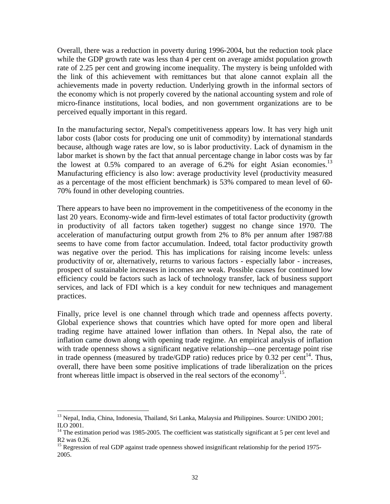Overall, there was a reduction in poverty during 1996-2004, but the reduction took place while the GDP growth rate was less than 4 per cent on average amidst population growth rate of 2.25 per cent and growing income inequality. The mystery is being unfolded with the link of this achievement with remittances but that alone cannot explain all the achievements made in poverty reduction. Underlying growth in the informal sectors of the economy which is not properly covered by the national accounting system and role of micro-finance institutions, local bodies, and non government organizations are to be perceived equally important in this regard.

In the manufacturing sector, Nepal's competitiveness appears low. It has very high unit labor costs (labor costs for producing one unit of commodity) by international standards because, although wage rates are low, so is labor productivity. Lack of dynamism in the labor market is shown by the fact that annual percentage change in labor costs was by far the lowest at 0.5% compared to an average of 6.2% for eight Asian economies.<sup>13</sup> Manufacturing efficiency is also low: average productivity level (productivity measured as a percentage of the most efficient benchmark) is 53% compared to mean level of 60- 70% found in other developing countries.

There appears to have been no improvement in the competitiveness of the economy in the last 20 years. Economy-wide and firm-level estimates of total factor productivity (growth in productivity of all factors taken together) suggest no change since 1970. The acceleration of manufacturing output growth from 2% to 8% per annum after 1987/88 seems to have come from factor accumulation. Indeed, total factor productivity growth was negative over the period. This has implications for raising income levels: unless productivity of or, alternatively, returns to various factors - especially labor - increases, prospect of sustainable increases in incomes are weak. Possible causes for continued low efficiency could be factors such as lack of technology transfer, lack of business support services, and lack of FDI which is a key conduit for new techniques and management practices.

Finally, price level is one channel through which trade and openness affects poverty. Global experience shows that countries which have opted for more open and liberal trading regime have attained lower inflation than others. In Nepal also, the rate of inflation came down along with opening trade regime. An empirical analysis of inflation with trade openness shows a significant negative relationship—one percentage point rise in trade openness (measured by trade/GDP ratio) reduces price by 0.32 per cent<sup>14</sup>. Thus, overall, there have been some positive implications of trade liberalization on the prices front whereas little impact is observed in the real sectors of the economy<sup>15</sup>.

 $\overline{a}$ 

<sup>&</sup>lt;sup>13</sup> Nepal, India, China, Indonesia, Thailand, Sri Lanka, Malaysia and Philippines. Source: UNIDO 2001; ILO 2001.

<sup>&</sup>lt;sup>14</sup> The estimation period was 1985-2005. The coefficient was statistically significant at 5 per cent level and R2 was 0.26.

<sup>&</sup>lt;sup>15</sup> Regression of real GDP against trade openness showed insignificant relationship for the period 1975-2005.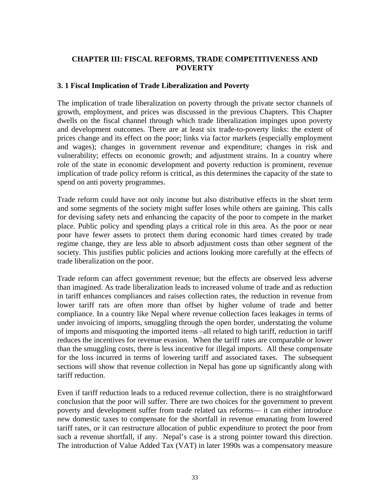# **CHAPTER III: FISCAL REFORMS, TRADE COMPETITIVENESS AND POVERTY**

#### **3. 1 Fiscal Implication of Trade Liberalization and Poverty**

The implication of trade liberalization on poverty through the private sector channels of growth, employment, and prices was discussed in the previous Chapters. This Chapter dwells on the fiscal channel through which trade liberalization impinges upon poverty and development outcomes. There are at least six trade-to-poverty links: the extent of prices change and its effect on the poor; links via factor markets (especially employment and wages); changes in government revenue and expenditure; changes in risk and vulnerability; effects on economic growth; and adjustment strains. In a country where role of the state in economic development and poverty reduction is prominent, revenue implication of trade policy reform is critical, as this determines the capacity of the state to spend on anti poverty programmes.

Trade reform could have not only income but also distributive effects in the short term and some segments of the society might suffer loses while others are gaining. This calls for devising safety nets and enhancing the capacity of the poor to compete in the market place. Public policy and spending plays a critical role in this area. As the poor or near poor have fewer assets to protect them during economic hard times created by trade regime change, they are less able to absorb adjustment costs than other segment of the society. This justifies public policies and actions looking more carefully at the effects of trade liberalization on the poor.

Trade reform can affect government revenue; but the effects are observed less adverse than imagined. As trade liberalization leads to increased volume of trade and as reduction in tariff enhances compliances and raises collection rates, the reduction in revenue from lower tariff rats are often more than offset by higher volume of trade and better compliance. In a country like Nepal where revenue collection faces leakages in terms of under invoicing of imports, smuggling through the open border, understating the volume of imports and misquoting the imported items –all related to high tariff, reduction in tariff reduces the incentives for revenue evasion. When the tariff rates are comparable or lower than the smuggling costs, there is less incentive for illegal imports. All these compensate for the loss incurred in terms of lowering tariff and associated taxes. The subsequent sections will show that revenue collection in Nepal has gone up significantly along with tariff reduction.

Even if tariff reduction leads to a reduced revenue collection, there is no straightforward conclusion that the poor will suffer. There are two choices for the government to prevent poverty and development suffer from trade related tax reforms— it can either introduce new domestic taxes to compensate for the shortfall in revenue emanating from lowered tariff rates, or it can restructure allocation of public expenditure to protect the poor from such a revenue shortfall, if any. Nepal's case is a strong pointer toward this direction. The introduction of Value Added Tax (VAT) in later 1990s was a compensatory measure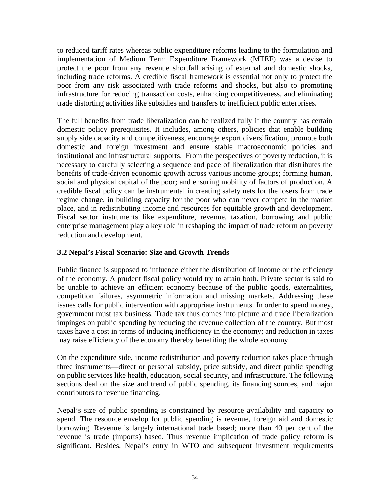to reduced tariff rates whereas public expenditure reforms leading to the formulation and implementation of Medium Term Expenditure Framework (MTEF) was a devise to protect the poor from any revenue shortfall arising of external and domestic shocks, including trade reforms. A credible fiscal framework is essential not only to protect the poor from any risk associated with trade reforms and shocks, but also to promoting infrastructure for reducing transaction costs, enhancing competitiveness, and eliminating trade distorting activities like subsidies and transfers to inefficient public enterprises.

The full benefits from trade liberalization can be realized fully if the country has certain domestic policy prerequisites. It includes, among others, policies that enable building supply side capacity and competitiveness, encourage export diversification, promote both domestic and foreign investment and ensure stable macroeconomic policies and institutional and infrastructural supports. From the perspectives of poverty reduction, it is necessary to carefully selecting a sequence and pace of liberalization that distributes the benefits of trade-driven economic growth across various income groups; forming human, social and physical capital of the poor; and ensuring mobility of factors of production. A credible fiscal policy can be instrumental in creating safety nets for the losers from trade regime change, in building capacity for the poor who can never compete in the market place, and in redistributing income and resources for equitable growth and development. Fiscal sector instruments like expenditure, revenue, taxation, borrowing and public enterprise management play a key role in reshaping the impact of trade reform on poverty reduction and development.

## **3.2 Nepal's Fiscal Scenario: Size and Growth Trends**

Public finance is supposed to influence either the distribution of income or the efficiency of the economy. A prudent fiscal policy would try to attain both. Private sector is said to be unable to achieve an efficient economy because of the public goods, externalities, competition failures, asymmetric information and missing markets. Addressing these issues calls for public intervention with appropriate instruments. In order to spend money, government must tax business. Trade tax thus comes into picture and trade liberalization impinges on public spending by reducing the revenue collection of the country. But most taxes have a cost in terms of inducing inefficiency in the economy; and reduction in taxes may raise efficiency of the economy thereby benefiting the whole economy.

On the expenditure side, income redistribution and poverty reduction takes place through three instruments—direct or personal subsidy, price subsidy, and direct public spending on public services like health, education, social security, and infrastructure. The following sections deal on the size and trend of public spending, its financing sources, and major contributors to revenue financing.

Nepal's size of public spending is constrained by resource availability and capacity to spend. The resource envelop for public spending is revenue, foreign aid and domestic borrowing. Revenue is largely international trade based; more than 40 per cent of the revenue is trade (imports) based. Thus revenue implication of trade policy reform is significant. Besides, Nepal's entry in WTO and subsequent investment requirements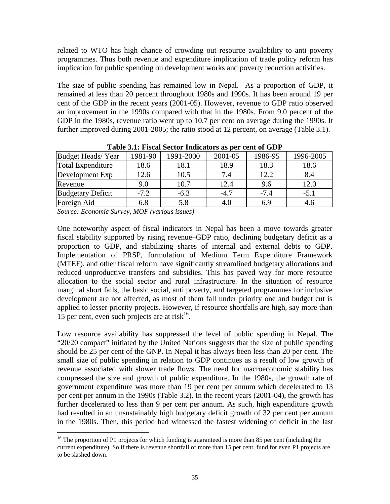related to WTO has high chance of crowding out resource availability to anti poverty programmes. Thus both revenue and expenditure implication of trade policy reform has implication for public spending on development works and poverty reduction activities.

The size of public spending has remained low in Nepal. As a proportion of GDP, it remained at less than 20 percent throughout 1980s and 1990s. It has been around 19 per cent of the GDP in the recent years (2001-05). However, revenue to GDP ratio observed an improvement in the 1990s compared with that in the 1980s. From 9.0 percent of the GDP in the 1980s, revenue ratio went up to 10.7 per cent on average during the 1990s. It further improved during 2001-2005; the ratio stood at 12 percent, on average (Table 3.1).

|                          | Tubic vili I local dector Indicators as per cent of GDT |           |         |         |           |  |  |  |  |
|--------------------------|---------------------------------------------------------|-----------|---------|---------|-----------|--|--|--|--|
| Budget Heads/Year        | 1981-90                                                 | 1991-2000 | 2001-05 | 1986-95 | 1996-2005 |  |  |  |  |
| <b>Total Expenditure</b> | 18.6                                                    | 18.1      | 18.9    | 18.3    | 18.6      |  |  |  |  |
| Development Exp          | 12.6                                                    | 10.5      | 7.4     | 12.2    | 8.4       |  |  |  |  |
| Revenue                  | 9.0                                                     | 10.7      | 12.4    | 9.6     | 12.0      |  |  |  |  |
| <b>Budgetary Deficit</b> | $-7.2$                                                  | $-6.3$    | $-4.7$  | $-7.4$  | $-5.1$    |  |  |  |  |
| Foreign Aid              | 6.8                                                     | 5.8       | 4.0     | 6.9     | 4.6       |  |  |  |  |
|                          |                                                         |           |         |         |           |  |  |  |  |

**Table 3.1: Fiscal Sector Indicators as per cent of GDP** 

*Source: Economic Survey, MOF (various issues)*

One noteworthy aspect of fiscal indicators in Nepal has been a move towards greater fiscal stability supported by rising revenue–GDP ratio, declining budgetary deficit as a proportion to GDP, and stabilizing shares of internal and external debts to GDP. Implementation of PRSP, formulation of Medium Term Expenditure Framework (MTEF), and other fiscal reform have significantly streamlined budgetary allocations and reduced unproductive transfers and subsidies. This has paved way for more resource allocation to the social sector and rural infrastructure. In the situation of resource marginal short falls, the basic social, anti poverty, and targeted programmes for inclusive development are not affected, as most of them fall under priority one and budget cut is applied to lesser priority projects. However, if resource shortfalls are high, say more than 15 per cent, even such projects are at risk $16$ .

Low resource availability has suppressed the level of public spending in Nepal. The "20/20 compact" initiated by the United Nations suggests that the size of public spending should be 25 per cent of the GNP. In Nepal it has always been less than 20 per cent. The small size of public spending in relation to GDP continues as a result of low growth of revenue associated with slower trade flows. The need for macroeconomic stability has compressed the size and growth of public expenditure. In the 1980s, the growth rate of government expenditure was more than 19 per cent per annum which decelerated to 13 per cent per annum in the 1990s (Table 3.2). In the recent years (2001-04), the growth has further decelerated to less than 9 per cent per annum. As such, high expenditure growth had resulted in an unsustainably high budgetary deficit growth of 32 per cent per annum in the 1980s. Then, this period had witnessed the fastest widening of deficit in the last

 $\overline{a}$ <sup>16</sup> The proportion of P1 projects for which funding is guaranteed is more than 85 per cent (including the current expenditure). So if there is revenue shortfall of more than 15 per cent, fund for even P1 projects are to be slashed down.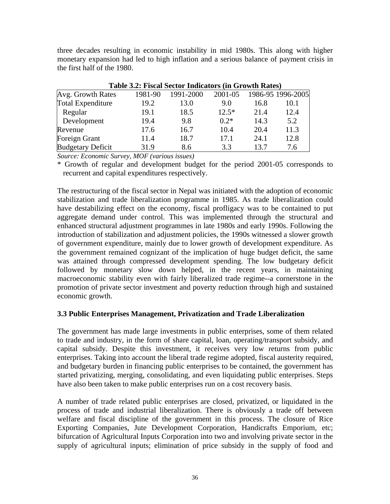three decades resulting in economic instability in mid 1980s. This along with higher monetary expansion had led to high inflation and a serious balance of payment crisis in the first half of the 1980.

|                          | Table 5.4. Fiscal Sector Thuicators (III Growth Kates) |           |         |      |                   |  |  |  |  |
|--------------------------|--------------------------------------------------------|-----------|---------|------|-------------------|--|--|--|--|
| Avg. Growth Rates        | 1981-90                                                | 1991-2000 | 2001-05 |      | 1986-95 1996-2005 |  |  |  |  |
| <b>Total Expenditure</b> | 19.2                                                   | 13.0      | 9.0     | 16.8 | 10.1              |  |  |  |  |
| Regular                  | 19.1                                                   | 18.5      | $12.5*$ | 21.4 | 12.4              |  |  |  |  |
| Development              | 19.4                                                   | 9.8       | $0.2*$  | 14.3 | 5.2               |  |  |  |  |
| Revenue                  | 17.6                                                   | 16.7      | 10.4    | 20.4 | 11.3              |  |  |  |  |
| Foreign Grant            | 11.4                                                   | 18.7      | 17.1    | 24.1 | 12.8              |  |  |  |  |
| <b>Budgetary Deficit</b> | 31.9                                                   | 8.6       | 3.3     | 13.7 | 7.6               |  |  |  |  |

**Table 3.2: Fiscal Sector Indicators (in Growth Rates)** 

*Source: Economic Survey, MOF (various issues)*

\* Growth of regular and development budget for the period 2001-05 corresponds to recurrent and capital expenditures respectively.

The restructuring of the fiscal sector in Nepal was initiated with the adoption of economic stabilization and trade liberalization programme in 1985. As trade liberalization could have destabilizing effect on the economy, fiscal profligacy was to be contained to put aggregate demand under control. This was implemented through the structural and enhanced structural adjustment programmes in late 1980s and early 1990s. Following the introduction of stabilization and adjustment policies, the 1990s witnessed a slower growth of government expenditure, mainly due to lower growth of development expenditure. As the government remained cognizant of the implication of huge budget deficit, the same was attained through compressed development spending. The low budgetary deficit followed by monetary slow down helped, in the recent years, in maintaining macroeconomic stability even with fairly liberalized trade regime--a cornerstone in the promotion of private sector investment and poverty reduction through high and sustained economic growth.

#### **3.3 Public Enterprises Management, Privatization and Trade Liberalization**

The government has made large investments in public enterprises, some of them related to trade and industry, in the form of share capital, loan, operating/transport subsidy, and capital subsidy. Despite this investment, it receives very low returns from public enterprises. Taking into account the liberal trade regime adopted, fiscal austerity required, and budgetary burden in financing public enterprises to be contained, the government has started privatizing, merging, consolidating, and even liquidating public enterprises. Steps have also been taken to make public enterprises run on a cost recovery basis.

A number of trade related public enterprises are closed, privatized, or liquidated in the process of trade and industrial liberalization. There is obviously a trade off between welfare and fiscal discipline of the government in this process. The closure of Rice Exporting Companies, Jute Development Corporation, Handicrafts Emporium, etc; bifurcation of Agricultural Inputs Corporation into two and involving private sector in the supply of agricultural inputs; elimination of price subsidy in the supply of food and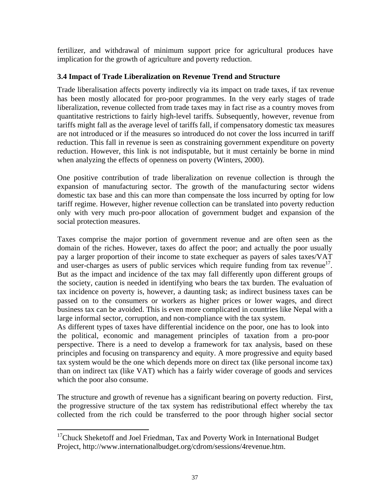fertilizer, and withdrawal of minimum support price for agricultural produces have implication for the growth of agriculture and poverty reduction.

## **3.4 Impact of Trade Liberalization on Revenue Trend and Structure**

Trade liberalisation affects poverty indirectly via its impact on trade taxes, if tax revenue has been mostly allocated for pro-poor programmes. In the very early stages of trade liberalization, revenue collected from trade taxes may in fact rise as a country moves from quantitative restrictions to fairly high-level tariffs. Subsequently, however, revenue from tariffs might fall as the average level of tariffs fall, if compensatory domestic tax measures are not introduced or if the measures so introduced do not cover the loss incurred in tariff reduction. This fall in revenue is seen as constraining government expenditure on poverty reduction. However, this link is not indisputable, but it must certainly be borne in mind when analyzing the effects of openness on poverty (Winters, 2000).

One positive contribution of trade liberalization on revenue collection is through the expansion of manufacturing sector. The growth of the manufacturing sector widens domestic tax base and this can more than compensate the loss incurred by opting for low tariff regime. However, higher revenue collection can be translated into poverty reduction only with very much pro-poor allocation of government budget and expansion of the social protection measures.

Taxes comprise the major portion of government revenue and are often seen as the domain of the riches. However, taxes do affect the poor; and actually the poor usually pay a larger proportion of their income to state exchequer as payers of sales taxes/VAT and user-charges as users of public services which require funding from tax revenue $^{17}$ . But as the impact and incidence of the tax may fall differently upon different groups of the society, caution is needed in identifying who bears the tax burden. The evaluation of tax incidence on poverty is, however, a daunting task; as indirect business taxes can be passed on to the consumers or workers as higher prices or lower wages, and direct business tax can be avoided. This is even more complicated in countries like Nepal with a large informal sector, corruption, and non-compliance with the tax system.

As different types of taxes have differential incidence on the poor, one has to look into the political, economic and management principles of taxation from a pro-poor perspective. There is a need to develop a framework for tax analysis, based on these principles and focusing on transparency and equity. A more progressive and equity based tax system would be the one which depends more on direct tax (like personal income tax) than on indirect tax (like VAT) which has a fairly wider coverage of goods and services which the poor also consume.

The structure and growth of revenue has a significant bearing on poverty reduction. First, the progressive structure of the tax system has redistributional effect whereby the tax collected from the rich could be transferred to the poor through higher social sector

1

<sup>&</sup>lt;sup>17</sup>Chuck Sheketoff and Joel Friedman, Tax and Poverty Work in International Budget Project, http://www.internationalbudget.org/cdrom/sessions/4revenue.htm.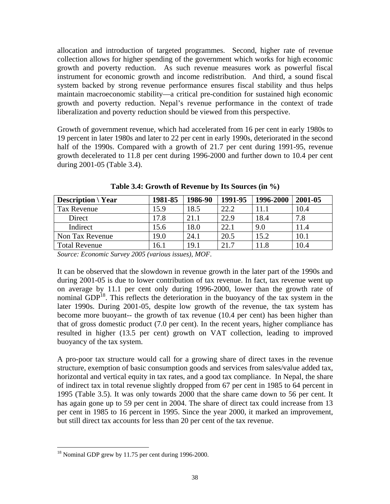allocation and introduction of targeted programmes. Second, higher rate of revenue collection allows for higher spending of the government which works for high economic growth and poverty reduction. As such revenue measures work as powerful fiscal instrument for economic growth and income redistribution. And third, a sound fiscal system backed by strong revenue performance ensures fiscal stability and thus helps maintain macroeconomic stability—a critical pre-condition for sustained high economic growth and poverty reduction. Nepal's revenue performance in the context of trade liberalization and poverty reduction should be viewed from this perspective.

Growth of government revenue, which had accelerated from 16 per cent in early 1980s to 19 percent in later 1980s and later to 22 per cent in early 1990s, deteriorated in the second half of the 1990s. Compared with a growth of 21.7 per cent during 1991-95, revenue growth decelerated to 11.8 per cent during 1996-2000 and further down to 10.4 per cent during 2001-05 (Table 3.4).

| <b>Description</b> $\forall$ <b>Year</b> | 1981-85 | 1986-90 | 1991-95 | 1996-2000 | 2001-05 |
|------------------------------------------|---------|---------|---------|-----------|---------|
| Tax Revenue                              | 15.9    | 18.5    | 22.2    | 11.1      | 10.4    |
| Direct                                   | 17.8    | 21.1    | 22.9    | 18.4      | 7.8     |
| Indirect                                 | 15.6    | 18.0    | 22.1    | 9.0       | . 1.4   |
| Non Tax Revenue                          | 19.0    | 24.1    | 20.5    | 15.2      | 10.1    |
| <b>Total Revenue</b>                     | 16.1    | 19.1    | 21.7    | 11.8      | 10.4    |

**Table 3.4: Growth of Revenue by Its Sources (in %)** 

*Source: Economic Survey 2005 (various issues), MOF*.

It can be observed that the slowdown in revenue growth in the later part of the 1990s and during 2001-05 is due to lower contribution of tax revenue. In fact, tax revenue went up on average by 11.1 per cent only during 1996-2000, lower than the growth rate of nominal GDP<sup>18</sup>. This reflects the deterioration in the buoyancy of the tax system in the later 1990s. During 2001-05, despite low growth of the revenue, the tax system has become more buoyant-- the growth of tax revenue (10.4 per cent) has been higher than that of gross domestic product (7.0 per cent). In the recent years, higher compliance has resulted in higher (13.5 per cent) growth on VAT collection, leading to improved buoyancy of the tax system.

A pro-poor tax structure would call for a growing share of direct taxes in the revenue structure, exemption of basic consumption goods and services from sales/value added tax, horizontal and vertical equity in tax rates, and a good tax compliance. In Nepal, the share of indirect tax in total revenue slightly dropped from 67 per cent in 1985 to 64 percent in 1995 (Table 3.5). It was only towards 2000 that the share came down to 56 per cent. It has again gone up to 59 per cent in 2004. The share of direct tax could increase from 13 per cent in 1985 to 16 percent in 1995. Since the year 2000, it marked an improvement, but still direct tax accounts for less than 20 per cent of the tax revenue.

 $\overline{a}$ <sup>18</sup> Nominal GDP grew by 11.75 per cent during 1996-2000.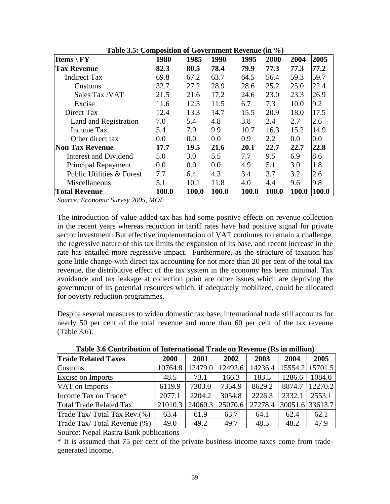| <b>Items</b> $\mathbf{F}\mathbf{Y}$  | 1980  | 1985  | 1990  | 1995  | 2000  | 2004  | 2005  |
|--------------------------------------|-------|-------|-------|-------|-------|-------|-------|
| <b>Tax Revenue</b>                   | 82.3  | 80.5  | 78.4  | 79.9  | 77.3  | 77.3  | 77.2  |
| <b>Indirect Tax</b>                  | 69.8  | 67.2  | 63.7  | 64.5  | 56.4  | 59.3  | 59.7  |
| Customs                              | 32.7  | 27.2  | 28.9  | 28.6  | 25.2  | 25.0  | 22.4  |
| Sales Tax / VAT                      | 21.5  | 21.6  | 17.2  | 24.6  | 23.0  | 23.3  | 26.9  |
| Excise                               | 11.6  | 12.3  | 11.5  | 6.7   | 7.3   | 10.0  | 9.2   |
| Direct Tax                           | 12.4  | 13.3  | 14.7  | 15.5  | 20.9  | 18.0  | 17.5  |
| Land and Registration                | 7.0   | 5.4   | 4.8   | 3.8   | 2.4   | 2.7   | 2.6   |
| Income Tax                           | 5.4   | 7.9   | 9.9   | 10.7  | 16.3  | 15.2  | 14.9  |
| Other direct tax                     | 0.0   | 0.0   | 0.0   | 0.9   | 2.2   | 0.0   | 0.0   |
| Non Tax Revenue                      | 17.7  | 19.5  | 21.6  | 20.1  | 22.7  | 22.7  | 22.8  |
| Interest and Dividend                | 5.0   | 3.0   | 5.5   | 7.7   | 9.5   | 6.9   | 8.6   |
| Principal Repayment                  | 0.0   | 0.0   | 0.0   | 4.9   | 5.1   | 3.0   | 1.8   |
| <b>Public Utilities &amp; Forest</b> | 7.7   | 6.4   | 4.3   | 3.4   | 3.7   | 3.2   | 2.6   |
| Miscellaneous                        | 5.1   | 10.1  | 11.8  | 4.0   | 4.4   | 9.6   | 9.8   |
| <b>Total Revenue</b>                 | 100.0 | 100.0 | 100.0 | 100.0 | 100.0 | 100.0 | 100.0 |

**Table 3.5: Composition of Government Revenue (in %)** 

*Source: Economic Survey 2005, MOF* 

The introduction of value added tax has had some positive effects on revenue collection in the recent years whereas reduction in tariff rates have had positive signal for private sector investment. But effective implementation of VAT continues to remain a challenge, the regressive nature of this tax limits the expansion of its base, and recent increase in the rate has entailed more regressive impact. Furthermore, as the structure of taxation has gone little change-with direct tax accounting for not more than 20 per cent of the total tax revenue, the distributive effect of the tax system in the economy has been minimal. Tax avoidance and tax leakage at collection point are other issues which are depriving the government of its potential resources which, if adequately mobilized, could be allocated for poverty reduction programmes.

Despite several measures to widen domestic tax base, international trade still accounts for nearly 50 per cent of the total revenue and more than 60 per cent of the tax revenue (Table 3.6).

|                                 | Table 5.0 Contribution of International Traue on Kevenue (K5 in Inhibit) |         |         |         |                 |         |  |  |  |
|---------------------------------|--------------------------------------------------------------------------|---------|---------|---------|-----------------|---------|--|--|--|
| <b>Trade Related Taxes</b>      | 2000                                                                     | 2001    | 2002    | 2003    | 2004            | 2005    |  |  |  |
| Customs                         | 10764.8                                                                  | 12479.0 | 12492.6 | 14236.4 | 15554.2 15701.5 |         |  |  |  |
| Excise on Imports               | 48.5                                                                     | 73.1    | 166.3   | 183.5   | 1286.6          | 1084.0  |  |  |  |
| VAT on Imports                  | 6119.9                                                                   | 7303.0  | 7354.9  | 8629.2  | 8874.7          | 12270.2 |  |  |  |
| Income Tax on Trade*            | 2077.1                                                                   | 2204.2  | 3054.8  | 2226.3  | 2332.1          | 2553.1  |  |  |  |
| <b>Total Trade Related Tax</b>  | 21010.3                                                                  | 24060.3 | 25070.6 | 27278.4 | 30051.6 33613.7 |         |  |  |  |
| Trade Tax/Total Tax Rev. $(\%)$ | 63.4                                                                     | 61.9    | 63.7    | 64.1    | 62.4            | 62.1    |  |  |  |
| Trade Tax/Total Revenue (%)     | 49.0                                                                     | 49.2    | 49.7    | 48.5    | 48.2            | 47.9    |  |  |  |

**Table 3.6 Contribution of International Trade on Revenue (Rs in million)** 

Source: Nepal Rastra Bank publications

\* It is assumed that 75 per cent of the private business income taxes come from tradegenerated income.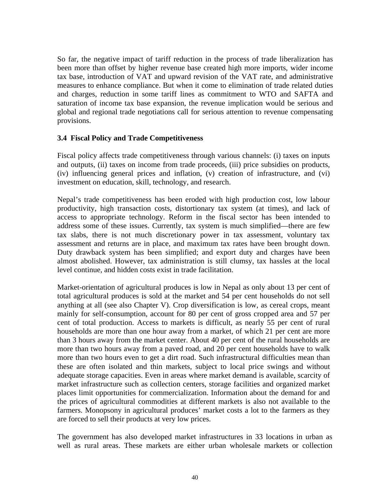So far, the negative impact of tariff reduction in the process of trade liberalization has been more than offset by higher revenue base created high more imports, wider income tax base, introduction of VAT and upward revision of the VAT rate, and administrative measures to enhance compliance. But when it come to elimination of trade related duties and charges, reduction in some tariff lines as commitment to WTO and SAFTA and saturation of income tax base expansion, the revenue implication would be serious and global and regional trade negotiations call for serious attention to revenue compensating provisions.

#### **3.4 Fiscal Policy and Trade Competitiveness**

Fiscal policy affects trade competitiveness through various channels: (i) taxes on inputs and outputs, (ii) taxes on income from trade proceeds, (iii) price subsidies on products, (iv) influencing general prices and inflation, (v) creation of infrastructure, and (vi) investment on education, skill, technology, and research.

Nepal's trade competitiveness has been eroded with high production cost, low labour productivity, high transaction costs, distortionary tax system (at times), and lack of access to appropriate technology. Reform in the fiscal sector has been intended to address some of these issues. Currently, tax system is much simplified—there are few tax slabs, there is not much discretionary power in tax assessment, voluntary tax assessment and returns are in place, and maximum tax rates have been brought down. Duty drawback system has been simplified; and export duty and charges have been almost abolished. However, tax administration is still clumsy, tax hassles at the local level continue, and hidden costs exist in trade facilitation.

Market-orientation of agricultural produces is low in Nepal as only about 13 per cent of total agricultural produces is sold at the market and 54 per cent households do not sell anything at all (see also Chapter V). Crop diversification is low, as cereal crops, meant mainly for self-consumption, account for 80 per cent of gross cropped area and 57 per cent of total production. Access to markets is difficult, as nearly 55 per cent of rural households are more than one hour away from a market, of which 21 per cent are more than 3 hours away from the market center. About 40 per cent of the rural households are more than two hours away from a paved road, and 20 per cent households have to walk more than two hours even to get a dirt road. Such infrastructural difficulties mean than these are often isolated and thin markets, subject to local price swings and without adequate storage capacities. Even in areas where market demand is available, scarcity of market infrastructure such as collection centers, storage facilities and organized market places limit opportunities for commercialization. Information about the demand for and the prices of agricultural commodities at different markets is also not available to the farmers. Monopsony in agricultural produces' market costs a lot to the farmers as they are forced to sell their products at very low prices.

The government has also developed market infrastructures in 33 locations in urban as well as rural areas. These markets are either urban wholesale markets or collection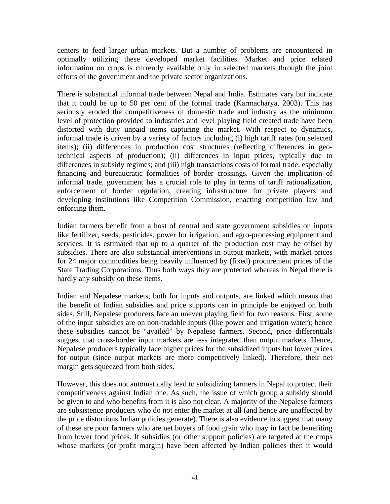centers to feed larger urban markets. But a number of problems are encountered in optimally utilizing these developed market facilities. Market and price related information on crops is currently available only in selected markets through the joint efforts of the government and the private sector organizations.

There is substantial informal trade between Nepal and India. Estimates vary but indicate that it could be up to 50 per cent of the formal trade (Karmacharya, 2003). This has seriously eroded the competitiveness of domestic trade and industry as the minimum level of protection provided to industries and level playing field created trade have been distorted with duty unpaid items capturing the market. With respect to dynamics, informal trade is driven by a variety of factors including (i) high tariff rates (on selected items); (ii) differences in production cost structures (reflecting differences in geotechnical aspects of production); (ii) differences in input prices, typically due to differences in subsidy regimes; and (iii) high transactions costs of formal trade, especially financing and bureaucratic formalities of border crossings. Given the implication of informal trade, government has a crucial role to play in terms of tariff rationalization, enforcement of border regulation, creating infrastructure for private players and developing institutions like Competition Commission, enacting competition law and enforcing them.

Indian farmers benefit from a host of central and state government subsidies on inputs like fertilizer, seeds, pesticides, power for irrigation, and agro-processing equipment and services. It is estimated that up to a quarter of the production cost may be offset by subsidies. There are also substantial interventions in output markets, with market prices for 24 major commodities being heavily influenced by (fixed) procurement prices of the State Trading Corporations. Thus both ways they are protected whereas in Nepal there is hardly any subsidy on these items.

Indian and Nepalese markets, both for inputs and outputs, are linked which means that the benefit of Indian subsidies and price supports can in principle be enjoyed on both sides. Still, Nepalese producers face an uneven playing field for two reasons. First, some of the input subsidies are on non-tradable inputs (like power and irrigation water); hence these subsidies cannot be "availed" by Nepalese farmers. Second, price differentials suggest that cross-border input markets are less integrated than output markets. Hence, Nepalese producers typically face higher prices for the subsidized inputs but lower prices for output (since output markets are more competitively linked). Therefore, their net margin gets squeezed from both sides.

However, this does not automatically lead to subsidizing farmers in Nepal to protect their competitiveness against Indian one. As such, the issue of which group a subsidy should be given to and who benefits from it is also not clear. A majority of the Nepalese farmers are subsistence producers who do not enter the market at all (and hence are unaffected by the price distortions Indian policies generate). There is also evidence to suggest that many of these are poor farmers who are net buyers of food grain who may in fact be benefiting from lower food prices. If subsidies (or other support policies) are targeted at the crops whose markets (or profit margin) have been affected by Indian policies then it would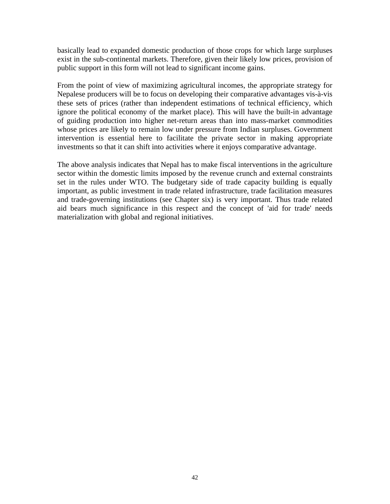basically lead to expanded domestic production of those crops for which large surpluses exist in the sub-continental markets. Therefore, given their likely low prices, provision of public support in this form will not lead to significant income gains.

From the point of view of maximizing agricultural incomes, the appropriate strategy for Nepalese producers will be to focus on developing their comparative advantages vis-à-vis these sets of prices (rather than independent estimations of technical efficiency, which ignore the political economy of the market place). This will have the built-in advantage of guiding production into higher net-return areas than into mass-market commodities whose prices are likely to remain low under pressure from Indian surpluses. Government intervention is essential here to facilitate the private sector in making appropriate investments so that it can shift into activities where it enjoys comparative advantage.

The above analysis indicates that Nepal has to make fiscal interventions in the agriculture sector within the domestic limits imposed by the revenue crunch and external constraints set in the rules under WTO. The budgetary side of trade capacity building is equally important, as public investment in trade related infrastructure, trade facilitation measures and trade-governing institutions (see Chapter six) is very important. Thus trade related aid bears much significance in this respect and the concept of 'aid for trade' needs materialization with global and regional initiatives.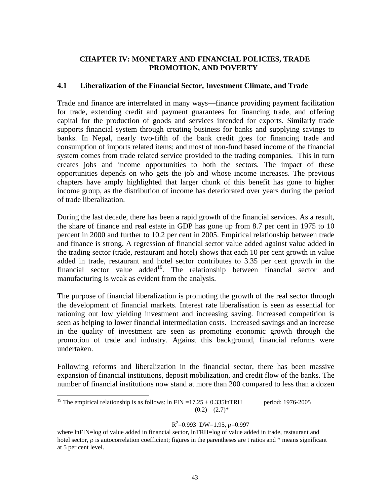## **CHAPTER IV: MONETARY AND FINANCIAL POLICIES, TRADE PROMOTION, AND POVERTY**

#### **4.1 Liberalization of the Financial Sector, Investment Climate, and Trade**

Trade and finance are interrelated in many ways—finance providing payment facilitation for trade, extending credit and payment guarantees for financing trade, and offering capital for the production of goods and services intended for exports. Similarly trade supports financial system through creating business for banks and supplying savings to banks. In Nepal, nearly two-fifth of the bank credit goes for financing trade and consumption of imports related items; and most of non-fund based income of the financial system comes from trade related service provided to the trading companies. This in turn creates jobs and income opportunities to both the sectors. The impact of these opportunities depends on who gets the job and whose income increases. The previous chapters have amply highlighted that larger chunk of this benefit has gone to higher income group, as the distribution of income has deteriorated over years during the period of trade liberalization.

During the last decade, there has been a rapid growth of the financial services. As a result, the share of finance and real estate in GDP has gone up from 8.7 per cent in 1975 to 10 percent in 2000 and further to 10.2 per cent in 2005. Empirical relationship between trade and finance is strong. A regression of financial sector value added against value added in the trading sector (trade, restaurant and hotel) shows that each 10 per cent growth in value added in trade, restaurant and hotel sector contributes to 3.35 per cent growth in the financial sector value added<sup>19</sup>. The relationship between financial sector and manufacturing is weak as evident from the analysis.

The purpose of financial liberalization is promoting the growth of the real sector through the development of financial markets. Interest rate liberalisation is seen as essential for rationing out low yielding investment and increasing saving. Increased competition is seen as helping to lower financial intermediation costs. Increased savings and an increase in the quality of investment are seen as promoting economic growth through the promotion of trade and industry. Against this background, financial reforms were undertaken.

Following reforms and liberalization in the financial sector, there has been massive expansion of financial institutions, deposit mobilization, and credit flow of the banks. The number of financial institutions now stand at more than 200 compared to less than a dozen

 $\overline{a}$ <sup>19</sup> The empirical relationship is as follows: ln FIN =  $17.25 + 0.335$ lnTRH period: 1976-2005  $(0.2)$   $(2.7)$ <sup>\*</sup>

#### $R^2 = 0.993$  DW=1.95,  $\rho = 0.997$

where lnFIN=log of value added in financial sector, lnTRH=log of value added in trade, restaurant and hotel sector, ρ is autocorrelation coefficient; figures in the parentheses are t ratios and \* means significant at 5 per cent level.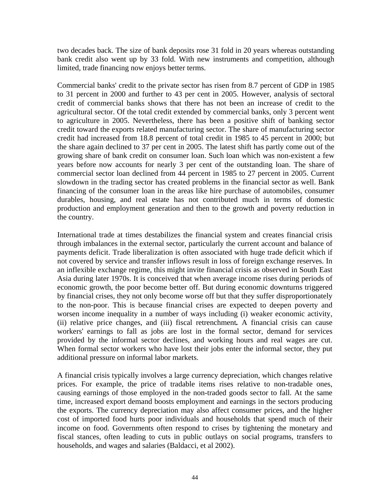two decades back. The size of bank deposits rose 31 fold in 20 years whereas outstanding bank credit also went up by 33 fold. With new instruments and competition, although limited, trade financing now enjoys better terms.

Commercial banks' credit to the private sector has risen from 8.7 percent of GDP in 1985 to 31 percent in 2000 and further to 43 per cent in 2005. However, analysis of sectoral credit of commercial banks shows that there has not been an increase of credit to the agricultural sector. Of the total credit extended by commercial banks, only 3 percent went to agriculture in 2005. Nevertheless, there has been a positive shift of banking sector credit toward the exports related manufacturing sector. The share of manufacturing sector credit had increased from 18.8 percent of total credit in 1985 to 45 percent in 2000; but the share again declined to 37 per cent in 2005. The latest shift has partly come out of the growing share of bank credit on consumer loan. Such loan which was non-existent a few years before now accounts for nearly 3 per cent of the outstanding loan. The share of commercial sector loan declined from 44 percent in 1985 to 27 percent in 2005. Current slowdown in the trading sector has created problems in the financial sector as well. Bank financing of the consumer loan in the areas like hire purchase of automobiles, consumer durables, housing, and real estate has not contributed much in terms of domestic production and employment generation and then to the growth and poverty reduction in the country.

International trade at times destabilizes the financial system and creates financial crisis through imbalances in the external sector, particularly the current account and balance of payments deficit. Trade liberalization is often associated with huge trade deficit which if not covered by service and transfer inflows result in loss of foreign exchange reserves. In an inflexible exchange regime, this might invite financial crisis as observed in South East Asia during later 1970s. It is conceived that when average income rises during periods of economic growth, the poor become better off. But during economic downturns triggered by financial crises, they not only become worse off but that they suffer disproportionately to the non-poor. This is because financial crises are expected to deepen poverty and worsen income inequality in a number of ways including (i) weaker economic activity, (ii) relative price changes, and (iii) fiscal retrenchment*.* A financial crisis can cause workers' earnings to fall as jobs are lost in the formal sector, demand for services provided by the informal sector declines, and working hours and real wages are cut. When formal sector workers who have lost their jobs enter the informal sector, they put additional pressure on informal labor markets.

A financial crisis typically involves a large currency depreciation, which changes relative prices. For example, the price of tradable items rises relative to non-tradable ones, causing earnings of those employed in the non-traded goods sector to fall. At the same time, increased export demand boosts employment and earnings in the sectors producing the exports. The currency depreciation may also affect consumer prices, and the higher cost of imported food hurts poor individuals and households that spend much of their income on food. Governments often respond to crises by tightening the monetary and fiscal stances, often leading to cuts in public outlays on social programs, transfers to households, and wages and salaries (Baldacci, et al 2002).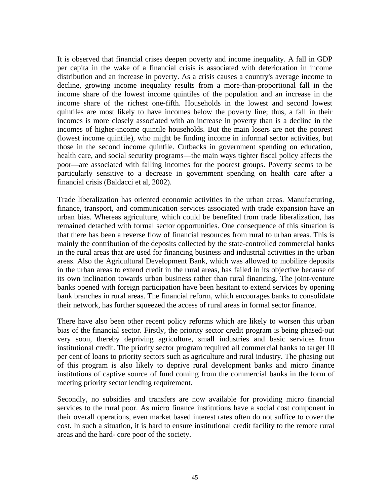It is observed that financial crises deepen poverty and income inequality. A fall in GDP per capita in the wake of a financial crisis is associated with deterioration in income distribution and an increase in poverty. As a crisis causes a country's average income to decline, growing income inequality results from a more-than-proportional fall in the income share of the lowest income quintiles of the population and an increase in the income share of the richest one-fifth. Households in the lowest and second lowest quintiles are most likely to have incomes below the poverty line; thus, a fall in their incomes is more closely associated with an increase in poverty than is a decline in the incomes of higher-income quintile households. But the main losers are not the poorest (lowest income quintile), who might be finding income in informal sector activities, but those in the second income quintile. Cutbacks in government spending on education, health care, and social security programs—the main ways tighter fiscal policy affects the poor—are associated with falling incomes for the poorest groups. Poverty seems to be particularly sensitive to a decrease in government spending on health care after a financial crisis (Baldacci et al, 2002).

Trade liberalization has oriented economic activities in the urban areas. Manufacturing, finance, transport, and communication services associated with trade expansion have an urban bias. Whereas agriculture, which could be benefited from trade liberalization, has remained detached with formal sector opportunities. One consequence of this situation is that there has been a reverse flow of financial resources from rural to urban areas. This is mainly the contribution of the deposits collected by the state-controlled commercial banks in the rural areas that are used for financing business and industrial activities in the urban areas. Also the Agricultural Development Bank, which was allowed to mobilize deposits in the urban areas to extend credit in the rural areas, has failed in its objective because of its own inclination towards urban business rather than rural financing. The joint-venture banks opened with foreign participation have been hesitant to extend services by opening bank branches in rural areas. The financial reform, which encourages banks to consolidate their network, has further squeezed the access of rural areas in formal sector finance.

There have also been other recent policy reforms which are likely to worsen this urban bias of the financial sector. Firstly, the priority sector credit program is being phased-out very soon, thereby depriving agriculture, small industries and basic services from institutional credit. The priority sector program required all commercial banks to target 10 per cent of loans to priority sectors such as agriculture and rural industry. The phasing out of this program is also likely to deprive rural development banks and micro finance institutions of captive source of fund coming from the commercial banks in the form of meeting priority sector lending requirement.

Secondly, no subsidies and transfers are now available for providing micro financial services to the rural poor. As micro finance institutions have a social cost component in their overall operations, even market based interest rates often do not suffice to cover the cost. In such a situation, it is hard to ensure institutional credit facility to the remote rural areas and the hard- core poor of the society.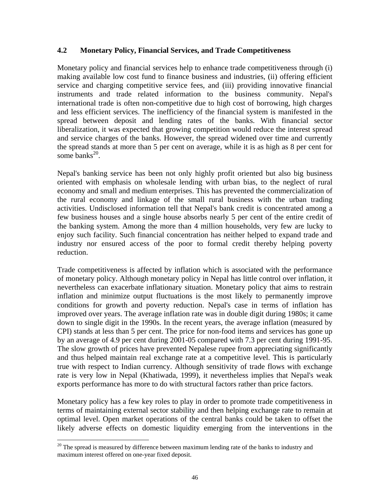## **4.2 Monetary Policy, Financial Services, and Trade Competitiveness**

Monetary policy and financial services help to enhance trade competitiveness through (i) making available low cost fund to finance business and industries, (ii) offering efficient service and charging competitive service fees, and (iii) providing innovative financial instruments and trade related information to the business community. Nepal's international trade is often non-competitive due to high cost of borrowing, high charges and less efficient services. The inefficiency of the financial system is manifested in the spread between deposit and lending rates of the banks. With financial sector liberalization, it was expected that growing competition would reduce the interest spread and service charges of the banks. However, the spread widened over time and currently the spread stands at more than 5 per cent on average, while it is as high as 8 per cent for some banks $^{20}$ .

Nepal's banking service has been not only highly profit oriented but also big business oriented with emphasis on wholesale lending with urban bias, to the neglect of rural economy and small and medium enterprises. This has prevented the commercialization of the rural economy and linkage of the small rural business with the urban trading activities. Undisclosed information tell that Nepal's bank credit is concentrated among a few business houses and a single house absorbs nearly 5 per cent of the entire credit of the banking system. Among the more than 4 million households, very few are lucky to enjoy such facility. Such financial concentration has neither helped to expand trade and industry nor ensured access of the poor to formal credit thereby helping poverty reduction.

Trade competitiveness is affected by inflation which is associated with the performance of monetary policy. Although monetary policy in Nepal has little control over inflation, it nevertheless can exacerbate inflationary situation. Monetary policy that aims to restrain inflation and minimize output fluctuations is the most likely to permanently improve conditions for growth and poverty reduction. Nepal's case in terms of inflation has improved over years. The average inflation rate was in double digit during 1980s; it came down to single digit in the 1990s. In the recent years, the average inflation (measured by CPI) stands at less than 5 per cent. The price for non-food items and services has gone up by an average of 4.9 per cent during 2001-05 compared with 7.3 per cent during 1991-95. The slow growth of prices have prevented Nepalese rupee from appreciating significantly and thus helped maintain real exchange rate at a competitive level. This is particularly true with respect to Indian currency. Although sensitivity of trade flows with exchange rate is very low in Nepal (Khatiwada, 1999), it nevertheless implies that Nepal's weak exports performance has more to do with structural factors rather than price factors.

Monetary policy has a few key roles to play in order to promote trade competitiveness in terms of maintaining external sector stability and then helping exchange rate to remain at optimal level. Open market operations of the central banks could be taken to offset the likely adverse effects on domestic liquidity emerging from the interventions in the

 $\overline{a}$ 

 $20$  The spread is measured by difference between maximum lending rate of the banks to industry and maximum interest offered on one-year fixed deposit.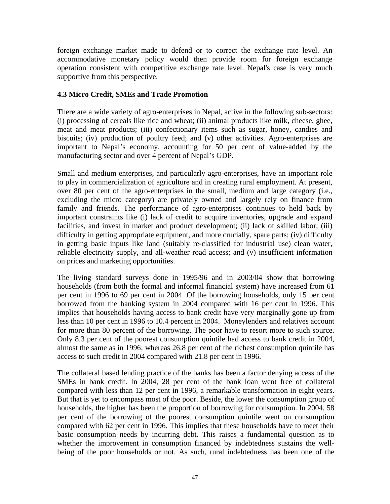foreign exchange market made to defend or to correct the exchange rate level. An accommodative monetary policy would then provide room for foreign exchange operation consistent with competitive exchange rate level. Nepal's case is very much supportive from this perspective.

## **4.3 Micro Credit, SMEs and Trade Promotion**

There are a wide variety of agro-enterprises in Nepal, active in the following sub-sectors: (i) processing of cereals like rice and wheat; (ii) animal products like milk, cheese, ghee, meat and meat products; (iii) confectionary items such as sugar, honey, candies and biscuits; (iv) production of poultry feed; and (v) other activities. Agro-enterprises are important to Nepal's economy, accounting for 50 per cent of value-added by the manufacturing sector and over 4 percent of Nepal's GDP.

Small and medium enterprises, and particularly agro-enterprises, have an important role to play in commercialization of agriculture and in creating rural employment. At present, over 80 per cent of the agro-enterprises in the small, medium and large category (i.e., excluding the micro category) are privately owned and largely rely on finance from family and friends. The performance of agro-enterprises continues to held back by important constraints like (i) lack of credit to acquire inventories, upgrade and expand facilities, and invest in market and product development; (ii) lack of skilled labor; (iii) difficulty in getting appropriate equipment, and more crucially, spare parts; (iv) difficulty in getting basic inputs like land (suitably re-classified for industrial use) clean water, reliable electricity supply, and all-weather road access; and (v) insufficient information on prices and marketing opportunities.

The living standard surveys done in 1995/96 and in 2003/04 show that borrowing households (from both the formal and informal financial system) have increased from 61 per cent in 1996 to 69 per cent in 2004. Of the borrowing households, only 15 per cent borrowed from the banking system in 2004 compared with 16 per cent in 1996. This implies that households having access to bank credit have very marginally gone up from less than 10 per cent in 1996 to 10.4 percent in 2004. Moneylenders and relatives account for more than 80 percent of the borrowing. The poor have to resort more to such source. Only 8.3 per cent of the poorest consumption quintile had access to bank credit in 2004, almost the same as in 1996; whereas 26.8 per cent of the richest consumption quintile has access to such credit in 2004 compared with 21.8 per cent in 1996.

The collateral based lending practice of the banks has been a factor denying access of the SMEs in bank credit. In 2004, 28 per cent of the bank loan went free of collateral compared with less than 12 per cent in 1996, a remarkable transformation in eight years. But that is yet to encompass most of the poor. Beside, the lower the consumption group of households, the higher has been the proportion of borrowing for consumption. In 2004, 58 per cent of the borrowing of the poorest consumption quintile went on consumption compared with 62 per cent in 1996. This implies that these households have to meet their basic consumption needs by incurring debt. This raises a fundamental question as to whether the improvement in consumption financed by indebtedness sustains the wellbeing of the poor households or not. As such, rural indebtedness has been one of the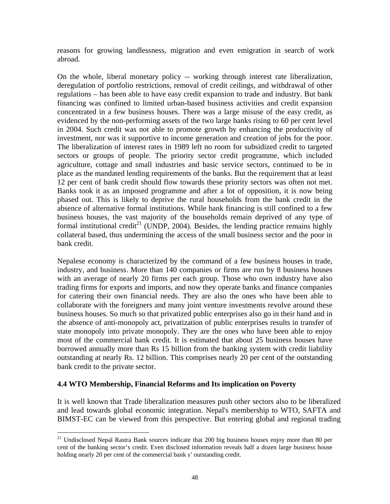reasons for growing landlessness, migration and even emigration in search of work abroad.

On the whole, liberal monetary policy -- working through interest rate liberalization, deregulation of portfolio restrictions, removal of credit ceilings, and withdrawal of other regulations – has been able to have easy credit expansion to trade and industry. But bank financing was confined to limited urban-based business activities and credit expansion concentrated in a few business houses. There was a large misuse of the easy credit, as evidenced by the non-performing assets of the two large banks rising to 60 per cent level in 2004. Such credit was not able to promote growth by enhancing the productivity of investment, nor was it supportive to income generation and creation of jobs for the poor. The liberalization of interest rates in 1989 left no room for subsidized credit to targeted sectors or groups of people. The priority sector credit programme, which included agriculture, cottage and small industries and basic service sectors, continued to be in place as the mandated lending requirements of the banks. But the requirement that at least 12 per cent of bank credit should flow towards these priority sectors was often not met. Banks took it as an imposed programme and after a lot of opposition, it is now being phased out. This is likely to deprive the rural households from the bank credit in the absence of alternative formal institutions. While bank financing is still confined to a few business houses, the vast majority of the households remain deprived of any type of formal institutional credit<sup>21</sup> (UNDP, 2004). Besides, the lending practice remains highly collateral based, thus undermining the access of the small business sector and the poor in bank credit.

Nepalese economy is characterized by the command of a few business houses in trade, industry, and business. More than 140 companies or firms are run by 8 business houses with an average of nearly 20 firms per each group. Those who own industry have also trading firms for exports and imports, and now they operate banks and finance companies for catering their own financial needs. They are also the ones who have been able to collaborate with the foreigners and many joint venture investments revolve around these business houses. So much so that privatized public enterprises also go in their hand and in the absence of anti-monopoly act, privatization of public enterprises results in transfer of state monopoly into private monopoly. They are the ones who have been able to enjoy most of the commercial bank credit. It is estimated that about 25 business houses have borrowed annually more than Rs 15 billion from the banking system with credit liability outstanding at nearly Rs. 12 billion. This comprises nearly 20 per cent of the outstanding bank credit to the private sector.

#### **4.4 WTO Membership, Financial Reforms and Its implication on Poverty**

 $\overline{a}$ 

It is well known that Trade liberalization measures push other sectors also to be liberalized and lead towards global economic integration. Nepal's membership to WTO, SAFTA and BIMST-EC can be viewed from this perspective. But entering global and regional trading

<sup>&</sup>lt;sup>21</sup> Undisclosed Nepal Rastra Bank sources indicate that 200 big business houses enjoy more than 80 per cent of the banking sector's credit. Even disclosed information reveals half a dozen large business house holding nearly 20 per cent of the commercial bank s' outstanding credit.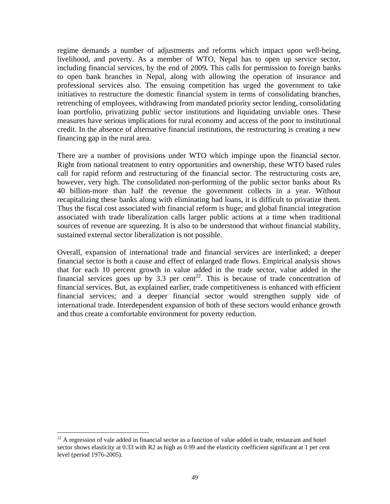regime demands a number of adjustments and reforms which impact upon well-being, livelihood, and poverty. As a member of WTO, Nepal has to open up service sector, including financial services, by the end of 2009**.** This calls for permission to foreign banks to open bank branches in Nepal, along with allowing the operation of insurance and professional services also. The ensuing competition has urged the government to take initiatives to restructure the domestic financial system in terms of consolidating branches, retrenching of employees, withdrawing from mandated priority sector lending, consolidating loan portfolio, privatizing public sector institutions and liquidating unviable ones. These measures have serious implications for rural economy and access of the poor to institutional credit. In the absence of alternative financial institutions, the restructuring is creating a new financing gap in the rural area.

There are a number of provisions under WTO which impinge upon the financial sector. Right from national treatment to entry opportunities and ownership, these WTO based rules call for rapid reform and restructuring of the financial sector. The restructuring costs are, however, very high. The consolidated non-performing of the public sector banks about Rs 40 billion-more than half the revenue the government collects in a year. Without recapitalizing these banks along with eliminating bad loans, it is difficult to privatize them. Thus the fiscal cost associated with financial reform is huge; and global financial integration associated with trade liberalization calls larger public actions at a time when traditional sources of revenue are squeezing. It is also to be understood that without financial stability, sustained external sector liberalization is not possible.

Overall, expansion of international trade and financial services are interlinked; a deeper financial sector is both a cause and effect of enlarged trade flows. Empirical analysis shows that for each 10 percent growth in value added in the trade sector, value added in the financial services goes up by 3.3 per cent<sup>22</sup>. This is because of trade concentration of financial services. But, as explained earlier, trade competitiveness is enhanced with efficient financial services; and a deeper financial sector would strengthen supply side of international trade. Interdependent expansion of both of these sectors would enhance growth and thus create a comfortable environment for poverty reduction.

 $\overline{a}$ 

 $^{22}$  A regression of vale added in financial sector as a function of value added in trade, restaurant and hotel sector shows elasticity at 0.33 with R2 as high as 0.99 and the elasticity coefficient significant at 1 per cent level (period 1976-2005).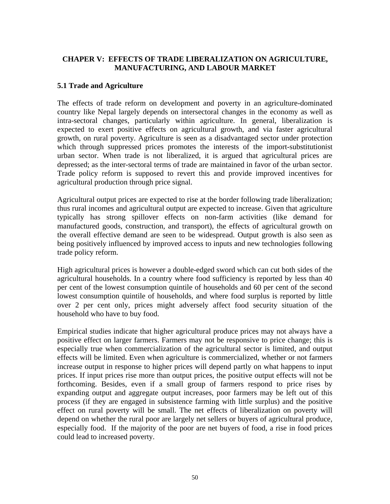## **CHAPER V: EFFECTS OF TRADE LIBERALIZATION ON AGRICULTURE, MANUFACTURING, AND LABOUR MARKET**

## **5.1 Trade and Agriculture**

The effects of trade reform on development and poverty in an agriculture-dominated country like Nepal largely depends on intersectoral changes in the economy as well as intra-sectoral changes, particularly within agriculture. In general, liberalization is expected to exert positive effects on agricultural growth, and via faster agricultural growth, on rural poverty. Agriculture is seen as a disadvantaged sector under protection which through suppressed prices promotes the interests of the import-substitutionist urban sector. When trade is not liberalized, it is argued that agricultural prices are depressed; as the inter-sectoral terms of trade are maintained in favor of the urban sector. Trade policy reform is supposed to revert this and provide improved incentives for agricultural production through price signal.

Agricultural output prices are expected to rise at the border following trade liberalization; thus rural incomes and agricultural output are expected to increase. Given that agriculture typically has strong spillover effects on non-farm activities (like demand for manufactured goods, construction, and transport), the effects of agricultural growth on the overall effective demand are seen to be widespread. Output growth is also seen as being positively influenced by improved access to inputs and new technologies following trade policy reform.

High agricultural prices is however a double-edged sword which can cut both sides of the agricultural households. In a country where food sufficiency is reported by less than 40 per cent of the lowest consumption quintile of households and 60 per cent of the second lowest consumption quintile of households, and where food surplus is reported by little over 2 per cent only, prices might adversely affect food security situation of the household who have to buy food.

Empirical studies indicate that higher agricultural produce prices may not always have a positive effect on larger farmers. Farmers may not be responsive to price change; this is especially true when commercialization of the agricultural sector is limited, and output effects will be limited. Even when agriculture is commercialized, whether or not farmers increase output in response to higher prices will depend partly on what happens to input prices. If input prices rise more than output prices, the positive output effects will not be forthcoming. Besides, even if a small group of farmers respond to price rises by expanding output and aggregate output increases, poor farmers may be left out of this process (if they are engaged in subsistence farming with little surplus) and the positive effect on rural poverty will be small. The net effects of liberalization on poverty will depend on whether the rural poor are largely net sellers or buyers of agricultural produce, especially food. If the majority of the poor are net buyers of food, a rise in food prices could lead to increased poverty.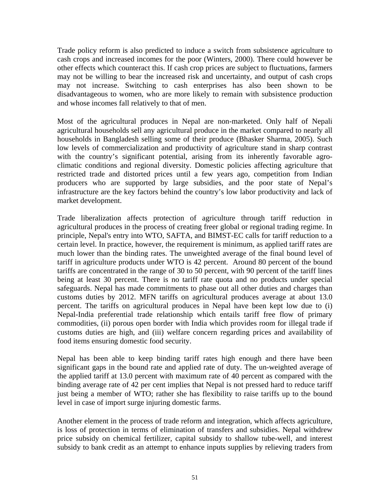Trade policy reform is also predicted to induce a switch from subsistence agriculture to cash crops and increased incomes for the poor (Winters, 2000). There could however be other effects which counteract this. If cash crop prices are subject to fluctuations, farmers may not be willing to bear the increased risk and uncertainty, and output of cash crops may not increase. Switching to cash enterprises has also been shown to be disadvantageous to women, who are more likely to remain with subsistence production and whose incomes fall relatively to that of men.

Most of the agricultural produces in Nepal are non-marketed. Only half of Nepali agricultural households sell any agricultural produce in the market compared to nearly all households in Bangladesh selling some of their produce (Bhasker Sharma, 2005). Such low levels of commercialization and productivity of agriculture stand in sharp contrast with the country's significant potential, arising from its inherently favorable agroclimatic conditions and regional diversity. Domestic policies affecting agriculture that restricted trade and distorted prices until a few years ago, competition from Indian producers who are supported by large subsidies, and the poor state of Nepal's infrastructure are the key factors behind the country's low labor productivity and lack of market development.

Trade liberalization affects protection of agriculture through tariff reduction in agricultural produces in the process of creating freer global or regional trading regime. In principle, Nepal's entry into WTO, SAFTA, and BIMST-EC calls for tariff reduction to a certain level. In practice, however, the requirement is minimum, as applied tariff rates are much lower than the binding rates. The unweighted average of the final bound level of tariff in agriculture products under WTO is 42 percent. Around 80 percent of the bound tariffs are concentrated in the range of 30 to 50 percent, with 90 percent of the tariff lines being at least 30 percent. There is no tariff rate quota and no products under special safeguards. Nepal has made commitments to phase out all other duties and charges than customs duties by 2012. MFN tariffs on agricultural produces average at about 13.0 percent. The tariffs on agricultural produces in Nepal have been kept low due to (i) Nepal-India preferential trade relationship which entails tariff free flow of primary commodities, (ii) porous open border with India which provides room for illegal trade if customs duties are high, and (iii) welfare concern regarding prices and availability of food items ensuring domestic food security.

Nepal has been able to keep binding tariff rates high enough and there have been significant gaps in the bound rate and applied rate of duty. The un-weighted average of the applied tariff at 13.0 percent with maximum rate of 40 percent as compared with the binding average rate of 42 per cent implies that Nepal is not pressed hard to reduce tariff just being a member of WTO; rather she has flexibility to raise tariffs up to the bound level in case of import surge injuring domestic farms.

Another element in the process of trade reform and integration, which affects agriculture, is loss of protection in terms of elimination of transfers and subsidies. Nepal withdrew price subsidy on chemical fertilizer, capital subsidy to shallow tube-well, and interest subsidy to bank credit as an attempt to enhance inputs supplies by relieving traders from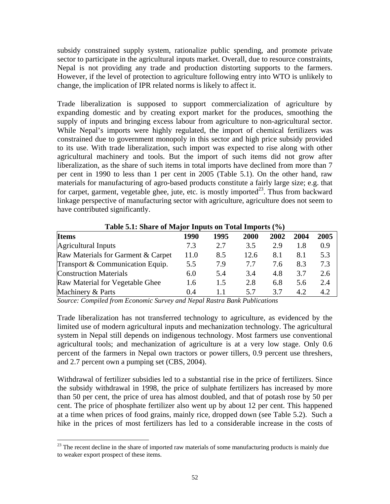subsidy constrained supply system, rationalize public spending, and promote private sector to participate in the agricultural inputs market. Overall, due to resource constraints, Nepal is not providing any trade and production distorting supports to the farmers. However, if the level of protection to agriculture following entry into WTO is unlikely to change, the implication of IPR related norms is likely to affect it.

Trade liberalization is supposed to support commercialization of agriculture by expanding domestic and by creating export market for the produces, smoothing the supply of inputs and bringing excess labour from agriculture to non-agricultural sector. While Nepal's imports were highly regulated, the import of chemical fertilizers was constrained due to government monopoly in this sector and high price subsidy provided to its use. With trade liberalization, such import was expected to rise along with other agricultural machinery and tools. But the import of such items did not grow after liberalization, as the share of such items in total imports have declined from more than 7 per cent in 1990 to less than 1 per cent in 2005 (Table 5.1). On the other hand, raw materials for manufacturing of agro-based products constitute a fairly large size; e.g. that for carpet, garment, vegetable ghee, jute, etc. is mostly imported<sup>23</sup>. Thus from backward linkage perspective of manufacturing sector with agriculture, agriculture does not seem to have contributed significantly.

| Table $\mathcal{S}(1)$ . Dhare of inagor inputs on Total imports (70) |      |      |      |      |      |      |
|-----------------------------------------------------------------------|------|------|------|------|------|------|
| <b>Items</b>                                                          | 1990 | 1995 | 2000 | 2002 | 2004 | 2005 |
| Agricultural Inputs                                                   | 7.3  | 2.7  | 3.5  | 2.9  | 1.8  | 0.9  |
| Raw Materials for Garment & Carpet                                    | 11.0 | 8.5  | 12.6 | 8.1  | 8.1  | 5.3  |
| Transport & Communication Equip.                                      | 5.5  | 7.9  | 7.7  | 7.6  | 8.3  | 7.3  |
| <b>Construction Materials</b>                                         | 6.0  | 5.4  | 3.4  | 4.8  | 3.7  | 2.6  |
| Raw Material for Vegetable Ghee                                       | 1.6  | 1.5  | 2.8  | 6.8  | 5.6  | 2.4  |
| Machinery & Parts                                                     | 0.4  |      | 5.7  | 3.7  | 42   | 42   |

**Table 5.1: Share of Major Inputs on Total Imports (%)** 

*Source: Compiled from Economic Survey and Nepal Rastra Bank Publications* 

 $\overline{a}$ 

Trade liberalization has not transferred technology to agriculture, as evidenced by the limited use of modern agricultural inputs and mechanization technology. The agricultural system in Nepal still depends on indigenous technology. Most farmers use conventional agricultural tools; and mechanization of agriculture is at a very low stage. Only 0.6 percent of the farmers in Nepal own tractors or power tillers, 0.9 percent use threshers, and 2.7 percent own a pumping set (CBS, 2004).

Withdrawal of fertilizer subsidies led to a substantial rise in the price of fertilizers. Since the subsidy withdrawal in 1998, the price of sulphate fertilizers has increased by more than 50 per cent, the price of urea has almost doubled, and that of potash rose by 50 per cent. The price of phosphate fertilizer also went up by about 12 per cent. This happened at a time when prices of food grains, mainly rice, dropped down (see Table 5.2). Such a hike in the prices of most fertilizers has led to a considerable increase in the costs of

 $23$  The recent decline in the share of imported raw materials of some manufacturing products is mainly due to weaker export prospect of these items.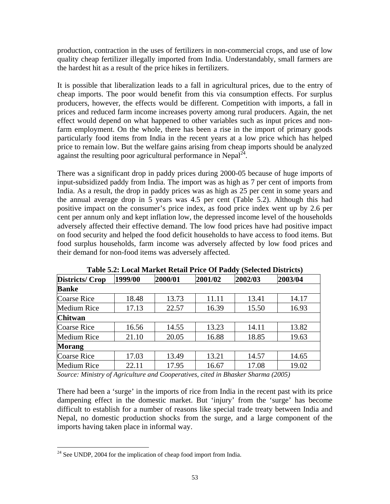production, contraction in the uses of fertilizers in non-commercial crops, and use of low quality cheap fertilizer illegally imported from India. Understandably, small farmers are the hardest hit as a result of the price hikes in fertilizers.

It is possible that liberalization leads to a fall in agricultural prices, due to the entry of cheap imports. The poor would benefit from this via consumption effects. For surplus producers, however, the effects would be different. Competition with imports, a fall in prices and reduced farm income increases poverty among rural producers. Again, the net effect would depend on what happened to other variables such as input prices and nonfarm employment. On the whole, there has been a rise in the import of primary goods particularly food items from India in the recent years at a low price which has helped price to remain low. But the welfare gains arising from cheap imports should be analyzed against the resulting poor agricultural performance in Nepal<sup>24</sup>.

There was a significant drop in paddy prices during 2000-05 because of huge imports of input-subsidized paddy from India. The import was as high as 7 per cent of imports from India. As a result, the drop in paddy prices was as high as 25 per cent in some years and the annual average drop in 5 years was 4.5 per cent (Table 5.2). Although this had positive impact on the consumer's price index, as food price index went up by 2.6 per cent per annum only and kept inflation low, the depressed income level of the households adversely affected their effective demand. The low food prices have had positive impact on food security and helped the food deficit households to have access to food items. But food surplus households, farm income was adversely affected by low food prices and their demand for non-food items was adversely affected.

| <b>Districts/Crop</b> | 1999/00 | 2000/01 | 2001/02 | 2002/03 | 2003/04 |  |
|-----------------------|---------|---------|---------|---------|---------|--|
| <b>Banke</b>          |         |         |         |         |         |  |
| <b>Coarse Rice</b>    | 18.48   | 13.73   | 11.11   | 13.41   | 14.17   |  |
| <b>Medium Rice</b>    | 17.13   | 22.57   | 16.39   | 15.50   | 16.93   |  |
| <b>Chitwan</b>        |         |         |         |         |         |  |
| <b>Coarse Rice</b>    | 16.56   | 14.55   | 13.23   | 14.11   | 13.82   |  |
| Medium Rice           | 21.10   | 20.05   | 16.88   | 18.85   | 19.63   |  |
| <b>Morang</b>         |         |         |         |         |         |  |
| <b>Coarse Rice</b>    | 17.03   | 13.49   | 13.21   | 14.57   | 14.65   |  |
| Medium Rice           | 22.11   | 17.95   | 16.67   | 17.08   | 19.02   |  |

**Table 5.2: Local Market Retail Price Of Paddy (Selected Districts)**

*Source: Ministry of Agriculture and Cooperatives, cited in Bhasker Sharma (2005)*

There had been a 'surge' in the imports of rice from India in the recent past with its price dampening effect in the domestic market. But 'injury' from the 'surge' has become difficult to establish for a number of reasons like special trade treaty between India and Nepal, no domestic production shocks from the surge, and a large component of the imports having taken place in informal way.

 $\overline{a}$ 

 $24$  See UNDP, 2004 for the implication of cheap food import from India.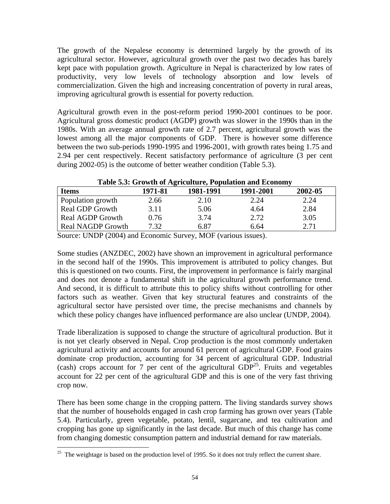The growth of the Nepalese economy is determined largely by the growth of its agricultural sector. However, agricultural growth over the past two decades has barely kept pace with population growth. Agriculture in Nepal is characterized by low rates of productivity, very low levels of technology absorption and low levels of commercialization. Given the high and increasing concentration of poverty in rural areas, improving agricultural growth is essential for poverty reduction.

Agricultural growth even in the post-reform period 1990-2001 continues to be poor. Agricultural gross domestic product (AGDP) growth was slower in the 1990s than in the 1980s. With an average annual growth rate of 2.7 percent, agricultural growth was the lowest among all the major components of GDP. There is however some difference between the two sub-periods 1990-1995 and 1996-2001, with growth rates being 1.75 and 2.94 per cent respectively. Recent satisfactory performance of agriculture (3 per cent during 2002-05) is the outcome of better weather condition (Table 5.3).

| <b>Items</b>      | 1971-81 | 1981-1991 | 1991-2001 | 2002-05 |
|-------------------|---------|-----------|-----------|---------|
| Population growth | 2.66    | 2.10      | 2.24      | 2.24    |
| Real GDP Growth   | 3.11    | 5.06      | 4.64      | 2.84    |
| Real AGDP Growth  | 0.76    | 3.74      | 2.72      | 3.05    |
| Real NAGDP Growth | 7.32    | 6.87      | 6.64      | 2.71    |

**Table 5.3: Growth of Agriculture, Population and Economy** 

Source: UNDP (2004) and Economic Survey, MOF (various issues).

Some studies (ANZDEC, 2002) have shown an improvement in agricultural performance in the second half of the 1990s. This improvement is attributed to policy changes. But this is questioned on two counts. First, the improvement in performance is fairly marginal and does not denote a fundamental shift in the agricultural growth performance trend. And second, it is difficult to attribute this to policy shifts without controlling for other factors such as weather. Given that key structural features and constraints of the agricultural sector have persisted over time, the precise mechanisms and channels by which these policy changes have influenced performance are also unclear (UNDP, 2004).

Trade liberalization is supposed to change the structure of agricultural production. But it is not yet clearly observed in Nepal. Crop production is the most commonly undertaken agricultural activity and accounts for around 61 percent of agricultural GDP. Food grains dominate crop production, accounting for 34 percent of agricultural GDP. Industrial (cash) crops account for 7 per cent of the agricultural  $GDP<sup>25</sup>$ . Fruits and vegetables account for 22 per cent of the agricultural GDP and this is one of the very fast thriving crop now.

There has been some change in the cropping pattern. The living standards survey shows that the number of households engaged in cash crop farming has grown over years (Table 5.4). Particularly, green vegetable, potato, lentil, sugarcane, and tea cultivation and cropping has gone up significantly in the last decade. But much of this change has come from changing domestic consumption pattern and industrial demand for raw materials.

 $\overline{a}$ <sup>25</sup> The weightage is based on the production level of 1995. So it does not truly reflect the current share.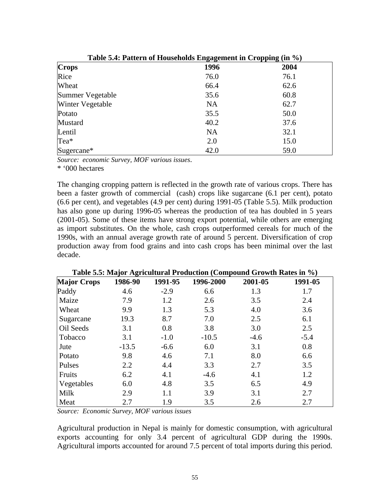| Table 5.4: Pattern of Households Engagement in Cropping (in %) |           |      |  |  |  |  |
|----------------------------------------------------------------|-----------|------|--|--|--|--|
| <b>Crops</b>                                                   | 1996      | 2004 |  |  |  |  |
| Rice                                                           | 76.0      | 76.1 |  |  |  |  |
| Wheat                                                          | 66.4      | 62.6 |  |  |  |  |
| Summer Vegetable                                               | 35.6      | 60.8 |  |  |  |  |
| Winter Vegetable                                               | <b>NA</b> | 62.7 |  |  |  |  |
| Potato                                                         | 35.5      | 50.0 |  |  |  |  |
| Mustard                                                        | 40.2      | 37.6 |  |  |  |  |
| Lentil                                                         | <b>NA</b> | 32.1 |  |  |  |  |
| Tea*                                                           | 2.0       | 15.0 |  |  |  |  |
| Sugercane*                                                     | 42.0      | 59.0 |  |  |  |  |

*Source: economic Survey, MOF various issues*.

\* '000 hectares

The changing cropping pattern is reflected in the growth rate of various crops. There has been a faster growth of commercial (cash) crops like sugarcane (6.1 per cent), potato (6.6 per cent), and vegetables (4.9 per cent) during 1991-05 (Table 5.5). Milk production has also gone up during 1996-05 whereas the production of tea has doubled in 5 years (2001-05). Some of these items have strong export potential, while others are emerging as import substitutes. On the whole, cash crops outperformed cereals for much of the 1990s, with an annual average growth rate of around 5 percent. Diversification of crop production away from food grains and into cash crops has been minimal over the last decade.

| Table 5.5: Major Agricultural Froduction (Compound Growth Kates in 70) |         |         |           |         |         |  |  |
|------------------------------------------------------------------------|---------|---------|-----------|---------|---------|--|--|
| <b>Major Crops</b>                                                     | 1986-90 | 1991-95 | 1996-2000 | 2001-05 | 1991-05 |  |  |
| Paddy                                                                  | 4.6     | $-2.9$  | 6.6       | 1.3     | 1.7     |  |  |
| Maize                                                                  | 7.9     | 1.2     | 2.6       | 3.5     | 2.4     |  |  |
| Wheat                                                                  | 9.9     | 1.3     | 5.3       | 4.0     | 3.6     |  |  |
| Sugarcane                                                              | 19.3    | 8.7     | 7.0       | 2.5     | 6.1     |  |  |
| Oil Seeds                                                              | 3.1     | 0.8     | 3.8       | 3.0     | 2.5     |  |  |
| Tobacco                                                                | 3.1     | $-1.0$  | $-10.5$   | $-4.6$  | $-5.4$  |  |  |
| Jute                                                                   | $-13.5$ | $-6.6$  | 6.0       | 3.1     | 0.8     |  |  |
| Potato                                                                 | 9.8     | 4.6     | 7.1       | 8.0     | 6.6     |  |  |
| Pulses                                                                 | 2.2     | 4.4     | 3.3       | 2.7     | 3.5     |  |  |
| Fruits                                                                 | 6.2     | 4.1     | $-4.6$    | 4.1     | 1.2     |  |  |
| Vegetables                                                             | 6.0     | 4.8     | 3.5       | 6.5     | 4.9     |  |  |
| Milk                                                                   | 2.9     | 1.1     | 3.9       | 3.1     | 2.7     |  |  |
| Meat                                                                   | 2.7     | 1.9     | 3.5       | 2.6     | 2.7     |  |  |

**Table 5.5: Major Agricultural Production (Compound Growth Rates in %)**

*Source: Economic Survey, MOF various issues* 

Agricultural production in Nepal is mainly for domestic consumption, with agricultural exports accounting for only 3.4 percent of agricultural GDP during the 1990s. Agricultural imports accounted for around 7.5 percent of total imports during this period.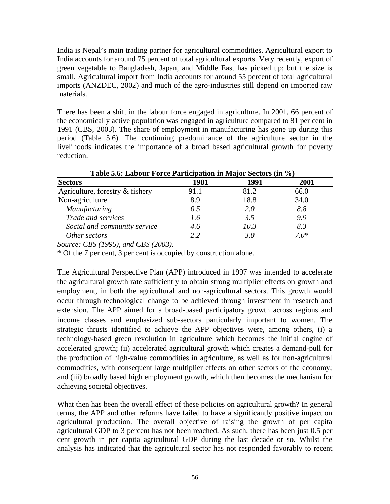India is Nepal's main trading partner for agricultural commodities. Agricultural export to India accounts for around 75 percent of total agricultural exports. Very recently, export of green vegetable to Bangladesh, Japan, and Middle East has picked up; but the size is small. Agricultural import from India accounts for around 55 percent of total agricultural imports (ANZDEC, 2002) and much of the agro-industries still depend on imported raw materials.

There has been a shift in the labour force engaged in agriculture. In 2001, 66 percent of the economically active population was engaged in agriculture compared to 81 per cent in 1991 (CBS, 2003). The share of employment in manufacturing has gone up during this period (Table 5.6). The continuing predominance of the agriculture sector in the livelihoods indicates the importance of a broad based agricultural growth for poverty reduction.

| Table 5.0. Eabour Force Farticipation in Major Sectors (in 70) |      |      |       |
|----------------------------------------------------------------|------|------|-------|
| <b>Sectors</b>                                                 | 1981 | 1991 | 2001  |
| Agriculture, forestry & fishery                                | 91.1 | 81.2 | 66.0  |
| Non-agriculture                                                | 8.9  | 18.8 | 34.0  |
| <b>Manufacturing</b>                                           | 0.5  | 2.0  | 8.8   |
| Trade and services                                             | 1.6  | 3.5  | 9.9   |
| Social and community service                                   | 4.6  | 10.3 | 8.3   |
| Other sectors                                                  |      | 3.0  | $70*$ |

**Table 5.6: Labour Force Participation in Major Sectors (in %)** 

*Source: CBS (1995), and CBS (2003).*

\* Of the 7 per cent, 3 per cent is occupied by construction alone.

The Agricultural Perspective Plan (APP) introduced in 1997 was intended to accelerate the agricultural growth rate sufficiently to obtain strong multiplier effects on growth and employment, in both the agricultural and non-agricultural sectors. This growth would occur through technological change to be achieved through investment in research and extension. The APP aimed for a broad-based participatory growth across regions and income classes and emphasized sub-sectors particularly important to women. The strategic thrusts identified to achieve the APP objectives were, among others, (i) a technology-based green revolution in agriculture which becomes the initial engine of accelerated growth; (ii) accelerated agricultural growth which creates a demand-pull for the production of high-value commodities in agriculture, as well as for non-agricultural commodities, with consequent large multiplier effects on other sectors of the economy; and (iii) broadly based high employment growth, which then becomes the mechanism for achieving societal objectives.

What then has been the overall effect of these policies on agricultural growth? In general terms, the APP and other reforms have failed to have a significantly positive impact on agricultural production. The overall objective of raising the growth of per capita agricultural GDP to 3 percent has not been reached. As such, there has been just 0.5 per cent growth in per capita agricultural GDP during the last decade or so. Whilst the analysis has indicated that the agricultural sector has not responded favorably to recent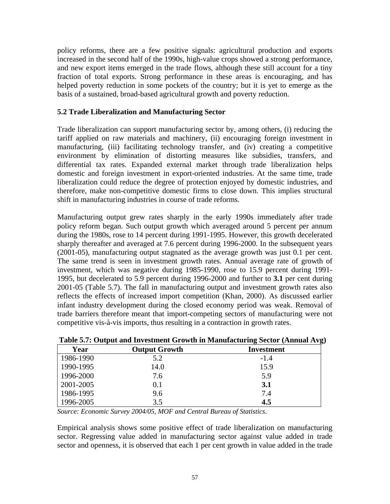policy reforms, there are a few positive signals: agricultural production and exports increased in the second half of the 1990s, high-value crops showed a strong performance, and new export items emerged in the trade flows, although these still account for a tiny fraction of total exports. Strong performance in these areas is encouraging, and has helped poverty reduction in some pockets of the country; but it is yet to emerge as the basis of a sustained, broad-based agricultural growth and poverty reduction.

#### **5.2 Trade Liberalization and Manufacturing Sector**

Trade liberalization can support manufacturing sector by, among others, (i) reducing the tariff applied on raw materials and machinery, (ii) encouraging foreign investment in manufacturing, (iii) facilitating technology transfer, and (iv) creating a competitive environment by elimination of distorting measures like subsidies, transfers, and differential tax rates. Expanded external market through trade liberalization helps domestic and foreign investment in export-oriented industries. At the same time, trade liberalization could reduce the degree of protection enjoyed by domestic industries, and therefore, make non-competitive domestic firms to close down. This implies structural shift in manufacturing industries in course of trade reforms.

Manufacturing output grew rates sharply in the early 1990s immediately after trade policy reform began. Such output growth which averaged around 5 percent per annum during the 1980s, rose to 14 percent during 1991-1995. However, this growth decelerated sharply thereafter and averaged at 7.6 percent during 1996-2000. In the subsequent years (2001-05), manufacturing output stagnated as the average growth was just 0.1 per cent. The same trend is seen in investment growth rates. Annual average rate of growth of investment, which was negative during 1985-1990, rose to 15.9 percent during 1991- 1995, but decelerated to 5.9 percent during 1996-2000 and further to **3.1** per cent during 2001-05 (Table 5.7). The fall in manufacturing output and investment growth rates also reflects the effects of increased import competition (Khan, 2000). As discussed earlier infant industry development during the closed economy period was weak. Removal of trade barriers therefore meant that import-competing sectors of manufacturing were not competitive vis-à-vis imports, thus resulting in a contraction in growth rates.

| Year      | <b>Output Growth</b> | ້<br>້<br>Investment |
|-----------|----------------------|----------------------|
| 1986-1990 | 5.2                  | $-1.4$               |
| 1990-1995 | 14.0                 | 15.9                 |
| 1996-2000 | 7.6                  | 5.9                  |
| 2001-2005 | 0.1                  | 3.1                  |
| 1986-1995 | 9.6                  | 7.4                  |
| 1996-2005 | 3.5                  | 4.5                  |

**Table 5.7: Output and Investment Growth in Manufacturing Sector (Annual Avg)** 

*Source: Economic Survey 2004/05, MOF and Central Bureau of Statistics*.

Empirical analysis shows some positive effect of trade liberalization on manufacturing sector. Regressing value added in manufacturing sector against value added in trade sector and openness, it is observed that each 1 per cent growth in value added in the trade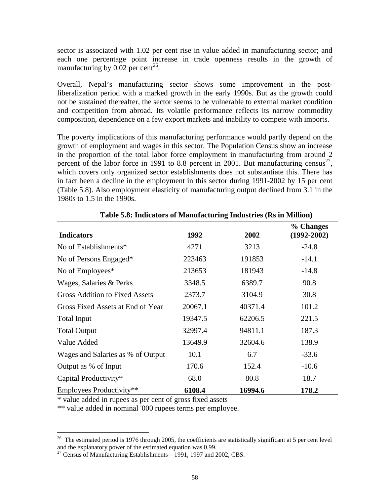sector is associated with 1.02 per cent rise in value added in manufacturing sector; and each one percentage point increase in trade openness results in the growth of manufacturing by 0.02 per cent<sup>26</sup>.

Overall, Nepal's manufacturing sector shows some improvement in the postliberalization period with a marked growth in the early 1990s. But as the growth could not be sustained thereafter, the sector seems to be vulnerable to external market condition and competition from abroad. Its volatile performance reflects its narrow commodity composition, dependence on a few export markets and inability to compete with imports.

The poverty implications of this manufacturing performance would partly depend on the growth of employment and wages in this sector. The Population Census show an increase in the proportion of the total labor force employment in manufacturing from around 2 percent of the labor force in 1991 to 8.8 percent in 2001. But manufacturing census<sup>27</sup>, which covers only organized sector establishments does not substantiate this. There has in fact been a decline in the employment in this sector during 1991-2002 by 15 per cent (Table 5.8). Also employment elasticity of manufacturing output declined from 3.1 in the 1980s to 1.5 in the 1990s.

| <b>Indicators</b>                     | 1992    | 2002    | % Changes<br>$(1992 - 2002)$ |
|---------------------------------------|---------|---------|------------------------------|
| No of Establishments*                 | 4271    | 3213    | $-24.8$                      |
| No of Persons Engaged*                | 223463  | 191853  | $-14.1$                      |
| No of Employees*                      | 213653  | 181943  | $-14.8$                      |
| Wages, Salaries & Perks               | 3348.5  | 6389.7  | 90.8                         |
| <b>Gross Addition to Fixed Assets</b> | 2373.7  | 3104.9  | 30.8                         |
| Gross Fixed Assets at End of Year     | 20067.1 | 40371.4 | 101.2                        |
| <b>Total Input</b>                    | 19347.5 | 62206.5 | 221.5                        |
| <b>Total Output</b>                   | 32997.4 | 94811.1 | 187.3                        |
| Value Added                           | 13649.9 | 32604.6 | 138.9                        |
| Wages and Salaries as % of Output     | 10.1    | 6.7     | $-33.6$                      |
| Output as % of Input                  | 170.6   | 152.4   | $-10.6$                      |
| Capital Productivity*                 | 68.0    | 80.8    | 18.7                         |
| Employees Productivity**              | 6108.4  | 16994.6 | 178.2                        |

#### **Table 5.8: Indicators of Manufacturing Industries (Rs in Million)**

\* value added in rupees as per cent of gross fixed assets

 $\overline{a}$ 

\*\* value added in nominal '000 rupees terms per employee.

<sup>&</sup>lt;sup>26</sup> The estimated period is 1976 through 2005, the coefficients are statistically significant at 5 per cent level and the explanatory power of the estimated equation was 0.99.<br><sup>27</sup> Census of Manufacturing Establishments—1991, 1997 and 2002, CBS.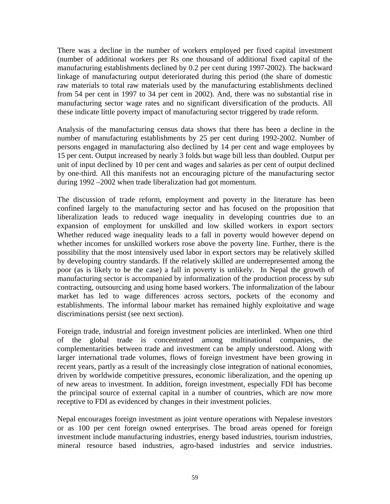There was a decline in the number of workers employed per fixed capital investment (number of additional workers per Rs one thousand of additional fixed capital of the manufacturing establishments declined by 0.2 per cent during 1997-2002). The backward linkage of manufacturing output deteriorated during this period (the share of domestic raw materials to total raw materials used by the manufacturing establishments declined from 54 per cent in 1997 to 34 per cent in 2002). And, there was no substantial rise in manufacturing sector wage rates and no significant diversification of the products. All these indicate little poverty impact of manufacturing sector triggered by trade reform.

Analysis of the manufacturing census data shows that there has been a decline in the number of manufacturing establishments by 25 per cent during 1992-2002. Number of persons engaged in manufacturing also declined by 14 per cent and wage employees by 15 per cent. Output increased by nearly 3 folds but wage bill less than doubled. Output per unit of input declined by 10 per cent and wages and salaries as per cent of output declined by one-third. All this manifests not an encouraging picture of the manufacturing sector during 1992 –2002 when trade liberalization had got momentum.

The discussion of trade reform, employment and poverty in the literature has been confined largely to the manufacturing sector and has focused on the proposition that liberalization leads to reduced wage inequality in developing countries due to an expansion of employment for unskilled and low skilled workers in export sectors. Whether reduced wage inequality leads to a fall in poverty would however depend on whether incomes for unskilled workers rose above the poverty line. Further, there is the possibility that the most intensively used labor in export sectors may be relatively skilled by developing country standards. If the relatively skilled are underrepresented among the poor (as is likely to be the case) a fall in poverty is unlikely. In Nepal the growth of manufacturing sector is accompanied by informalization of the production process by sub contracting, outsourcing and using home based workers. The informalization of the labour market has led to wage differences across sectors, pockets of the economy and establishments. The informal labour market has remained highly exploitative and wage discriminations persist (see next section).

Foreign trade, industrial and foreign investment policies are interlinked. When one third of the global trade is concentrated among multinational companies, the complementarities between trade and investment can be amply understood. Along with larger international trade volumes, flows of foreign investment have been growing in recent years, partly as a result of the increasingly close integration of national economies, driven by worldwide competitive pressures, economic liberalization, and the opening up of new areas to investment. In addition, foreign investment, especially FDI has become the principal source of external capital in a number of countries, which are now more receptive to FDI as evidenced by changes in their investment policies.

Nepal encourages foreign investment as joint venture operations with Nepalese investors or as 100 per cent foreign owned enterprises. The broad areas opened for foreign investment include manufacturing industries, energy based industries, tourism industries, mineral resource based industries, agro-based industries and service industries.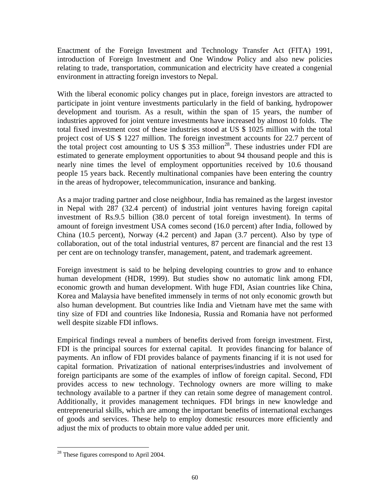Enactment of the Foreign Investment and Technology Transfer Act (FITA) 1991, introduction of Foreign Investment and One Window Policy and also new policies relating to trade, transportation, communication and electricity have created a congenial environment in attracting foreign investors to Nepal.

With the liberal economic policy changes put in place, foreign investors are attracted to participate in joint venture investments particularly in the field of banking, hydropower development and tourism. As a result, within the span of 15 years, the number of industries approved for joint venture investments have increased by almost 10 folds. The total fixed investment cost of these industries stood at US \$ 1025 million with the total project cost of US \$ 1227 million. The foreign investment accounts for 22.7 percent of the total project cost amounting to US  $$353$  million<sup>28</sup>. These industries under FDI are estimated to generate employment opportunities to about 94 thousand people and this is nearly nine times the level of employment opportunities received by 10.6 thousand people 15 years back. Recently multinational companies have been entering the country in the areas of hydropower, telecommunication, insurance and banking.

As a major trading partner and close neighbour, India has remained as the largest investor in Nepal with 287 (32.4 percent) of industrial joint ventures having foreign capital investment of Rs.9.5 billion (38.0 percent of total foreign investment). In terms of amount of foreign investment USA comes second (16.0 percent) after India, followed by China (10.5 percent), Norway (4.2 percent) and Japan (3.7 percent). Also by type of collaboration, out of the total industrial ventures, 87 percent are financial and the rest 13 per cent are on technology transfer, management, patent, and trademark agreement.

Foreign investment is said to be helping developing countries to grow and to enhance human development (HDR, 1999). But studies show no automatic link among FDI, economic growth and human development. With huge FDI, Asian countries like China, Korea and Malaysia have benefited immensely in terms of not only economic growth but also human development. But countries like India and Vietnam have met the same with tiny size of FDI and countries like Indonesia, Russia and Romania have not performed well despite sizable FDI inflows.

Empirical findings reveal a numbers of benefits derived from foreign investment. First, FDI is the principal sources for external capital. It provides financing for balance of payments. An inflow of FDI provides balance of payments financing if it is not used for capital formation. Privatization of national enterprises/industries and involvement of foreign participants are some of the examples of inflow of foreign capital. Second, FDI provides access to new technology. Technology owners are more willing to make technology available to a partner if they can retain some degree of management control. Additionally, it provides management techniques. FDI brings in new knowledge and entrepreneurial skills, which are among the important benefits of international exchanges of goods and services. These help to employ domestic resources more efficiently and adjust the mix of products to obtain more value added per unit.

 $\overline{a}$ 

<sup>&</sup>lt;sup>28</sup> These figures correspond to April 2004.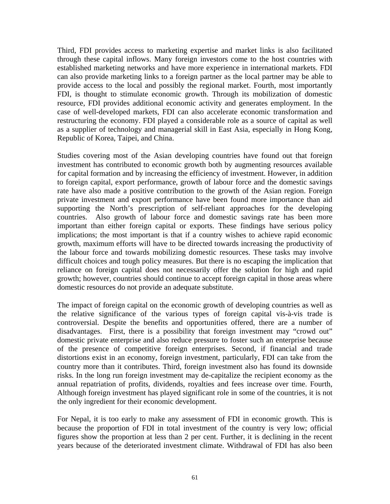Third, FDI provides access to marketing expertise and market links is also facilitated through these capital inflows. Many foreign investors come to the host countries with established marketing networks and have more experience in international markets. FDI can also provide marketing links to a foreign partner as the local partner may be able to provide access to the local and possibly the regional market. Fourth, most importantly FDI, is thought to stimulate economic growth. Through its mobilization of domestic resource, FDI provides additional economic activity and generates employment. In the case of well-developed markets, FDI can also accelerate economic transformation and restructuring the economy. FDI played a considerable role as a source of capital as well as a supplier of technology and managerial skill in East Asia, especially in Hong Kong, Republic of Korea, Taipei, and China.

Studies covering most of the Asian developing countries have found out that foreign investment has contributed to economic growth both by augmenting resources available for capital formation and by increasing the efficiency of investment. However, in addition to foreign capital, export performance, growth of labour force and the domestic savings rate have also made a positive contribution to the growth of the Asian region. Foreign private investment and export performance have been found more importance than aid supporting the North's prescription of self-reliant approaches for the developing countries. Also growth of labour force and domestic savings rate has been more important than either foreign capital or exports. These findings have serious policy implications; the most important is that if a country wishes to achieve rapid economic growth, maximum efforts will have to be directed towards increasing the productivity of the labour force and towards mobilizing domestic resources. These tasks may involve difficult choices and tough policy measures. But there is no escaping the implication that reliance on foreign capital does not necessarily offer the solution for high and rapid growth; however, countries should continue to accept foreign capital in those areas where domestic resources do not provide an adequate substitute.

The impact of foreign capital on the economic growth of developing countries as well as the relative significance of the various types of foreign capital vis-à-vis trade is controversial. Despite the benefits and opportunities offered, there are a number of disadvantages. First, there is a possibility that foreign investment may "crowd out" domestic private enterprise and also reduce pressure to foster such an enterprise because of the presence of competitive foreign enterprises. Second, if financial and trade distortions exist in an economy, foreign investment, particularly, FDI can take from the country more than it contributes. Third, foreign investment also has found its downside risks. In the long run foreign investment may de-capitalize the recipient economy as the annual repatriation of profits, dividends, royalties and fees increase over time. Fourth, Although foreign investment has played significant role in some of the countries, it is not the only ingredient for their economic development.

For Nepal, it is too early to make any assessment of FDI in economic growth. This is because the proportion of FDI in total investment of the country is very low; official figures show the proportion at less than 2 per cent. Further, it is declining in the recent years because of the deteriorated investment climate. Withdrawal of FDI has also been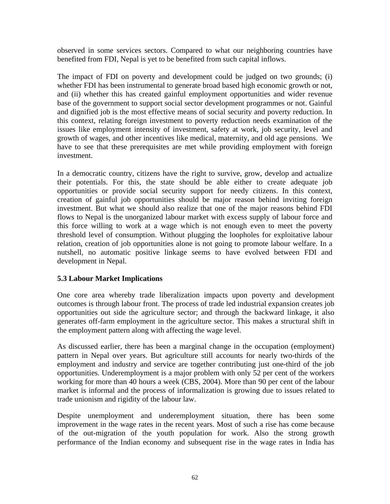observed in some services sectors. Compared to what our neighboring countries have benefited from FDI, Nepal is yet to be benefited from such capital inflows.

The impact of FDI on poverty and development could be judged on two grounds; (i) whether FDI has been instrumental to generate broad based high economic growth or not, and (ii) whether this has created gainful employment opportunities and wider revenue base of the government to support social sector development programmes or not. Gainful and dignified job is the most effective means of social security and poverty reduction. In this context, relating foreign investment to poverty reduction needs examination of the issues like employment intensity of investment, safety at work, job security, level and growth of wages, and other incentives like medical, maternity, and old age pensions. We have to see that these prerequisites are met while providing employment with foreign investment.

In a democratic country, citizens have the right to survive, grow, develop and actualize their potentials. For this, the state should be able either to create adequate job opportunities or provide social security support for needy citizens. In this context, creation of gainful job opportunities should be major reason behind inviting foreign investment. But what we should also realize that one of the major reasons behind FDI flows to Nepal is the unorganized labour market with excess supply of labour force and this force willing to work at a wage which is not enough even to meet the poverty threshold level of consumption. Without plugging the loopholes for exploitative labour relation, creation of job opportunities alone is not going to promote labour welfare. In a nutshell, no automatic positive linkage seems to have evolved between FDI and development in Nepal.

## **5.3 Labour Market Implications**

One core area whereby trade liberalization impacts upon poverty and development outcomes is through labour front. The process of trade led industrial expansion creates job opportunities out side the agriculture sector; and through the backward linkage, it also generates off-farm employment in the agriculture sector. This makes a structural shift in the employment pattern along with affecting the wage level.

As discussed earlier, there has been a marginal change in the occupation (employment) pattern in Nepal over years. But agriculture still accounts for nearly two-thirds of the employment and industry and service are together contributing just one-third of the job opportunities. Underemployment is a major problem with only 52 per cent of the workers working for more than 40 hours a week (CBS, 2004). More than 90 per cent of the labour market is informal and the process of informalization is growing due to issues related to trade unionism and rigidity of the labour law.

Despite unemployment and underemployment situation, there has been some improvement in the wage rates in the recent years. Most of such a rise has come because of the out-migration of the youth population for work. Also the strong growth performance of the Indian economy and subsequent rise in the wage rates in India has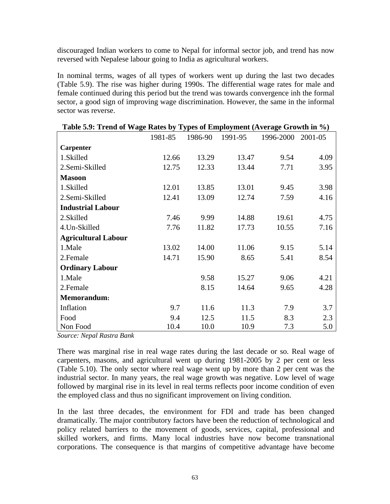discouraged Indian workers to come to Nepal for informal sector job, and trend has now reversed with Nepalese labour going to India as agricultural workers.

In nominal terms, wages of all types of workers went up during the last two decades (Table 5.9). The rise was higher during 1990s. The differential wage rates for male and female continued during this period but the trend was towards convergence inh the formal sector, a good sign of improving wage discrimination. However, the same in the informal sector was reverse.

| Table 5.9: Trend of Wage Rates by Types of Employment (Average Growth in %) |         |         |         |           |         |  |  |
|-----------------------------------------------------------------------------|---------|---------|---------|-----------|---------|--|--|
|                                                                             | 1981-85 | 1986-90 | 1991-95 | 1996-2000 | 2001-05 |  |  |
| Carpenter                                                                   |         |         |         |           |         |  |  |
| 1.Skilled                                                                   | 12.66   | 13.29   | 13.47   | 9.54      | 4.09    |  |  |
| 2.Semi-Skilled                                                              | 12.75   | 12.33   | 13.44   | 7.71      | 3.95    |  |  |
| <b>Masoon</b>                                                               |         |         |         |           |         |  |  |
| 1.Skilled                                                                   | 12.01   | 13.85   | 13.01   | 9.45      | 3.98    |  |  |
| 2.Semi-Skilled                                                              | 12.41   | 13.09   | 12.74   | 7.59      | 4.16    |  |  |
| <b>Industrial Labour</b>                                                    |         |         |         |           |         |  |  |
| 2.Skilled                                                                   | 7.46    | 9.99    | 14.88   | 19.61     | 4.75    |  |  |
| 4.Un-Skilled                                                                | 7.76    | 11.82   | 17.73   | 10.55     | 7.16    |  |  |
| <b>Agricultural Labour</b>                                                  |         |         |         |           |         |  |  |
| 1.Male                                                                      | 13.02   | 14.00   | 11.06   | 9.15      | 5.14    |  |  |
| 2.Female                                                                    | 14.71   | 15.90   | 8.65    | 5.41      | 8.54    |  |  |
| <b>Ordinary Labour</b>                                                      |         |         |         |           |         |  |  |
| 1.Male                                                                      |         | 9.58    | 15.27   | 9.06      | 4.21    |  |  |
| 2.Female                                                                    |         | 8.15    | 14.64   | 9.65      | 4.28    |  |  |
| <b>Memorandum:</b>                                                          |         |         |         |           |         |  |  |
| Inflation                                                                   | 9.7     | 11.6    | 11.3    | 7.9       | 3.7     |  |  |
| Food                                                                        | 9.4     | 12.5    | 11.5    | 8.3       | 2.3     |  |  |
| Non Food                                                                    | 10.4    | 10.0    | 10.9    | 7.3       | 5.0     |  |  |

*Source: Nepal Rastra Bank* 

There was marginal rise in real wage rates during the last decade or so. Real wage of carpenters, masons, and agricultural went up during 1981-2005 by 2 per cent or less (Table 5.10). The only sector where real wage went up by more than 2 per cent was the industrial sector. In many years, the real wage growth was negative. Low level of wage followed by marginal rise in its level in real terms reflects poor income condition of even the employed class and thus no significant improvement on living condition.

In the last three decades, the environment for FDI and trade has been changed dramatically. The major contributory factors have been the reduction of technological and policy related barriers to the movement of goods, services, capital, professional and skilled workers, and firms. Many local industries have now become transnational corporations. The consequence is that margins of competitive advantage have become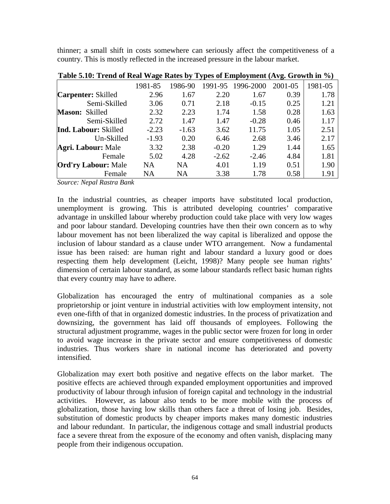thinner; a small shift in costs somewhere can seriously affect the competitiveness of a country. This is mostly reflected in the increased pressure in the labour market.

| Table site. Trend of field wage funcs by Types of Employment (Trig. Orowin in 70) |         |         |         |           |         |         |
|-----------------------------------------------------------------------------------|---------|---------|---------|-----------|---------|---------|
|                                                                                   | 1981-85 | 1986-90 | 1991-95 | 1996-2000 | 2001-05 | 1981-05 |
| <b>Carpenter:</b> Skilled                                                         | 2.96    | 1.67    | 2.20    | 1.67      | 0.39    | 1.78    |
| Semi-Skilled                                                                      | 3.06    | 0.71    | 2.18    | $-0.15$   | 0.25    | 1.21    |
| <b>Mason: Skilled</b>                                                             | 2.32    | 2.23    | 1.74    | 1.58      | 0.28    | 1.63    |
| Semi-Skilled                                                                      | 2.72    | 1.47    | 1.47    | $-0.28$   | 0.46    | 1.17    |
| <b>Ind. Labour: Skilled</b>                                                       | $-2.23$ | $-1.63$ | 3.62    | 11.75     | 1.05    | 2.51    |
| Un-Skilled                                                                        | $-1.93$ | 0.20    | 6.46    | 2.68      | 3.46    | 2.17    |
| <b>Agri. Labour: Male</b>                                                         | 3.32    | 2.38    | $-0.20$ | 1.29      | 1.44    | 1.65    |
| Female                                                                            | 5.02    | 4.28    | $-2.62$ | $-2.46$   | 4.84    | 1.81    |
| <b>Ord'ry Labour: Male</b>                                                        | NA      | NA      | 4.01    | 1.19      | 0.51    | 1.90    |
| Female                                                                            | NA      | NA      | 3.38    | 1.78      | 0.58    | 1.91    |

**Table 5.10: Trend of Real Wage Rates by Types of Employment (Avg. Growth in %)** 

*Source: Nepal Rastra Bank* 

In the industrial countries, as cheaper imports have substituted local production, unemployment is growing. This is attributed developing countries' comparative advantage in unskilled labour whereby production could take place with very low wages and poor labour standard. Developing countries have then their own concern as to why labour movement has not been liberalized the way capital is liberalized and oppose the inclusion of labour standard as a clause under WTO arrangement. Now a fundamental issue has been raised: are human right and labour standard a luxury good or does respecting them help development (Leicht, 1998)? Many people see human rights' dimension of certain labour standard, as some labour standards reflect basic human rights that every country may have to adhere.

Globalization has encouraged the entry of multinational companies as a sole proprietorship or joint venture in industrial activities with low employment intensity, not even one-fifth of that in organized domestic industries. In the process of privatization and downsizing, the government has laid off thousands of employees. Following the structural adjustment programme, wages in the public sector were frozen for long in order to avoid wage increase in the private sector and ensure competitiveness of domestic industries. Thus workers share in national income has deteriorated and poverty intensified.

Globalization may exert both positive and negative effects on the labor market. The positive effects are achieved through expanded employment opportunities and improved productivity of labour through infusion of foreign capital and technology in the industrial activities. However, as labour also tends to be more mobile with the process of globalization, those having low skills than others face a threat of losing job. Besides, substitution of domestic products by cheaper imports makes many domestic industries and labour redundant. In particular, the indigenous cottage and small industrial products face a severe threat from the exposure of the economy and often vanish, displacing many people from their indigenous occupation.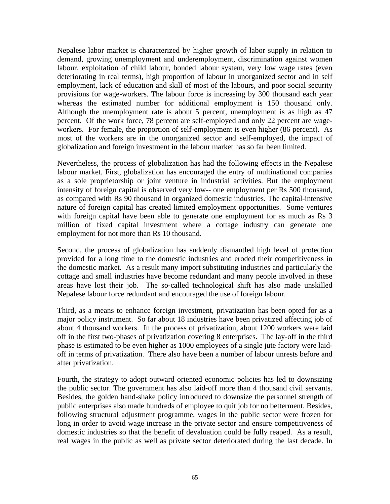Nepalese labor market is characterized by higher growth of labor supply in relation to demand, growing unemployment and underemployment, discrimination against women labour, exploitation of child labour, bonded labour system, very low wage rates (even deteriorating in real terms), high proportion of labour in unorganized sector and in self employment, lack of education and skill of most of the labours, and poor social security provisions for wage-workers. The labour force is increasing by 300 thousand each year whereas the estimated number for additional employment is 150 thousand only. Although the unemployment rate is about 5 percent, unemployment is as high as 47 percent. Of the work force, 78 percent are self-employed and only 22 percent are wageworkers. For female, the proportion of self-employment is even higher (86 percent). As most of the workers are in the unorganized sector and self-employed, the impact of globalization and foreign investment in the labour market has so far been limited.

Nevertheless, the process of globalization has had the following effects in the Nepalese labour market. First, globalization has encouraged the entry of multinational companies as a sole proprietorship or joint venture in industrial activities. But the employment intensity of foreign capital is observed very low-- one employment per Rs 500 thousand, as compared with Rs 90 thousand in organized domestic industries. The capital-intensive nature of foreign capital has created limited employment opportunities. Some ventures with foreign capital have been able to generate one employment for as much as Rs 3 million of fixed capital investment where a cottage industry can generate one employment for not more than Rs 10 thousand.

Second, the process of globalization has suddenly dismantled high level of protection provided for a long time to the domestic industries and eroded their competitiveness in the domestic market. As a result many import substituting industries and particularly the cottage and small industries have become redundant and many people involved in these areas have lost their job. The so-called technological shift has also made unskilled Nepalese labour force redundant and encouraged the use of foreign labour.

Third, as a means to enhance foreign investment, privatization has been opted for as a major policy instrument. So far about 18 industries have been privatized affecting job of about 4 thousand workers. In the process of privatization, about 1200 workers were laid off in the first two-phases of privatization covering 8 enterprises. The lay-off in the third phase is estimated to be even higher as 1000 employees of a single jute factory were laidoff in terms of privatization. There also have been a number of labour unrests before and after privatization.

Fourth, the strategy to adopt outward oriented economic policies has led to downsizing the public sector. The government has also laid-off more than 4 thousand civil servants. Besides, the golden hand-shake policy introduced to downsize the personnel strength of public enterprises also made hundreds of employee to quit job for no betterment. Besides, following structural adjustment programme, wages in the public sector were frozen for long in order to avoid wage increase in the private sector and ensure competitiveness of domestic industries so that the benefit of devaluation could be fully reaped. As a result, real wages in the public as well as private sector deteriorated during the last decade. In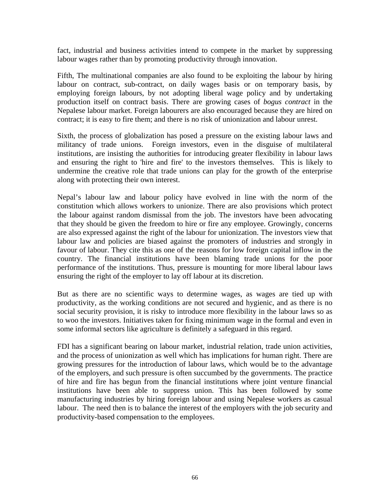fact, industrial and business activities intend to compete in the market by suppressing labour wages rather than by promoting productivity through innovation.

Fifth, The multinational companies are also found to be exploiting the labour by hiring labour on contract, sub-contract, on daily wages basis or on temporary basis, by employing foreign labours, by not adopting liberal wage policy and by undertaking production itself on contract basis. There are growing cases of *bogus contract* in the Nepalese labour market. Foreign labourers are also encouraged because they are hired on contract; it is easy to fire them; and there is no risk of unionization and labour unrest.

Sixth, the process of globalization has posed a pressure on the existing labour laws and militancy of trade unions. Foreign investors, even in the disguise of multilateral institutions, are insisting the authorities for introducing greater flexibility in labour laws and ensuring the right to 'hire and fire' to the investors themselves. This is likely to undermine the creative role that trade unions can play for the growth of the enterprise along with protecting their own interest.

Nepal's labour law and labour policy have evolved in line with the norm of the constitution which allows workers to unionize. There are also provisions which protect the labour against random dismissal from the job. The investors have been advocating that they should be given the freedom to hire or fire any employee. Growingly, concerns are also expressed against the right of the labour for unionization. The investors view that labour law and policies are biased against the promoters of industries and strongly in favour of labour. They cite this as one of the reasons for low foreign capital inflow in the country. The financial institutions have been blaming trade unions for the poor performance of the institutions. Thus, pressure is mounting for more liberal labour laws ensuring the right of the employer to lay off labour at its discretion.

But as there are no scientific ways to determine wages, as wages are tied up with productivity, as the working conditions are not secured and hygienic, and as there is no social security provision, it is risky to introduce more flexibility in the labour laws so as to woo the investors. Initiatives taken for fixing minimum wage in the formal and even in some informal sectors like agriculture is definitely a safeguard in this regard.

FDI has a significant bearing on labour market, industrial relation, trade union activities, and the process of unionization as well which has implications for human right. There are growing pressures for the introduction of labour laws, which would be to the advantage of the employers, and such pressure is often succumbed by the governments. The practice of hire and fire has begun from the financial institutions where joint venture financial institutions have been able to suppress union. This has been followed by some manufacturing industries by hiring foreign labour and using Nepalese workers as casual labour. The need then is to balance the interest of the employers with the job security and productivity-based compensation to the employees.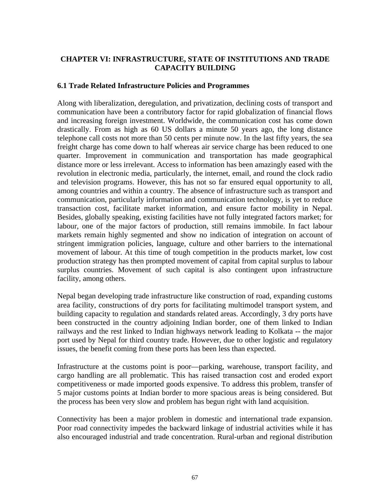# **CHAPTER VI: INFRASTRUCTURE, STATE OF INSTITUTIONS AND TRADE CAPACITY BUILDING**

#### **6.1 Trade Related Infrastructure Policies and Programmes**

Along with liberalization, deregulation, and privatization, declining costs of transport and communication have been a contributory factor for rapid globalization of financial flows and increasing foreign investment. Worldwide, the communication cost has come down drastically. From as high as 60 US dollars a minute 50 years ago, the long distance telephone call costs not more than 50 cents per minute now. In the last fifty years, the sea freight charge has come down to half whereas air service charge has been reduced to one quarter. Improvement in communication and transportation has made geographical distance more or less irrelevant. Access to information has been amazingly eased with the revolution in electronic media, particularly, the internet, email, and round the clock radio and television programs. However, this has not so far ensured equal opportunity to all, among countries and within a country. The absence of infrastructure such as transport and communication, particularly information and communication technology, is yet to reduce transaction cost, facilitate market information, and ensure factor mobility in Nepal. Besides, globally speaking, existing facilities have not fully integrated factors market; for labour, one of the major factors of production, still remains immobile. In fact labour markets remain highly segmented and show no indication of integration on account of stringent immigration policies, language, culture and other barriers to the international movement of labour. At this time of tough competition in the products market, low cost production strategy has then prompted movement of capital from capital surplus to labour surplus countries. Movement of such capital is also contingent upon infrastructure facility, among others.

Nepal began developing trade infrastructure like construction of road, expanding customs area facility, constructions of dry ports for facilitating multimodel transport system, and building capacity to regulation and standards related areas. Accordingly, 3 dry ports have been constructed in the country adjoining Indian border, one of them linked to Indian railways and the rest linked to Indian highways network leading to Kolkata -- the major port used by Nepal for third country trade. However, due to other logistic and regulatory issues, the benefit coming from these ports has been less than expected.

Infrastructure at the customs point is poor—parking, warehouse, transport facility, and cargo handling are all problematic. This has raised transaction cost and eroded export competitiveness or made imported goods expensive. To address this problem, transfer of 5 major customs points at Indian border to more spacious areas is being considered. But the process has been very slow and problem has begun right with land acquisition.

Connectivity has been a major problem in domestic and international trade expansion. Poor road connectivity impedes the backward linkage of industrial activities while it has also encouraged industrial and trade concentration. Rural-urban and regional distribution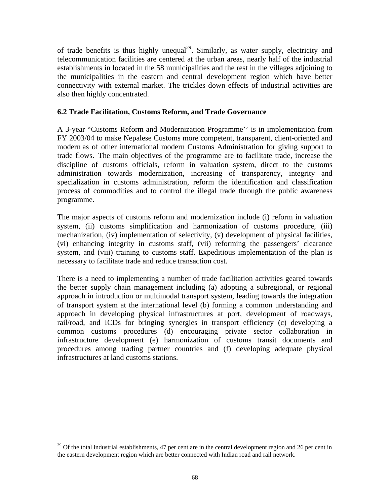of trade benefits is thus highly unequal<sup>29</sup>. Similarly, as water supply, electricity and telecommunication facilities are centered at the urban areas, nearly half of the industrial establishments in located in the 58 municipalities and the rest in the villages adjoining to the municipalities in the eastern and central development region which have better connectivity with external market. The trickles down effects of industrial activities are also then highly concentrated.

#### **6.2 Trade Facilitation, Customs Reform, and Trade Governance**

A 3-year "Customs Reform and Modernization Programme'' is in implementation from FY 2003/04 to make Nepalese Customs more competent, transparent, client-oriented and modern as of other international modern Customs Administration for giving support to trade flows. The main objectives of the programme are to facilitate trade, increase the discipline of customs officials, reform in valuation system, direct to the customs administration towards modernization, increasing of transparency, integrity and specialization in customs administration, reform the identification and classification process of commodities and to control the illegal trade through the public awareness programme.

The major aspects of customs reform and modernization include (i) reform in valuation system, (ii) customs simplification and harmonization of customs procedure, (iii) mechanization, (iv) implementation of selectivity, (v) development of physical facilities, (vi) enhancing integrity in customs staff, (vii) reforming the passengers' clearance system, and (viii) training to customs staff. Expeditious implementation of the plan is necessary to facilitate trade and reduce transaction cost.

There is a need to implementing a number of trade facilitation activities geared towards the better supply chain management including (a) adopting a subregional, or regional approach in introduction or multimodal transport system, leading towards the integration of transport system at the international level (b) forming a common understanding and approach in developing physical infrastructures at port, development of roadways, rail/road, and ICDs for bringing synergies in transport efficiency (c) developing a common customs procedures (d) encouraging private sector collaboration in infrastructure development (e) harmonization of customs transit documents and procedures among trading partner countries and (f) developing adequate physical infrastructures at land customs stations.

1

 $29$  Of the total industrial establishments, 47 per cent are in the central development region and 26 per cent in the eastern development region which are better connected with Indian road and rail network.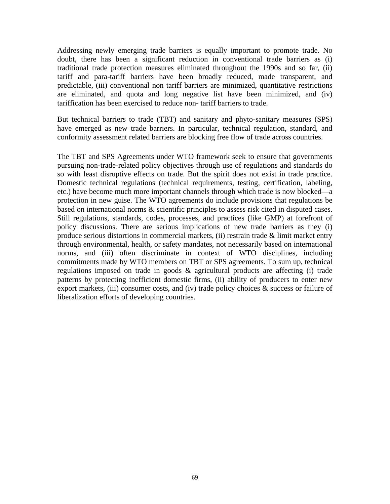Addressing newly emerging trade barriers is equally important to promote trade. No doubt, there has been a significant reduction in conventional trade barriers as (i) traditional trade protection measures eliminated throughout the 1990s and so far, (ii) tariff and para-tariff barriers have been broadly reduced, made transparent, and predictable, (iii) conventional non tariff barriers are minimized, quantitative restrictions are eliminated, and quota and long negative list have been minimized, and (iv) tariffication has been exercised to reduce non- tariff barriers to trade.

But technical barriers to trade (TBT) and sanitary and phyto-sanitary measures (SPS) have emerged as new trade barriers. In particular, technical regulation, standard, and conformity assessment related barriers are blocking free flow of trade across countries.

The TBT and SPS Agreements under WTO framework seek to ensure that governments pursuing non-trade-related policy objectives through use of regulations and standards do so with least disruptive effects on trade. But the spirit does not exist in trade practice. Domestic technical regulations (technical requirements, testing, certification, labeling, etc.) have become much more important channels through which trade is now blocked—a protection in new guise. The WTO agreements do include provisions that regulations be based on international norms & scientific principles to assess risk cited in disputed cases. Still regulations, standards, codes, processes, and practices (like GMP) at forefront of policy discussions. There are serious implications of new trade barriers as they (i) produce serious distortions in commercial markets, (ii) restrain trade & limit market entry through environmental, health, or safety mandates, not necessarily based on international norms, and (iii) often discriminate in context of WTO disciplines, including commitments made by WTO members on TBT or SPS agreements. To sum up, technical regulations imposed on trade in goods & agricultural products are affecting (i) trade patterns by protecting inefficient domestic firms, (ii) ability of producers to enter new export markets, (iii) consumer costs, and (iv) trade policy choices  $\&$  success or failure of liberalization efforts of developing countries.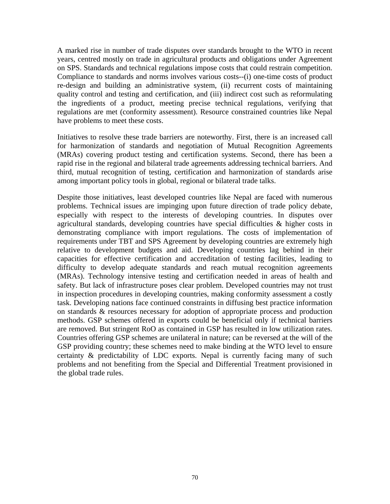A marked rise in number of trade disputes over standards brought to the WTO in recent years, centred mostly on trade in agricultural products and obligations under Agreement on SPS. Standards and technical regulations impose costs that could restrain competition. Compliance to standards and norms involves various costs--(i) one-time costs of product re-design and building an administrative system, (ii) recurrent costs of maintaining quality control and testing and certification, and (iii) indirect cost such as reformulating the ingredients of a product, meeting precise technical regulations, verifying that regulations are met (conformity assessment). Resource constrained countries like Nepal have problems to meet these costs.

Initiatives to resolve these trade barriers are noteworthy. First, there is an increased call for harmonization of standards and negotiation of Mutual Recognition Agreements (MRAs) covering product testing and certification systems. Second, there has been a rapid rise in the regional and bilateral trade agreements addressing technical barriers. And third, mutual recognition of testing, certification and harmonization of standards arise among important policy tools in global, regional or bilateral trade talks.

Despite those initiatives, least developed countries like Nepal are faced with numerous problems. Technical issues are impinging upon future direction of trade policy debate, especially with respect to the interests of developing countries. In disputes over agricultural standards, developing countries have special difficulties & higher costs in demonstrating compliance with import regulations. The costs of implementation of requirements under TBT and SPS Agreement by developing countries are extremely high relative to development budgets and aid. Developing countries lag behind in their capacities for effective certification and accreditation of testing facilities, leading to difficulty to develop adequate standards and reach mutual recognition agreements (MRAs). Technology intensive testing and certification needed in areas of health and safety. But lack of infrastructure poses clear problem. Developed countries may not trust in inspection procedures in developing countries, making conformity assessment a costly task. Developing nations face continued constraints in diffusing best practice information on standards & resources necessary for adoption of appropriate process and production methods. GSP schemes offered in exports could be beneficial only if technical barriers are removed. But stringent RoO as contained in GSP has resulted in low utilization rates. Countries offering GSP schemes are unilateral in nature; can be reversed at the will of the GSP providing country; these schemes need to make binding at the WTO level to ensure certainty & predictability of LDC exports. Nepal is currently facing many of such problems and not benefiting from the Special and Differential Treatment provisioned in the global trade rules.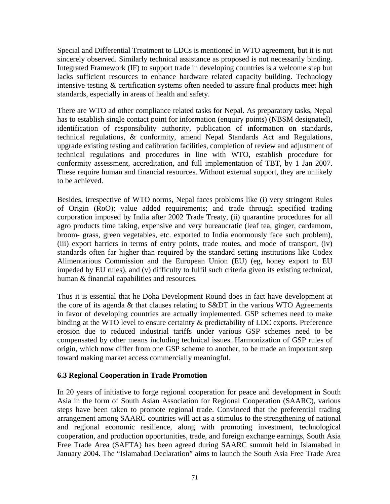Special and Differential Treatment to LDCs is mentioned in WTO agreement, but it is not sincerely observed. Similarly technical assistance as proposed is not necessarily binding. Integrated Framework (IF) to support trade in developing countries is a welcome step but lacks sufficient resources to enhance hardware related capacity building. Technology intensive testing & certification systems often needed to assure final products meet high standards, especially in areas of health and safety.

There are WTO ad other compliance related tasks for Nepal. As preparatory tasks, Nepal has to establish single contact point for information (enquiry points) (NBSM designated), identification of responsibility authority, publication of information on standards, technical regulations, & conformity, amend Nepal Standards Act and Regulations, upgrade existing testing and calibration facilities, completion of review and adjustment of technical regulations and procedures in line with WTO, establish procedure for conformity assessment, accreditation, and full implementation of TBT, by 1 Jan 2007. These require human and financial resources. Without external support, they are unlikely to be achieved.

Besides, irrespective of WTO norms, Nepal faces problems like (i) very stringent Rules of Origin (RoO); value added requirements; and trade through specified trading corporation imposed by India after 2002 Trade Treaty, (ii) quarantine procedures for all agro products time taking, expensive and very bureaucratic (leaf tea, ginger, cardamom, broom- grass, green vegetables, etc. exported to India enormously face such problem), (iii) export barriers in terms of entry points, trade routes, and mode of transport, (iv) standards often far higher than required by the standard setting institutions like Codex Alimentarious Commission and the European Union (EU) (eg, honey export to EU impeded by EU rules), and (v) difficulty to fulfil such criteria given its existing technical, human & financial capabilities and resources.

Thus it is essential that he Doha Development Round does in fact have development at the core of its agenda & that clauses relating to S&DT in the various WTO Agreements in favor of developing countries are actually implemented. GSP schemes need to make binding at the WTO level to ensure certainty & predictability of LDC exports. Preference erosion due to reduced industrial tariffs under various GSP schemes need to be compensated by other means including technical issues. Harmonization of GSP rules of origin, which now differ from one GSP scheme to another, to be made an important step toward making market access commercially meaningful.

#### **6.3 Regional Cooperation in Trade Promotion**

In 20 years of initiative to forge regional cooperation for peace and development in South Asia in the form of South Asian Association for Regional Cooperation (SAARC), various steps have been taken to promote regional trade. Convinced that the preferential trading arrangement among SAARC countries will act as a stimulus to the strengthening of national and regional economic resilience, along with promoting investment, technological cooperation, and production opportunities, trade, and foreign exchange earnings, South Asia Free Trade Area (SAFTA) has been agreed during SAARC summit held in Islamabad in January 2004. The "Islamabad Declaration" aims to launch the South Asia Free Trade Area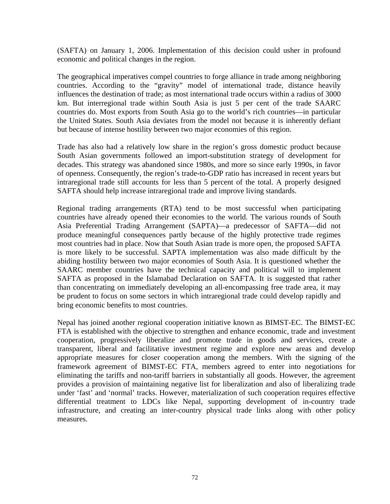(SAFTA) on January 1, 2006. Implementation of this decision could usher in profound economic and political changes in the region.

The geographical imperatives compel countries to forge alliance in trade among neighboring countries. According to the "gravity" model of international trade, distance heavily influences the destination of trade; as most international trade occurs within a radius of 3000 km. But interregional trade within South Asia is just 5 per cent of the trade SAARC countries do. Most exports from South Asia go to the world's rich countries—in particular the United States. South Asia deviates from the model not because it is inherently defiant but because of intense hostility between two major economies of this region.

Trade has also had a relatively low share in the region's gross domestic product because South Asian governments followed an import-substitution strategy of development for decades. This strategy was abandoned since 1980s, and more so since early 1990s, in favor of openness. Consequently, the region's trade-to-GDP ratio has increased in recent years but intraregional trade still accounts for less than 5 percent of the total. A properly designed SAFTA should help increase intraregional trade and improve living standards.

Regional trading arrangements (RTA) tend to be most successful when participating countries have already opened their economies to the world. The various rounds of South Asia Preferential Trading Arrangement (SAPTA)—a predecessor of SAFTA—did not produce meaningful consequences partly because of the highly protective trade regimes most countries had in place. Now that South Asian trade is more open, the proposed SAFTA is more likely to be successful. SAPTA implementation was also made difficult by the abiding hostility between two major economies of South Asia. It is questioned whether the SAARC member countries have the technical capacity and political will to implement SAFTA as proposed in the Islamabad Declaration on SAFTA. It is suggested that rather than concentrating on immediately developing an all-encompassing free trade area, it may be prudent to focus on some sectors in which intraregional trade could develop rapidly and bring economic benefits to most countries.

Nepal has joined another regional cooperation initiative known as BIMST-EC. The BIMST-EC FTA is established with the objective to strengthen and enhance economic, trade and investment cooperation, progressively liberalize and promote trade in goods and services, create a transparent, liberal and facilitative investment regime and explore new areas and develop appropriate measures for closer cooperation among the members. With the signing of the framework agreement of BIMST-EC FTA, members agreed to enter into negotiations for eliminating the tariffs and non-tariff barriers in substantially all goods. However, the agreement provides a provision of maintaining negative list for liberalization and also of liberalizing trade under 'fast' and 'normal' tracks. However, materialization of such cooperation requires effective differential treatment to LDCs like Nepal, supporting development of in-country trade infrastructure, and creating an inter-country physical trade links along with other policy measures.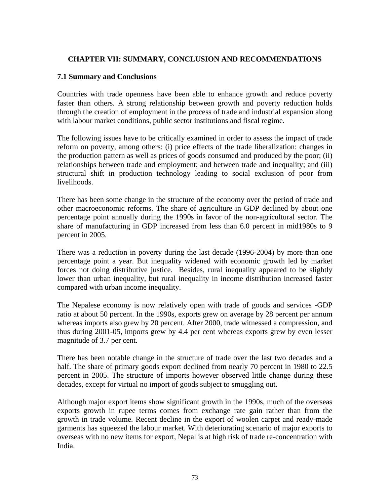## **CHAPTER VII: SUMMARY, CONCLUSION AND RECOMMENDATIONS**

## **7.1 Summary and Conclusions**

Countries with trade openness have been able to enhance growth and reduce poverty faster than others. A strong relationship between growth and poverty reduction holds through the creation of employment in the process of trade and industrial expansion along with labour market conditions, public sector institutions and fiscal regime.

The following issues have to be critically examined in order to assess the impact of trade reform on poverty, among others: (i) price effects of the trade liberalization: changes in the production pattern as well as prices of goods consumed and produced by the poor; (ii) relationships between trade and employment; and between trade and inequality; and (iii) structural shift in production technology leading to social exclusion of poor from livelihoods.

There has been some change in the structure of the economy over the period of trade and other macroeconomic reforms. The share of agriculture in GDP declined by about one percentage point annually during the 1990s in favor of the non-agricultural sector. The share of manufacturing in GDP increased from less than 6.0 percent in mid1980s to 9 percent in 2005.

There was a reduction in poverty during the last decade (1996-2004) by more than one percentage point a year. But inequality widened with economic growth led by market forces not doing distributive justice. Besides, rural inequality appeared to be slightly lower than urban inequality, but rural inequality in income distribution increased faster compared with urban income inequality.

The Nepalese economy is now relatively open with trade of goods and services -GDP ratio at about 50 percent. In the 1990s, exports grew on average by 28 percent per annum whereas imports also grew by 20 percent. After 2000, trade witnessed a compression, and thus during 2001-05, imports grew by 4.4 per cent whereas exports grew by even lesser magnitude of 3.7 per cent.

There has been notable change in the structure of trade over the last two decades and a half. The share of primary goods export declined from nearly 70 percent in 1980 to 22.5 percent in 2005. The structure of imports however observed little change during these decades, except for virtual no import of goods subject to smuggling out.

Although major export items show significant growth in the 1990s, much of the overseas exports growth in rupee terms comes from exchange rate gain rather than from the growth in trade volume. Recent decline in the export of woolen carpet and ready-made garments has squeezed the labour market. With deteriorating scenario of major exports to overseas with no new items for export, Nepal is at high risk of trade re-concentration with India.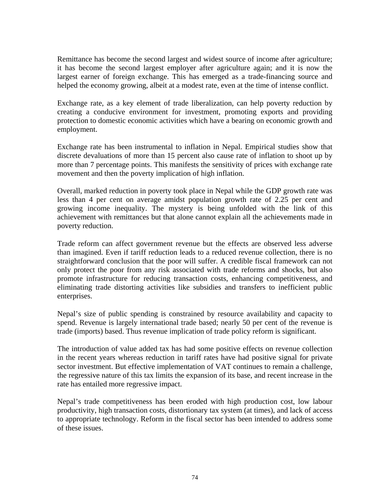Remittance has become the second largest and widest source of income after agriculture; it has become the second largest employer after agriculture again; and it is now the largest earner of foreign exchange. This has emerged as a trade-financing source and helped the economy growing, albeit at a modest rate, even at the time of intense conflict.

Exchange rate, as a key element of trade liberalization, can help poverty reduction by creating a conducive environment for investment, promoting exports and providing protection to domestic economic activities which have a bearing on economic growth and employment.

Exchange rate has been instrumental to inflation in Nepal. Empirical studies show that discrete devaluations of more than 15 percent also cause rate of inflation to shoot up by more than 7 percentage points. This manifests the sensitivity of prices with exchange rate movement and then the poverty implication of high inflation.

Overall, marked reduction in poverty took place in Nepal while the GDP growth rate was less than 4 per cent on average amidst population growth rate of 2.25 per cent and growing income inequality. The mystery is being unfolded with the link of this achievement with remittances but that alone cannot explain all the achievements made in poverty reduction.

Trade reform can affect government revenue but the effects are observed less adverse than imagined. Even if tariff reduction leads to a reduced revenue collection, there is no straightforward conclusion that the poor will suffer. A credible fiscal framework can not only protect the poor from any risk associated with trade reforms and shocks, but also promote infrastructure for reducing transaction costs, enhancing competitiveness, and eliminating trade distorting activities like subsidies and transfers to inefficient public enterprises.

Nepal's size of public spending is constrained by resource availability and capacity to spend. Revenue is largely international trade based; nearly 50 per cent of the revenue is trade (imports) based. Thus revenue implication of trade policy reform is significant.

The introduction of value added tax has had some positive effects on revenue collection in the recent years whereas reduction in tariff rates have had positive signal for private sector investment. But effective implementation of VAT continues to remain a challenge, the regressive nature of this tax limits the expansion of its base, and recent increase in the rate has entailed more regressive impact.

Nepal's trade competitiveness has been eroded with high production cost, low labour productivity, high transaction costs, distortionary tax system (at times), and lack of access to appropriate technology. Reform in the fiscal sector has been intended to address some of these issues.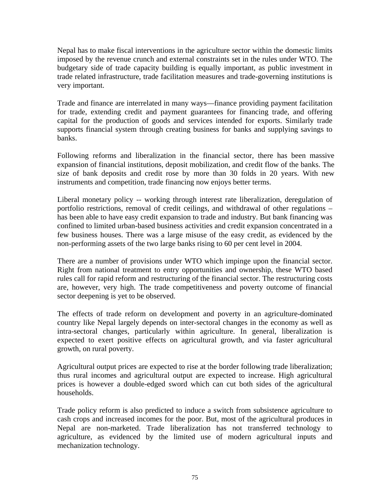Nepal has to make fiscal interventions in the agriculture sector within the domestic limits imposed by the revenue crunch and external constraints set in the rules under WTO. The budgetary side of trade capacity building is equally important, as public investment in trade related infrastructure, trade facilitation measures and trade-governing institutions is very important.

Trade and finance are interrelated in many ways—finance providing payment facilitation for trade, extending credit and payment guarantees for financing trade, and offering capital for the production of goods and services intended for exports. Similarly trade supports financial system through creating business for banks and supplying savings to banks.

Following reforms and liberalization in the financial sector, there has been massive expansion of financial institutions, deposit mobilization, and credit flow of the banks. The size of bank deposits and credit rose by more than 30 folds in 20 years. With new instruments and competition, trade financing now enjoys better terms.

Liberal monetary policy -- working through interest rate liberalization, deregulation of portfolio restrictions, removal of credit ceilings, and withdrawal of other regulations – has been able to have easy credit expansion to trade and industry. But bank financing was confined to limited urban-based business activities and credit expansion concentrated in a few business houses. There was a large misuse of the easy credit, as evidenced by the non-performing assets of the two large banks rising to 60 per cent level in 2004.

There are a number of provisions under WTO which impinge upon the financial sector. Right from national treatment to entry opportunities and ownership, these WTO based rules call for rapid reform and restructuring of the financial sector. The restructuring costs are, however, very high. The trade competitiveness and poverty outcome of financial sector deepening is yet to be observed.

The effects of trade reform on development and poverty in an agriculture-dominated country like Nepal largely depends on inter-sectoral changes in the economy as well as intra-sectoral changes, particularly within agriculture. In general, liberalization is expected to exert positive effects on agricultural growth, and via faster agricultural growth, on rural poverty.

Agricultural output prices are expected to rise at the border following trade liberalization; thus rural incomes and agricultural output are expected to increase. High agricultural prices is however a double-edged sword which can cut both sides of the agricultural households.

Trade policy reform is also predicted to induce a switch from subsistence agriculture to cash crops and increased incomes for the poor. But, most of the agricultural produces in Nepal are non-marketed. Trade liberalization has not transferred technology to agriculture, as evidenced by the limited use of modern agricultural inputs and mechanization technology.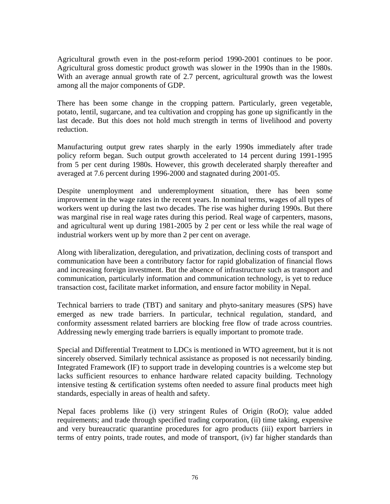Agricultural growth even in the post-reform period 1990-2001 continues to be poor. Agricultural gross domestic product growth was slower in the 1990s than in the 1980s. With an average annual growth rate of 2.7 percent, agricultural growth was the lowest among all the major components of GDP.

There has been some change in the cropping pattern. Particularly, green vegetable, potato, lentil, sugarcane, and tea cultivation and cropping has gone up significantly in the last decade. But this does not hold much strength in terms of livelihood and poverty reduction.

Manufacturing output grew rates sharply in the early 1990s immediately after trade policy reform began. Such output growth accelerated to 14 percent during 1991-1995 from 5 per cent during 1980s. However, this growth decelerated sharply thereafter and averaged at 7.6 percent during 1996-2000 and stagnated during 2001-05.

Despite unemployment and underemployment situation, there has been some improvement in the wage rates in the recent years. In nominal terms, wages of all types of workers went up during the last two decades. The rise was higher during 1990s. But there was marginal rise in real wage rates during this period. Real wage of carpenters, masons, and agricultural went up during 1981-2005 by 2 per cent or less while the real wage of industrial workers went up by more than 2 per cent on average.

Along with liberalization, deregulation, and privatization, declining costs of transport and communication have been a contributory factor for rapid globalization of financial flows and increasing foreign investment. But the absence of infrastructure such as transport and communication, particularly information and communication technology, is yet to reduce transaction cost, facilitate market information, and ensure factor mobility in Nepal.

Technical barriers to trade (TBT) and sanitary and phyto-sanitary measures (SPS) have emerged as new trade barriers. In particular, technical regulation, standard, and conformity assessment related barriers are blocking free flow of trade across countries. Addressing newly emerging trade barriers is equally important to promote trade.

Special and Differential Treatment to LDCs is mentioned in WTO agreement, but it is not sincerely observed. Similarly technical assistance as proposed is not necessarily binding. Integrated Framework (IF) to support trade in developing countries is a welcome step but lacks sufficient resources to enhance hardware related capacity building. Technology intensive testing & certification systems often needed to assure final products meet high standards, especially in areas of health and safety.

Nepal faces problems like (i) very stringent Rules of Origin (RoO); value added requirements; and trade through specified trading corporation, (ii) time taking, expensive and very bureaucratic quarantine procedures for agro products (iii) export barriers in terms of entry points, trade routes, and mode of transport, (iv) far higher standards than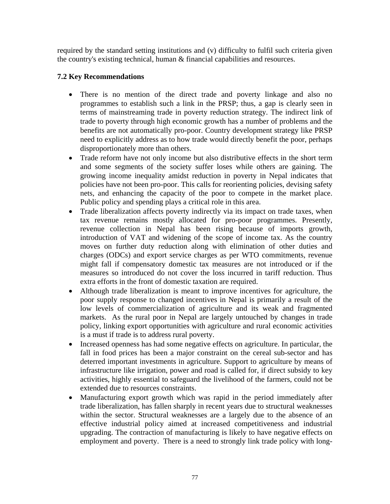required by the standard setting institutions and (v) difficulty to fulfil such criteria given the country's existing technical, human & financial capabilities and resources.

## **7.2 Key Recommendations**

- There is no mention of the direct trade and poverty linkage and also no programmes to establish such a link in the PRSP; thus, a gap is clearly seen in terms of mainstreaming trade in poverty reduction strategy. The indirect link of trade to poverty through high economic growth has a number of problems and the benefits are not automatically pro-poor. Country development strategy like PRSP need to explicitly address as to how trade would directly benefit the poor, perhaps disproportionately more than others.
- Trade reform have not only income but also distributive effects in the short term and some segments of the society suffer loses while others are gaining. The growing income inequality amidst reduction in poverty in Nepal indicates that policies have not been pro-poor. This calls for reorienting policies, devising safety nets, and enhancing the capacity of the poor to compete in the market place. Public policy and spending plays a critical role in this area.
- Trade liberalization affects poverty indirectly via its impact on trade taxes, when tax revenue remains mostly allocated for pro-poor programmes. Presently, revenue collection in Nepal has been rising because of imports growth, introduction of VAT and widening of the scope of income tax. As the country moves on further duty reduction along with elimination of other duties and charges (ODCs) and export service charges as per WTO commitments, revenue might fall if compensatory domestic tax measures are not introduced or if the measures so introduced do not cover the loss incurred in tariff reduction. Thus extra efforts in the front of domestic taxation are required.
- Although trade liberalization is meant to improve incentives for agriculture, the poor supply response to changed incentives in Nepal is primarily a result of the low levels of commercialization of agriculture and its weak and fragmented markets. As the rural poor in Nepal are largely untouched by changes in trade policy, linking export opportunities with agriculture and rural economic activities is a must if trade is to address rural poverty.
- Increased openness has had some negative effects on agriculture. In particular, the fall in food prices has been a major constraint on the cereal sub-sector and has deterred important investments in agriculture. Support to agriculture by means of infrastructure like irrigation, power and road is called for, if direct subsidy to key activities, highly essential to safeguard the livelihood of the farmers, could not be extended due to resources constraints.
- Manufacturing export growth which was rapid in the period immediately after trade liberalization, has fallen sharply in recent years due to structural weaknesses within the sector. Structural weaknesses are a largely due to the absence of an effective industrial policy aimed at increased competitiveness and industrial upgrading. The contraction of manufacturing is likely to have negative effects on employment and poverty. There is a need to strongly link trade policy with long-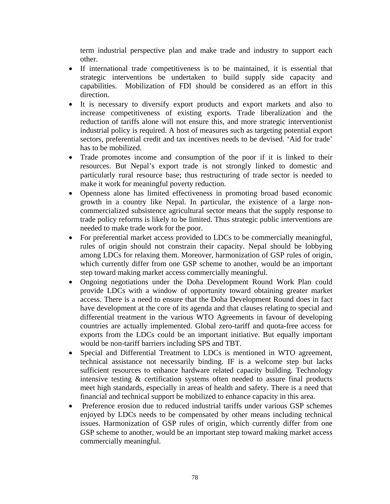term industrial perspective plan and make trade and industry to support each other.

- If international trade competitiveness is to be maintained, it is essential that strategic interventions be undertaken to build supply side capacity and capabilities. Mobilization of FDI should be considered as an effort in this direction.
- It is necessary to diversify export products and export markets and also to increase competitiveness of existing exports. Trade liberalization and the reduction of tariffs alone will not ensure this, and more strategic interventionist industrial policy is required. A host of measures such as targeting potential export sectors, preferential credit and tax incentives needs to be devised. 'Aid for trade' has to be mobilized.
- Trade promotes income and consumption of the poor if it is linked to their resources. But Nepal's export trade is not strongly linked to domestic and particularly rural resource base; thus restructuring of trade sector is needed to make it work for meaningful poverty reduction.
- Openness alone has limited effectiveness in promoting broad based economic growth in a country like Nepal. In particular, the existence of a large noncommercialized subsistence agricultural sector means that the supply response to trade policy reforms is likely to be limited. Thus strategic public interventions are needed to make trade work for the poor.
- For preferential market access provided to LDCs to be commercially meaningful, rules of origin should not constrain their capacity. Nepal should be lobbying among LDCs for relaxing them. Moreover, harmonization of GSP rules of origin, which currently differ from one GSP scheme to another, would be an important step toward making market access commercially meaningful.
- Ongoing negotiations under the Doha Development Round Work Plan could provide LDCs with a window of opportunity toward obtaining greater market access. There is a need to ensure that the Doha Development Round does in fact have development at the core of its agenda and that clauses relating to special and differential treatment in the various WTO Agreements in favour of developing countries are actually implemented. Global zero-tariff and quota-free access for exports from the LDCs could be an important initiative. But equally important would be non-tariff barriers including SPS and TBT.
- Special and Differential Treatment to LDCs is mentioned in WTO agreement, technical assistance not necessarily binding. IF is a welcome step but lacks sufficient resources to enhance hardware related capacity building. Technology intensive testing & certification systems often needed to assure final products meet high standards, especially in areas of health and safety. There is a need that financial and technical support be mobilized to enhance capacity in this area.
- Preference erosion due to reduced industrial tariffs under various GSP schemes enjoyed by LDCs needs to be compensated by other means including technical issues. Harmonization of GSP rules of origin, which currently differ from one GSP scheme to another, would be an important step toward making market access commercially meaningful.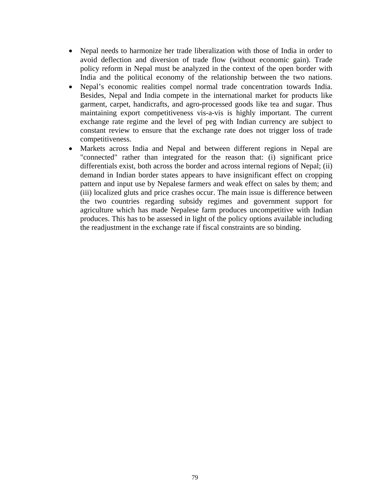- Nepal needs to harmonize her trade liberalization with those of India in order to avoid deflection and diversion of trade flow (without economic gain). Trade policy reform in Nepal must be analyzed in the context of the open border with India and the political economy of the relationship between the two nations.
- Nepal's economic realities compel normal trade concentration towards India. Besides, Nepal and India compete in the international market for products like garment, carpet, handicrafts, and agro-processed goods like tea and sugar. Thus maintaining export competitiveness vis-a-vis is highly important. The current exchange rate regime and the level of peg with Indian currency are subject to constant review to ensure that the exchange rate does not trigger loss of trade competitiveness.
- Markets across India and Nepal and between different regions in Nepal are "connected" rather than integrated for the reason that: (i) significant price differentials exist, both across the border and across internal regions of Nepal; (ii) demand in Indian border states appears to have insignificant effect on cropping pattern and input use by Nepalese farmers and weak effect on sales by them; and (iii) localized gluts and price crashes occur. The main issue is difference between the two countries regarding subsidy regimes and government support for agriculture which has made Nepalese farm produces uncompetitive with Indian produces. This has to be assessed in light of the policy options available including the readjustment in the exchange rate if fiscal constraints are so binding.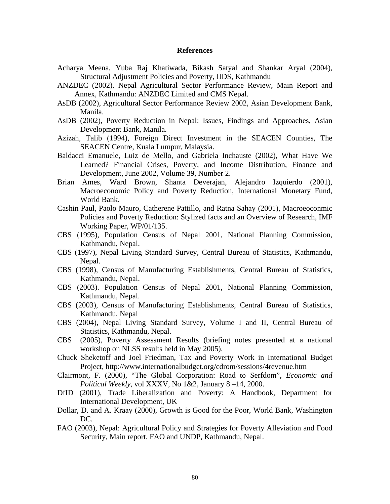## **References**

- Acharya Meena, Yuba Raj Khatiwada, Bikash Satyal and Shankar Aryal (2004), Structural Adjustment Policies and Poverty, IIDS, Kathmandu
- ANZDEC (2002). Nepal Agricultural Sector Performance Review, Main Report and Annex, Kathmandu: ANZDEC Limited and CMS Nepal.
- AsDB (2002), Agricultural Sector Performance Review 2002, Asian Development Bank, Manila.
- AsDB (2002), Poverty Reduction in Nepal: Issues, Findings and Approaches, Asian Development Bank, Manila.
- Azizah, Talib (1994), Foreign Direct Investment in the SEACEN Counties, The SEACEN Centre, Kuala Lumpur, Malaysia.
- Baldacci Emanuele, Luiz de Mello, and Gabriela Inchauste (2002), What Have We Learned? Financial Crises, Poverty, and Income Distribution, Finance and Development, June 2002, Volume 39, Number 2.
- Brian Ames, Ward Brown, Shanta Deverajan, Alejandro Izquierdo (2001), Macroeconomic Policy and Poverty Reduction, International Monetary Fund, World Bank.
- Cashin Paul, Paolo Mauro, Catherene Pattillo, and Ratna Sahay (2001), Macroeoconmic Policies and Poverty Reduction: Stylized facts and an Overview of Research, IMF Working Paper, WP/01/135.
- CBS (1995), Population Census of Nepal 2001, National Planning Commission, Kathmandu, Nepal.
- CBS (1997), Nepal Living Standard Survey, Central Bureau of Statistics, Kathmandu, Nepal.
- CBS (1998), Census of Manufacturing Establishments, Central Bureau of Statistics, Kathmandu, Nepal.
- CBS (2003). Population Census of Nepal 2001, National Planning Commission, Kathmandu, Nepal.
- CBS (2003), Census of Manufacturing Establishments, Central Bureau of Statistics, Kathmandu, Nepal
- CBS (2004), Nepal Living Standard Survey, Volume I and II, Central Bureau of Statistics, Kathmandu, Nepal.
- CBS (2005), Poverty Assessment Results (briefing notes presented at a national workshop on NLSS results held in May 2005).
- Chuck Sheketoff and Joel Friedman, Tax and Poverty Work in International Budget Project, http://www.internationalbudget.org/cdrom/sessions/4revenue.htm
- Clairmont, F. (2000), "The Global Corporation: Road to Serfdom", *Economic and Political Weekly,* vol XXXV, No 1&2, January 8 –14, 2000.
- DfID (2001), Trade Liberalization and Poverty: A Handbook, Department for International Development, UK
- Dollar, D. and A. Kraay (2000), Growth is Good for the Poor, World Bank, Washington DC.
- FAO (2003), Nepal: Agricultural Policy and Strategies for Poverty Alleviation and Food Security, Main report. FAO and UNDP, Kathmandu, Nepal.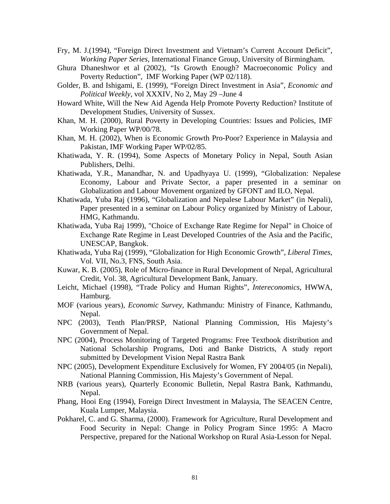- Fry, M. J.(1994), "Foreign Direct Investment and Vietnam's Current Account Deficit", *Working Paper Series*, International Finance Group, University of Birmingham.
- Ghura Dhaneshwor et al (2002), "Is Growth Enough? Macroeconomic Policy and Poverty Reduction", IMF Working Paper (WP 02/118).
- Golder, B. and Ishigami, E. (1999), "Foreign Direct Investment in Asia", *Economic and Political Weekly,* vol XXXIV, No 2, May 29 –June 4
- Howard White, Will the New Aid Agenda Help Promote Poverty Reduction? Institute of Development Studies, University of Sussex.
- Khan, M. H. (2000), Rural Poverty in Developing Countries: Issues and Policies, IMF Working Paper WP/00/78.
- Khan, M. H. (2002), When is Economic Growth Pro-Poor? Experience in Malaysia and Pakistan, IMF Working Paper WP/02/85.
- Khatiwada, Y. R. (1994), Some Aspects of Monetary Policy in Nepal, South Asian Publishers, Delhi.
- Khatiwada, Y.R., Manandhar, N. and Upadhyaya U. (1999), "Globalization: Nepalese Economy, Labour and Private Sector, a paper presented in a seminar on Globalization and Labour Movement organized by GFONT and ILO, Nepal.
- Khatiwada, Yuba Raj (1996), "Globalization and Nepalese Labour Market" (in Nepali), Paper presented in a seminar on Labour Policy organized by Ministry of Labour, HMG, Kathmandu.
- Khatiwada, Yuba Raj 1999), "Choice of Exchange Rate Regime for Nepal" in Choice of Exchange Rate Regime in Least Developed Countries of the Asia and the Pacific, UNESCAP, Bangkok.
- Khatiwada, Yuba Raj (1999), "Globalization for High Economic Growth", *Liberal Times*, Vol. VII, No.3, FNS, South Asia.
- Kuwar, K. B. (2005), Role of Micro-finance in Rural Development of Nepal, Agricultural Credit, Vol. 38, Agricultural Development Bank, January.
- Leicht, Michael (1998), "Trade Policy and Human Rights", *Intereconomics*, HWWA, Hamburg.
- MOF (various years), *Economic Survey*, Kathmandu: Ministry of Finance, Kathmandu, Nepal.
- NPC (2003), Tenth Plan/PRSP, National Planning Commission, His Majesty's Government of Nepal.
- NPC (2004), Process Monitoring of Targeted Programs: Free Textbook distribution and National Scholarship Programs, Doti and Banke Districts, A study report submitted by Development Vision Nepal Rastra Bank
- NPC (2005), Development Expenditure Exclusively for Women, FY 2004/05 (in Nepali), National Planning Commission, His Majesty's Government of Nepal.
- NRB (various years), Quarterly Economic Bulletin, Nepal Rastra Bank, Kathmandu, Nepal.
- Phang, Hooi Eng (1994), Foreign Direct Investment in Malaysia, The SEACEN Centre, Kuala Lumper, Malaysia.
- Pokharel, C. and G. Sharma, (2000). Framework for Agriculture, Rural Development and Food Security in Nepal: Change in Policy Program Since 1995: A Macro Perspective, prepared for the National Workshop on Rural Asia-Lesson for Nepal.